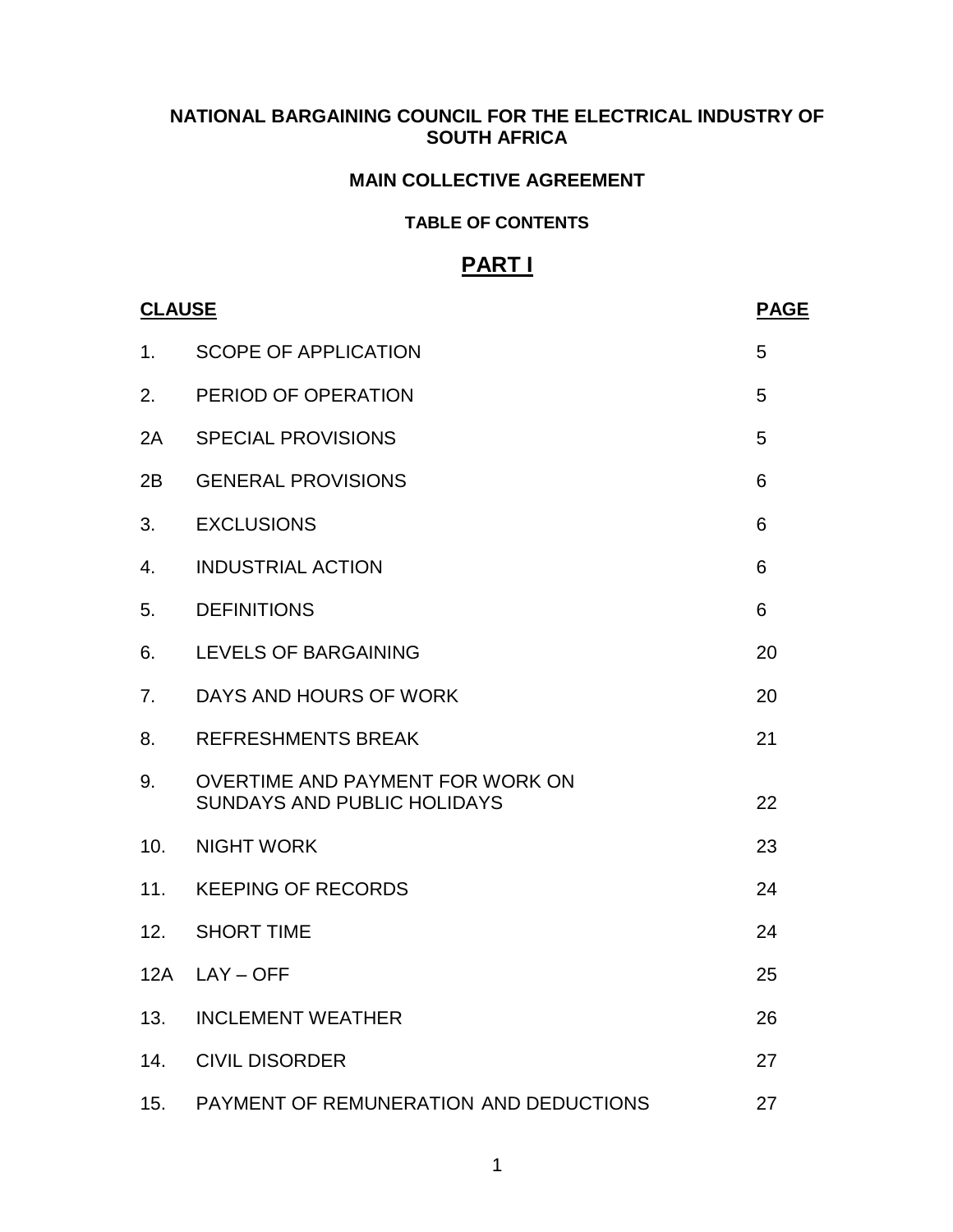### **NATIONAL BARGAINING COUNCIL FOR THE ELECTRICAL INDUSTRY OF SOUTH AFRICA**

#### **MAIN COLLECTIVE AGREEMENT**

#### **TABLE OF CONTENTS**

## **PART I**

| <b>CLAUSE</b> |                                                                        | <b>PAGE</b> |
|---------------|------------------------------------------------------------------------|-------------|
| 1.            | <b>SCOPE OF APPLICATION</b>                                            | 5           |
| 2.            | PERIOD OF OPERATION                                                    | 5           |
| 2A            | <b>SPECIAL PROVISIONS</b>                                              | 5           |
| 2B            | <b>GENERAL PROVISIONS</b>                                              | 6           |
| 3.            | <b>EXCLUSIONS</b>                                                      | 6           |
| 4.            | <b>INDUSTRIAL ACTION</b>                                               | 6           |
| 5.            | <b>DEFINITIONS</b>                                                     | 6           |
| 6.            | LEVELS OF BARGAINING                                                   | 20          |
| 7.            | DAYS AND HOURS OF WORK                                                 | 20          |
| 8.            | <b>REFRESHMENTS BREAK</b>                                              | 21          |
| 9.            | OVERTIME AND PAYMENT FOR WORK ON<br><b>SUNDAYS AND PUBLIC HOLIDAYS</b> | 22          |
| 10.           | <b>NIGHT WORK</b>                                                      | 23          |
|               | 11. KEEPING OF RECORDS                                                 | 24          |
| 12.           | <b>SHORT TIME</b>                                                      | 24          |
|               | 12A LAY-OFF                                                            | 25          |
| 13.           | <b>INCLEMENT WEATHER</b>                                               | 26          |
| 14.           | <b>CIVIL DISORDER</b>                                                  | 27          |
| 15.           | PAYMENT OF REMUNERATION AND DEDUCTIONS                                 | 27          |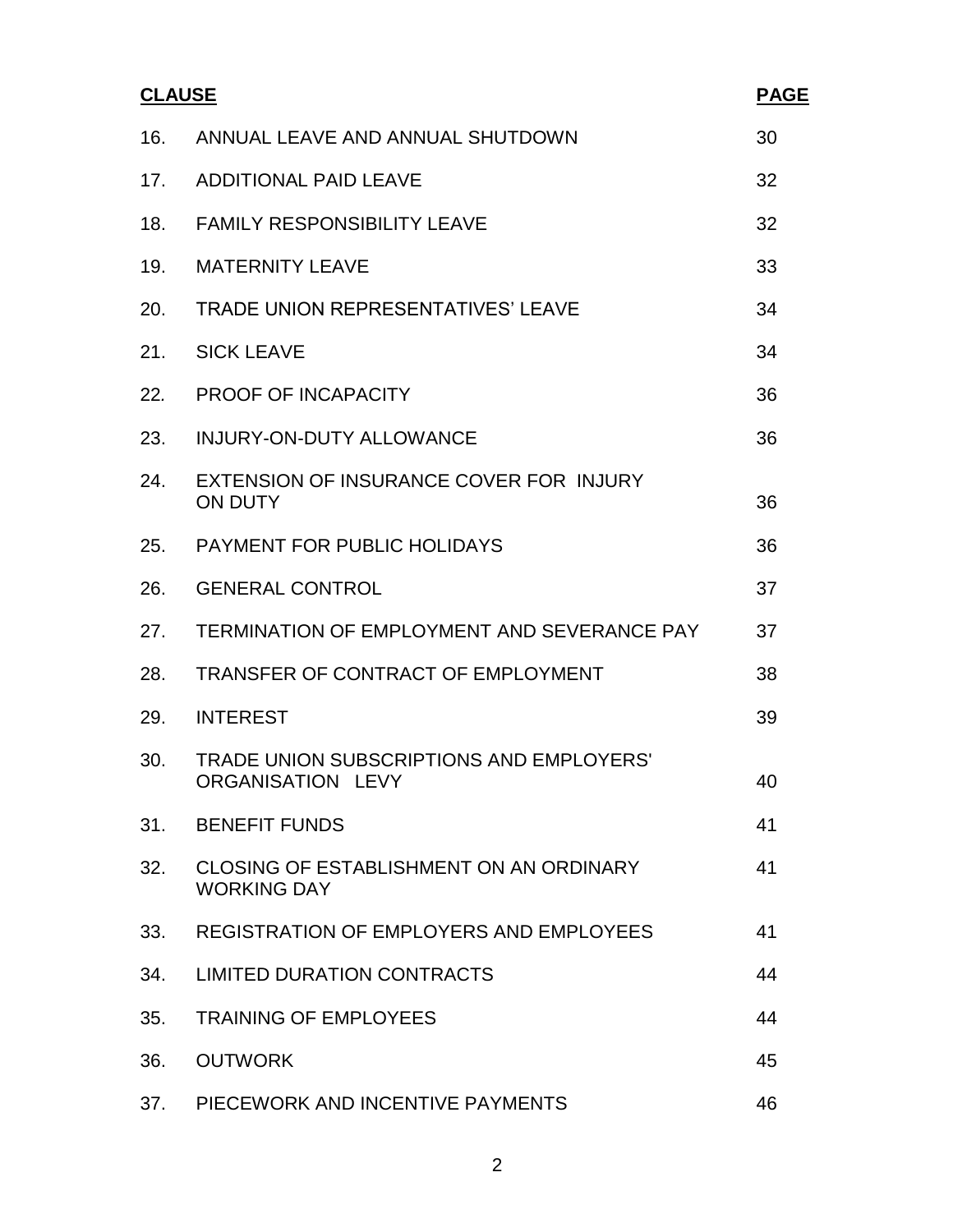| <b>CLAUSE</b> |                                                               | <b>PAGE</b> |
|---------------|---------------------------------------------------------------|-------------|
| 16.           | ANNUAL LEAVE AND ANNUAL SHUTDOWN                              | 30          |
| 17.           | <b>ADDITIONAL PAID LEAVE</b>                                  | 32          |
| 18.           | <b>FAMILY RESPONSIBILITY LEAVE</b>                            | 32          |
| 19.           | <b>MATERNITY LEAVE</b>                                        | 33          |
| 20.           | TRADE UNION REPRESENTATIVES' LEAVE                            | 34          |
| 21.           | <b>SICK LEAVE</b>                                             | 34          |
| 22.           | PROOF OF INCAPACITY                                           | 36          |
| 23.           | <b>INJURY-ON-DUTY ALLOWANCE</b>                               | 36          |
| 24.           | EXTENSION OF INSURANCE COVER FOR INJURY<br><b>ON DUTY</b>     | 36          |
| 25.           | <b>PAYMENT FOR PUBLIC HOLIDAYS</b>                            | 36          |
| 26.           | <b>GENERAL CONTROL</b>                                        | 37          |
| 27.           | TERMINATION OF EMPLOYMENT AND SEVERANCE PAY                   | 37          |
| 28.           | TRANSFER OF CONTRACT OF EMPLOYMENT                            | 38          |
| 29.           | <b>INTEREST</b>                                               | 39          |
| 30.           | TRADE UNION SUBSCRIPTIONS AND EMPLOYERS'<br>ORGANISATION LEVY | 40          |
| 31.           | <b>BENEFIT FUNDS</b>                                          | 41          |
| 32.           | CLOSING OF ESTABLISHMENT ON AN ORDINARY<br><b>WORKING DAY</b> | 41          |
| 33.           | <b>REGISTRATION OF EMPLOYERS AND EMPLOYEES</b>                | 41          |
| 34.           | <b>LIMITED DURATION CONTRACTS</b>                             | 44          |
| 35.           | <b>TRAINING OF EMPLOYEES</b>                                  | 44          |
| 36.           | <b>OUTWORK</b>                                                | 45          |
| 37.           | PIECEWORK AND INCENTIVE PAYMENTS                              | 46          |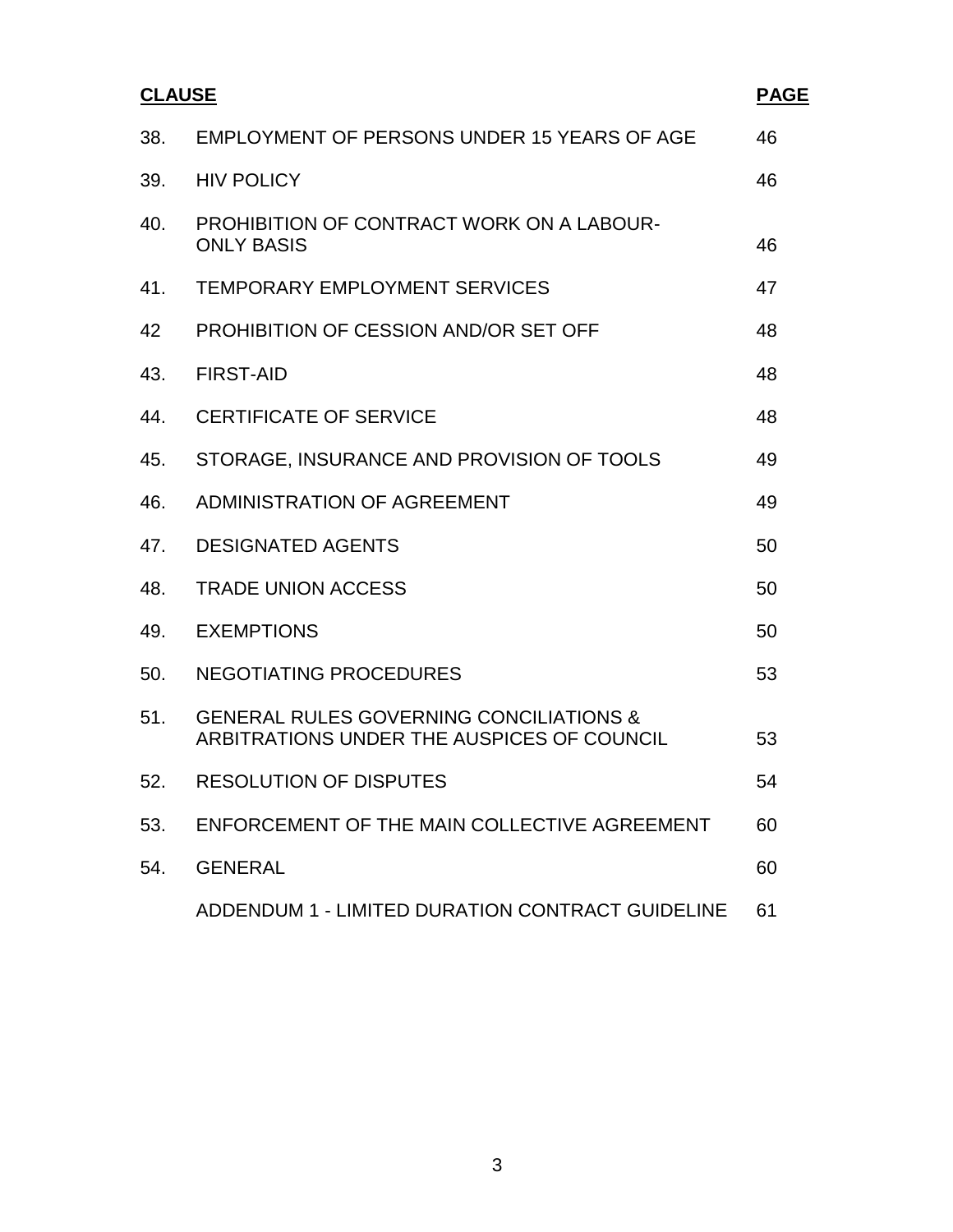| <b>CLAUSE</b> |                                                                                                  | <b>PAGE</b> |
|---------------|--------------------------------------------------------------------------------------------------|-------------|
| 38.           | EMPLOYMENT OF PERSONS UNDER 15 YEARS OF AGE                                                      | 46          |
| 39.           | <b>HIV POLICY</b>                                                                                | 46          |
| 40.           | PROHIBITION OF CONTRACT WORK ON A LABOUR-<br><b>ONLY BASIS</b>                                   | 46          |
| 41.           | <b>TEMPORARY EMPLOYMENT SERVICES</b>                                                             | 47          |
| 42            | <b>PROHIBITION OF CESSION AND/OR SET OFF</b>                                                     | 48          |
| 43.           | <b>FIRST-AID</b>                                                                                 | 48          |
| 44.           | <b>CERTIFICATE OF SERVICE</b>                                                                    | 48          |
| 45.           | STORAGE, INSURANCE AND PROVISION OF TOOLS                                                        | 49          |
| 46.           | ADMINISTRATION OF AGREEMENT                                                                      | 49          |
| 47.           | <b>DESIGNATED AGENTS</b>                                                                         | 50          |
| 48.           | <b>TRADE UNION ACCESS</b>                                                                        | 50          |
| 49.           | <b>EXEMPTIONS</b>                                                                                | 50          |
| 50.           | NEGOTIATING PROCEDURES                                                                           | 53          |
| 51.           | <b>GENERAL RULES GOVERNING CONCILIATIONS &amp;</b><br>ARBITRATIONS UNDER THE AUSPICES OF COUNCIL | 53          |
| 52.           | <b>RESOLUTION OF DISPUTES</b>                                                                    | 54          |
| 53.           | ENFORCEMENT OF THE MAIN COLLECTIVE AGREEMENT                                                     | 60          |
| 54.           | <b>GENERAL</b>                                                                                   | 60          |
|               | ADDENDUM 1 - LIMITED DURATION CONTRACT GUIDELINE                                                 | 61          |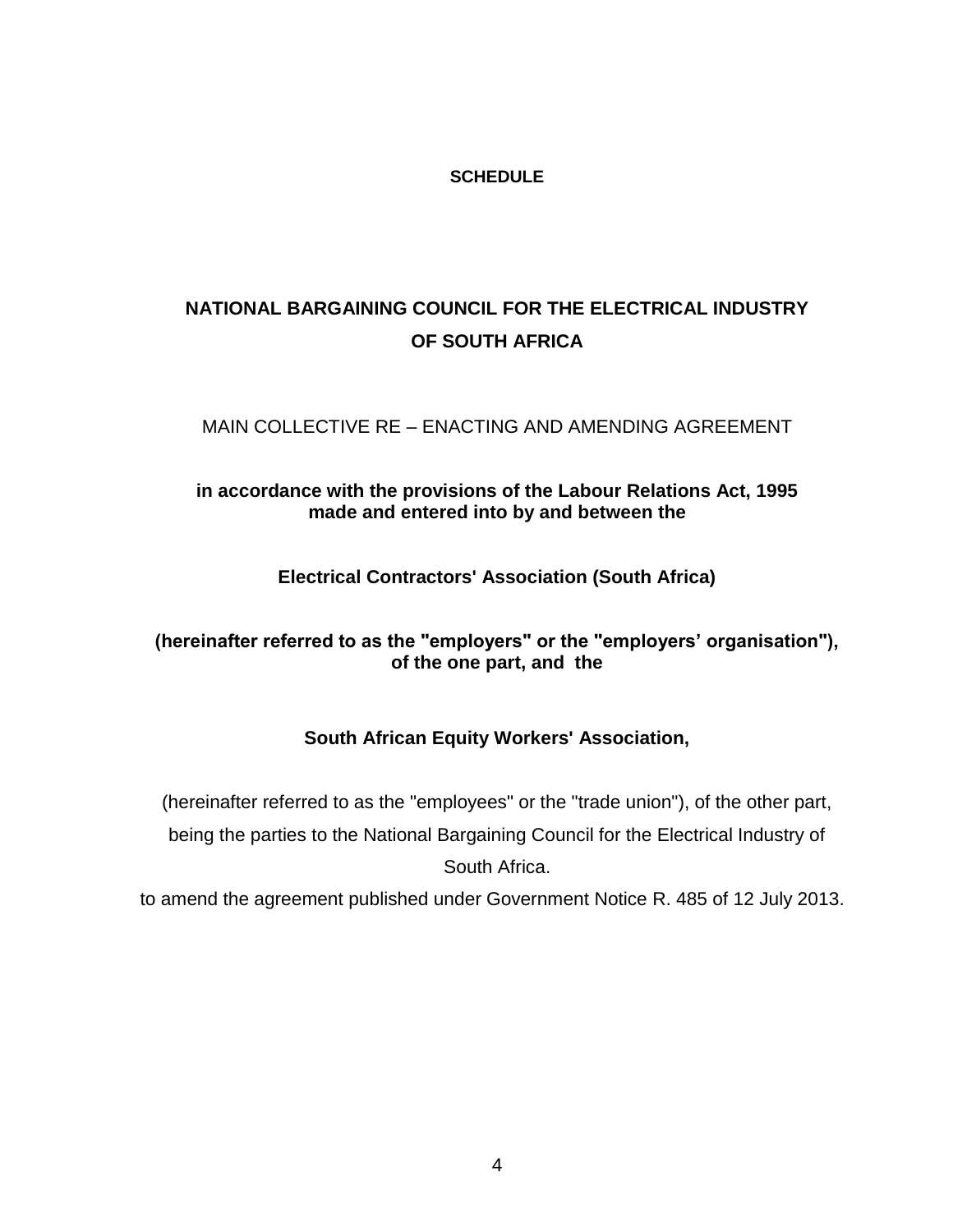#### **SCHEDULE**

# **NATIONAL BARGAINING COUNCIL FOR THE ELECTRICAL INDUSTRY OF SOUTH AFRICA**

### MAIN COLLECTIVE RE – ENACTING AND AMENDING AGREEMENT

### **in accordance with the provisions of the Labour Relations Act, 1995 made and entered into by and between the**

**Electrical Contractors' Association (South Africa)**

### **(hereinafter referred to as the "employers" or the "employers" organisation"), of the one part, and the**

### **South African Equity Workers' Association,**

(hereinafter referred to as the "employees" or the "trade union"), of the other part, being the parties to the National Bargaining Council for the Electrical Industry of South Africa.

to amend the agreement published under Government Notice R. 485 of 12 July 2013.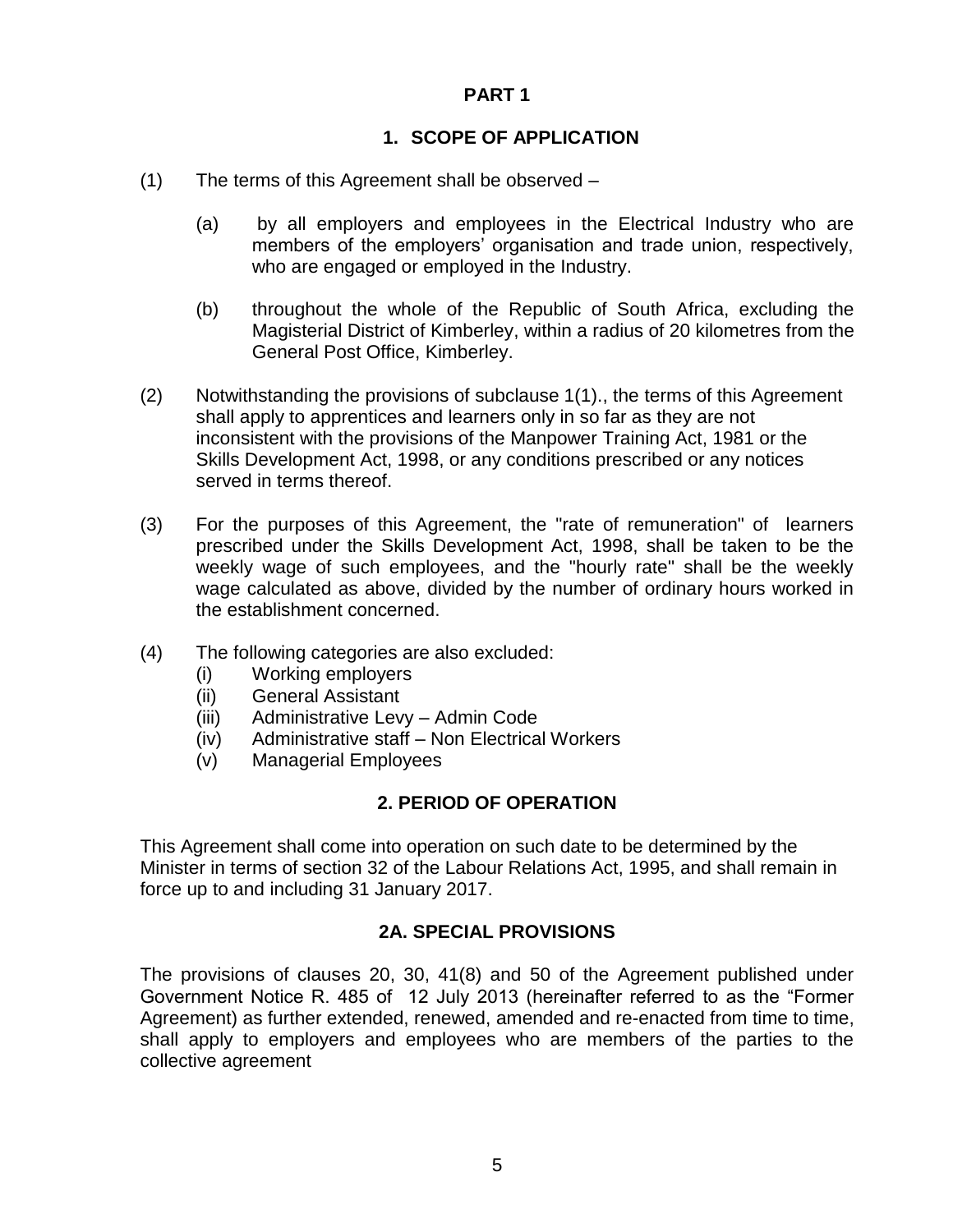#### **PART 1**

### **1. SCOPE OF APPLICATION**

- (1) The terms of this Agreement shall be observed
	- (a) by all employers and employees in the Electrical Industry who are members of the employers' organisation and trade union, respectively, who are engaged or employed in the Industry.
	- (b) throughout the whole of the Republic of South Africa, excluding the Magisterial District of Kimberley, within a radius of 20 kilometres from the General Post Office, Kimberley.
- (2) Notwithstanding the provisions of subclause 1(1)., the terms of this Agreement shall apply to apprentices and learners only in so far as they are not inconsistent with the provisions of the Manpower Training Act, 1981 or the Skills Development Act, 1998, or any conditions prescribed or any notices served in terms thereof.
- (3) For the purposes of this Agreement, the "rate of remuneration" of learners prescribed under the Skills Development Act, 1998, shall be taken to be the weekly wage of such employees, and the "hourly rate" shall be the weekly wage calculated as above, divided by the number of ordinary hours worked in the establishment concerned.
- (4) The following categories are also excluded:
	- (i) Working employers
	- (ii) General Assistant
	- (iii) Administrative Levy Admin Code
	- (iv) Administrative staff Non Electrical Workers
	- (v) Managerial Employees

### **2. PERIOD OF OPERATION**

This Agreement shall come into operation on such date to be determined by the Minister in terms of section 32 of the Labour Relations Act, 1995, and shall remain in force up to and including 31 January 2017.

### **2A. SPECIAL PROVISIONS**

The provisions of clauses 20, 30, 41(8) and 50 of the Agreement published under Government Notice R. 485 of 12 July 2013 (hereinafter referred to as the "Former Agreement) as further extended, renewed, amended and re-enacted from time to time, shall apply to employers and employees who are members of the parties to the collective agreement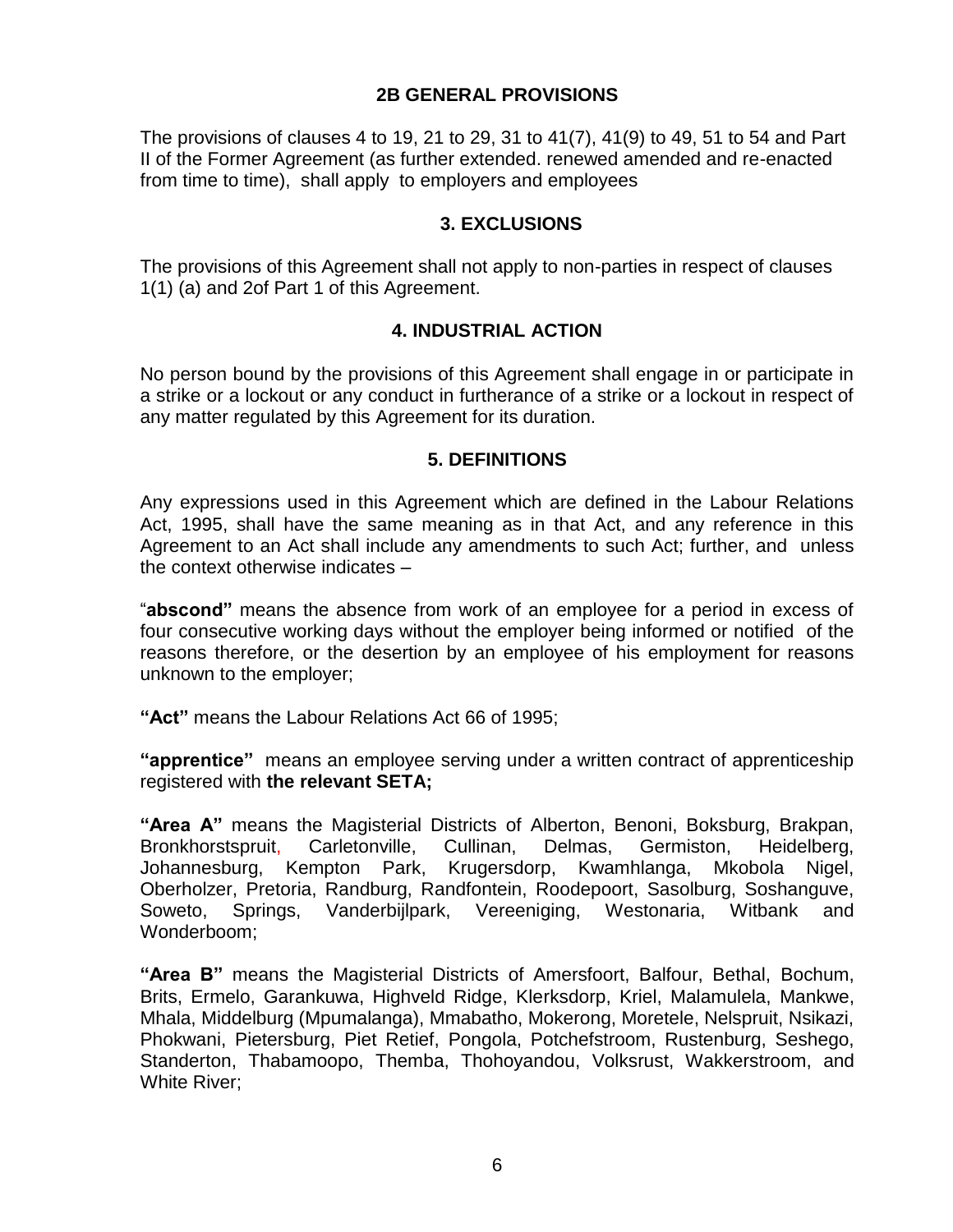#### **2B GENERAL PROVISIONS**

The provisions of clauses 4 to 19, 21 to 29, 31 to 41(7), 41(9) to 49, 51 to 54 and Part II of the Former Agreement (as further extended. renewed amended and re-enacted from time to time), shall apply to employers and employees

#### **3. EXCLUSIONS**

The provisions of this Agreement shall not apply to non-parties in respect of clauses 1(1) (a) and 2of Part 1 of this Agreement.

#### **4. INDUSTRIAL ACTION**

No person bound by the provisions of this Agreement shall engage in or participate in a strike or a lockout or any conduct in furtherance of a strike or a lockout in respect of any matter regulated by this Agreement for its duration.

#### **5. DEFINITIONS**

Any expressions used in this Agreement which are defined in the Labour Relations Act, 1995, shall have the same meaning as in that Act, and any reference in this Agreement to an Act shall include any amendments to such Act; further, and unless the context otherwise indicates –

"**abscond"** means the absence from work of an employee for a period in excess of four consecutive working days without the employer being informed or notified of the reasons therefore, or the desertion by an employee of his employment for reasons unknown to the employer;

**"Act"** means the Labour Relations Act 66 of 1995;

**"apprentice"** means an employee serving under a written contract of apprenticeship registered with **the relevant SETA;**

**"Area A"** means the Magisterial Districts of Alberton, Benoni, Boksburg, Brakpan, Bronkhorstspruit, Carletonville, Cullinan, Delmas, Germiston, Heidelberg, Johannesburg, Kempton Park, Krugersdorp, Kwamhlanga, Mkobola Nigel, Oberholzer, Pretoria, Randburg, Randfontein, Roodepoort, Sasolburg, Soshanguve, Soweto, Springs, Vanderbijlpark, Vereeniging, Westonaria, Witbank and Wonderboom;

**"Area B"** means the Magisterial Districts of Amersfoort, Balfour, Bethal, Bochum, Brits, Ermelo, Garankuwa, Highveld Ridge, Klerksdorp, Kriel, Malamulela, Mankwe, Mhala, Middelburg (Mpumalanga), Mmabatho, Mokerong, Moretele, Nelspruit, Nsikazi, Phokwani, Pietersburg, Piet Retief, Pongola, Potchefstroom, Rustenburg, Seshego, Standerton, Thabamoopo, Themba, Thohoyandou, Volksrust, Wakkerstroom, and White River;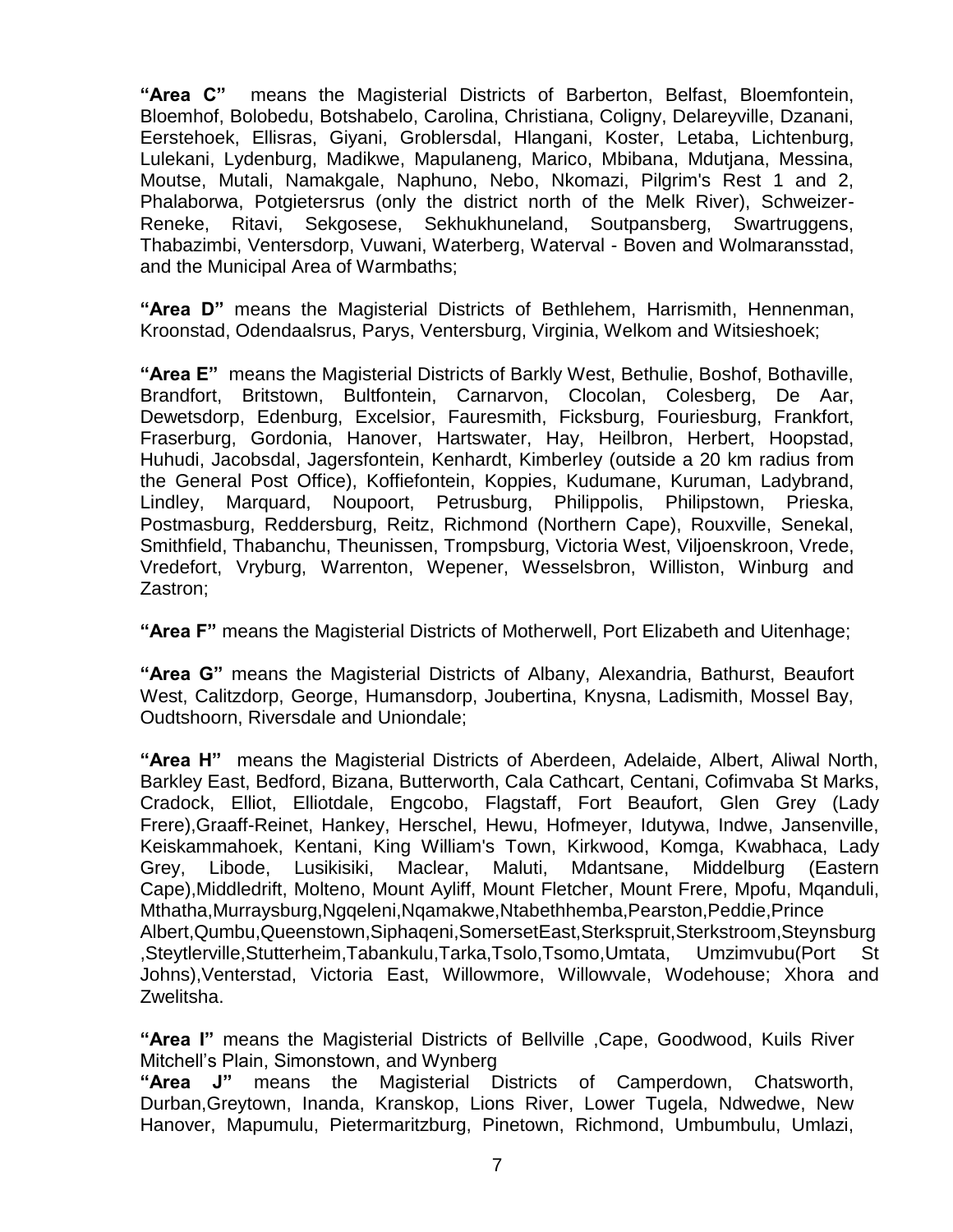**"Area C"** means the Magisterial Districts of Barberton, Belfast, Bloemfontein, Bloemhof, Bolobedu, Botshabelo, Carolina, Christiana, Coligny, Delareyville, Dzanani, Eerstehoek, Ellisras, Giyani, Groblersdal, Hlangani, Koster, Letaba, Lichtenburg, Lulekani, Lydenburg, Madikwe, Mapulaneng, Marico, Mbibana, Mdutjana, Messina, Moutse, Mutali, Namakgale, Naphuno, Nebo, Nkomazi, Pilgrim's Rest 1 and 2, Phalaborwa, Potgietersrus (only the district north of the Melk River), Schweizer-Reneke, Ritavi, Sekgosese, Sekhukhuneland, Soutpansberg, Swartruggens, Thabazimbi, Ventersdorp, Vuwani, Waterberg, Waterval - Boven and Wolmaransstad, and the Municipal Area of Warmbaths;

**"Area D"** means the Magisterial Districts of Bethlehem, Harrismith, Hennenman, Kroonstad, Odendaalsrus, Parys, Ventersburg, Virginia, Welkom and Witsieshoek;

**"Area E"** means the Magisterial Districts of Barkly West, Bethulie, Boshof, Bothaville, Brandfort, Britstown, Bultfontein, Carnarvon, Clocolan, Colesberg, De Aar, Dewetsdorp, Edenburg, Excelsior, Fauresmith, Ficksburg, Fouriesburg, Frankfort, Fraserburg, Gordonia, Hanover, Hartswater, Hay, Heilbron, Herbert, Hoopstad, Huhudi, Jacobsdal, Jagersfontein, Kenhardt, Kimberley (outside a 20 km radius from the General Post Office), Koffiefontein, Koppies, Kudumane, Kuruman, Ladybrand, Lindley, Marquard, Noupoort, Petrusburg, Philippolis, Philipstown, Prieska, Postmasburg, Reddersburg, Reitz, Richmond (Northern Cape), Rouxville, Senekal, Smithfield, Thabanchu, Theunissen, Trompsburg, Victoria West, Viljoenskroon, Vrede, Vredefort, Vryburg, Warrenton, Wepener, Wesselsbron, Williston, Winburg and Zastron;

**"Area F"** means the Magisterial Districts of Motherwell, Port Elizabeth and Uitenhage;

**"Area G"** means the Magisterial Districts of Albany, Alexandria, Bathurst, Beaufort West, Calitzdorp, George, Humansdorp, Joubertina, Knysna, Ladismith, Mossel Bay, Oudtshoorn, Riversdale and Uniondale;

**"Area H"** means the Magisterial Districts of Aberdeen, Adelaide, Albert, Aliwal North, Barkley East, Bedford, Bizana, Butterworth, Cala Cathcart, Centani, Cofimvaba St Marks, Cradock, Elliot, Elliotdale, Engcobo, Flagstaff, Fort Beaufort, Glen Grey (Lady Frere),Graaff-Reinet, Hankey, Herschel, Hewu, Hofmeyer, Idutywa, Indwe, Jansenville, Keiskammahoek, Kentani, King William's Town, Kirkwood, Komga, Kwabhaca, Lady Grey, Libode, Lusikisiki, Maclear, Maluti, Mdantsane, Middelburg (Eastern Cape),Middledrift, Molteno, Mount Ayliff, Mount Fletcher, Mount Frere, Mpofu, Mqanduli, Mthatha,Murraysburg,Ngqeleni,Nqamakwe,Ntabethhemba,Pearston,Peddie,Prince Albert,Qumbu,Queenstown,Siphaqeni,SomersetEast,Sterkspruit,Sterkstroom,Steynsburg ,Steytlerville,Stutterheim,Tabankulu,Tarka,Tsolo,Tsomo,Umtata, Umzimvubu(Port St Johns),Venterstad, Victoria East, Willowmore, Willowvale, Wodehouse; Xhora and Zwelitsha.

**"Area I"** means the Magisterial Districts of Bellville ,Cape, Goodwood, Kuils River Mitchell"s Plain, Simonstown, and Wynberg

**"Area J"** means the Magisterial Districts of Camperdown, Chatsworth, Durban,Greytown, Inanda, Kranskop, Lions River, Lower Tugela, Ndwedwe, New Hanover, Mapumulu, Pietermaritzburg, Pinetown, Richmond, Umbumbulu, Umlazi,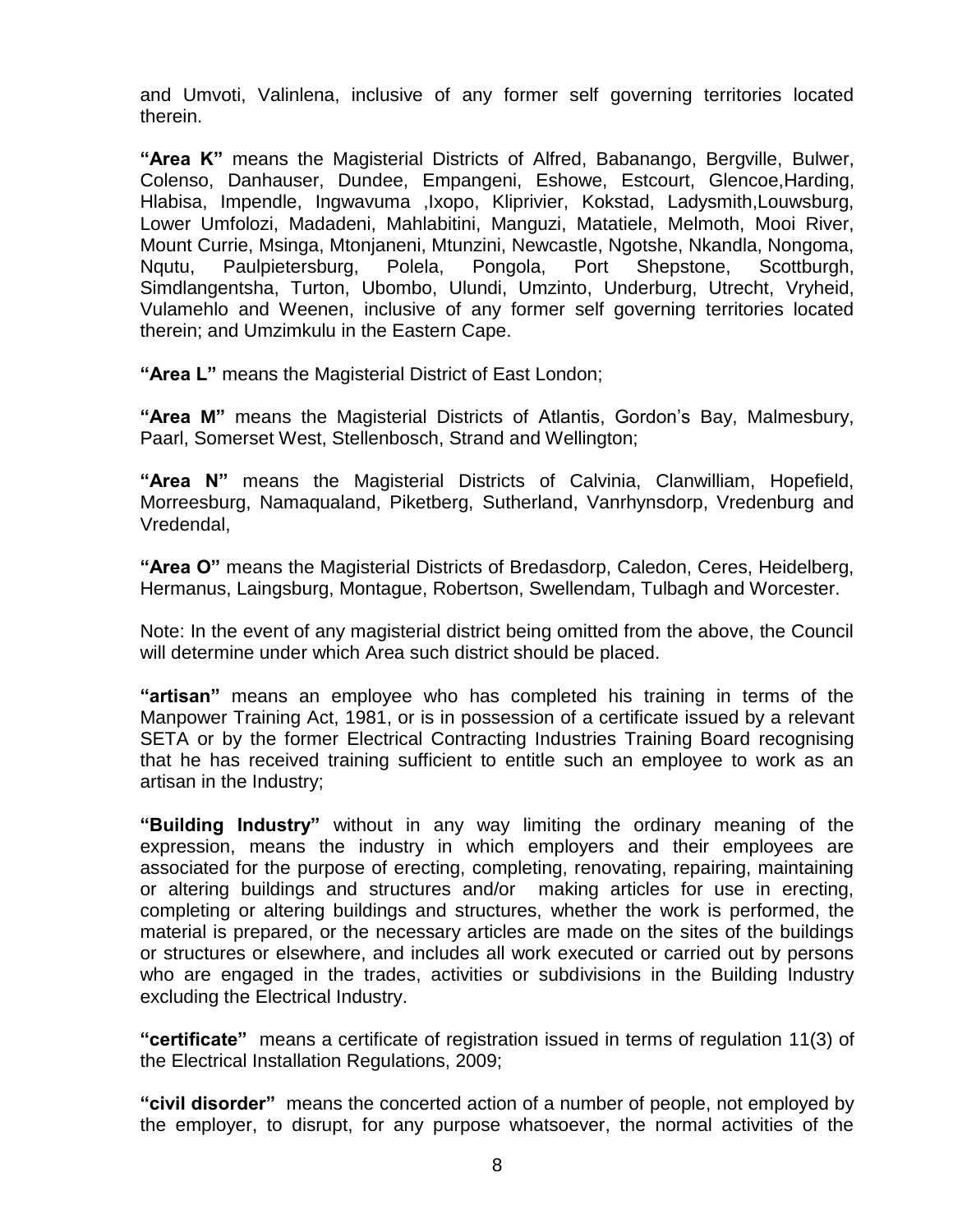and Umvoti, Valinlena, inclusive of any former self governing territories located therein.

**"Area K"** means the Magisterial Districts of Alfred, Babanango, Bergville, Bulwer, Colenso, Danhauser, Dundee, Empangeni, Eshowe, Estcourt, Glencoe,Harding, Hlabisa, Impendle, Ingwavuma ,Ixopo, Kliprivier, Kokstad, Ladysmith,Louwsburg, Lower Umfolozi, Madadeni, Mahlabitini, Manguzi, Matatiele, Melmoth, Mooi River, Mount Currie, Msinga, Mtonjaneni, Mtunzini, Newcastle, Ngotshe, Nkandla, Nongoma, Nqutu, Paulpietersburg, Polela, Pongola, Port Shepstone, Scottburgh, Simdlangentsha, Turton, Ubombo, Ulundi, Umzinto, Underburg, Utrecht, Vryheid, Vulamehlo and Weenen, inclusive of any former self governing territories located therein; and Umzimkulu in the Eastern Cape.

**"Area L"** means the Magisterial District of East London;

**"Area M"** means the Magisterial Districts of Atlantis, Gordon"s Bay, Malmesbury, Paarl, Somerset West, Stellenbosch, Strand and Wellington;

**"Area N"** means the Magisterial Districts of Calvinia, Clanwilliam, Hopefield, Morreesburg, Namaqualand, Piketberg, Sutherland, Vanrhynsdorp, Vredenburg and Vredendal,

**"Area O"** means the Magisterial Districts of Bredasdorp, Caledon, Ceres, Heidelberg, Hermanus, Laingsburg, Montague, Robertson, Swellendam, Tulbagh and Worcester.

Note: In the event of any magisterial district being omitted from the above, the Council will determine under which Area such district should be placed.

**"artisan"** means an employee who has completed his training in terms of the Manpower Training Act, 1981, or is in possession of a certificate issued by a relevant SETA or by the former Electrical Contracting Industries Training Board recognising that he has received training sufficient to entitle such an employee to work as an artisan in the Industry;

**"Building Industry"** without in any way limiting the ordinary meaning of the expression, means the industry in which employers and their employees are associated for the purpose of erecting, completing, renovating, repairing, maintaining or altering buildings and structures and/or making articles for use in erecting, completing or altering buildings and structures, whether the work is performed, the material is prepared, or the necessary articles are made on the sites of the buildings or structures or elsewhere, and includes all work executed or carried out by persons who are engaged in the trades, activities or subdivisions in the Building Industry excluding the Electrical Industry.

**"certificate"** means a certificate of registration issued in terms of regulation 11(3) of the Electrical Installation Regulations, 2009;

**"civil disorder"** means the concerted action of a number of people, not employed by the employer, to disrupt, for any purpose whatsoever, the normal activities of the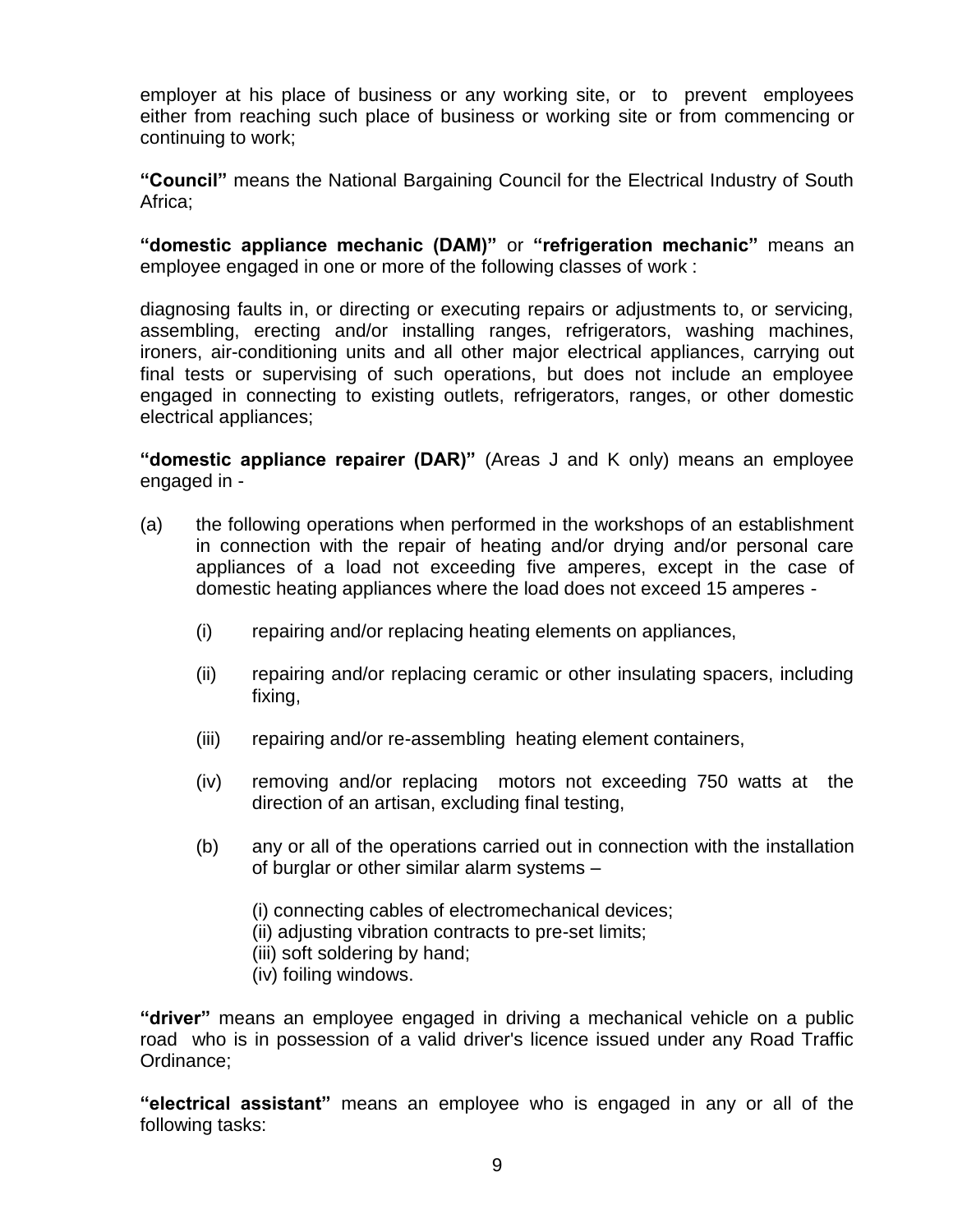employer at his place of business or any working site, or to prevent employees either from reaching such place of business or working site or from commencing or continuing to work;

**"Council"** means the National Bargaining Council for the Electrical Industry of South Africa;

**"domestic appliance mechanic (DAM)"** or **"refrigeration mechanic"** means an employee engaged in one or more of the following classes of work :

diagnosing faults in, or directing or executing repairs or adjustments to, or servicing, assembling, erecting and/or installing ranges, refrigerators, washing machines, ironers, air-conditioning units and all other major electrical appliances, carrying out final tests or supervising of such operations, but does not include an employee engaged in connecting to existing outlets, refrigerators, ranges, or other domestic electrical appliances;

**"domestic appliance repairer (DAR)"** (Areas J and K only) means an employee engaged in -

- (a) the following operations when performed in the workshops of an establishment in connection with the repair of heating and/or drying and/or personal care appliances of a load not exceeding five amperes, except in the case of domestic heating appliances where the load does not exceed 15 amperes -
	- (i) repairing and/or replacing heating elements on appliances,
	- (ii) repairing and/or replacing ceramic or other insulating spacers, including fixing,
	- (iii) repairing and/or re-assembling heating element containers,
	- (iv) removing and/or replacing motors not exceeding 750 watts at the direction of an artisan, excluding final testing,
	- (b) any or all of the operations carried out in connection with the installation of burglar or other similar alarm systems –
		- (i) connecting cables of electromechanical devices;
		- (ii) adjusting vibration contracts to pre-set limits;
		- (iii) soft soldering by hand;
		- (iv) foiling windows.

**"driver"** means an employee engaged in driving a mechanical vehicle on a public road who is in possession of a valid driver's licence issued under any Road Traffic Ordinance;

**"electrical assistant"** means an employee who is engaged in any or all of the following tasks: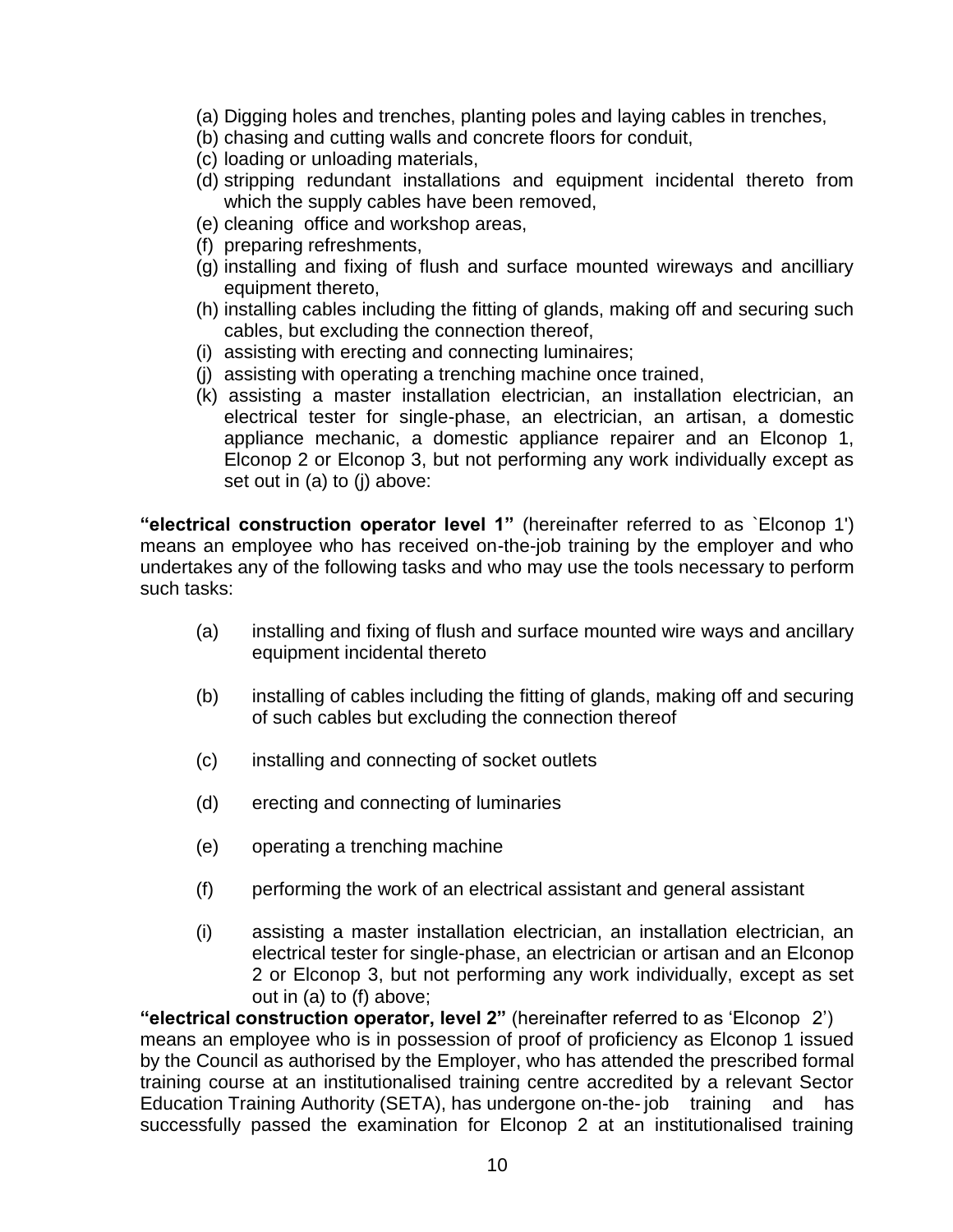- (a) Digging holes and trenches, planting poles and laying cables in trenches,
- (b) chasing and cutting walls and concrete floors for conduit,
- (c) loading or unloading materials,
- (d) stripping redundant installations and equipment incidental thereto from which the supply cables have been removed,
- (e) cleaning office and workshop areas,
- (f) preparing refreshments,
- (g) installing and fixing of flush and surface mounted wireways and ancilliary equipment thereto,
- (h) installing cables including the fitting of glands, making off and securing such cables, but excluding the connection thereof,
- (i) assisting with erecting and connecting luminaires;
- (j) assisting with operating a trenching machine once trained,
- (k) assisting a master installation electrician, an installation electrician, an electrical tester for single-phase, an electrician, an artisan, a domestic appliance mechanic, a domestic appliance repairer and an Elconop 1, Elconop 2 or Elconop 3, but not performing any work individually except as set out in (a) to (j) above:

**"electrical construction operator level 1"** (hereinafter referred to as `Elconop 1') means an employee who has received on-the-job training by the employer and who undertakes any of the following tasks and who may use the tools necessary to perform such tasks:

- (a) installing and fixing of flush and surface mounted wire ways and ancillary equipment incidental thereto
- (b) installing of cables including the fitting of glands, making off and securing of such cables but excluding the connection thereof
- (c) installing and connecting of socket outlets
- (d) erecting and connecting of luminaries
- (e) operating a trenching machine
- (f) performing the work of an electrical assistant and general assistant
- (i) assisting a master installation electrician, an installation electrician, an electrical tester for single-phase, an electrician or artisan and an Elconop 2 or Elconop 3, but not performing any work individually, except as set out in (a) to (f) above;

**"electrical construction operator, level 2"** (hereinafter referred to as "Elconop 2") means an employee who is in possession of proof of proficiency as Elconop 1 issued by the Council as authorised by the Employer, who has attended the prescribed formal training course at an institutionalised training centre accredited by a relevant Sector Education Training Authority (SETA), has undergone on-the- job training and has successfully passed the examination for Elconop 2 at an institutionalised training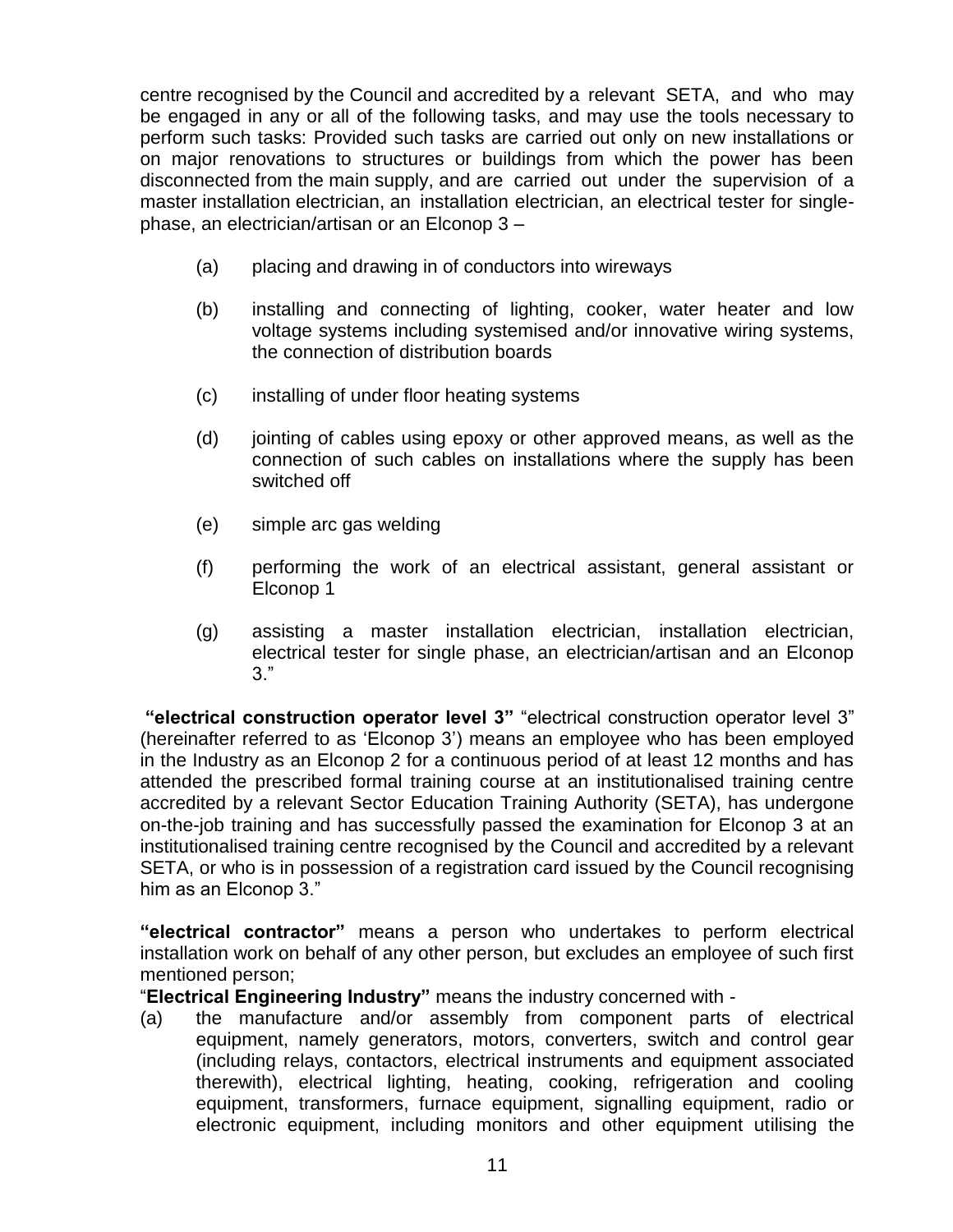centre recognised by the Council and accredited by a relevant SETA, and who may be engaged in any or all of the following tasks, and may use the tools necessary to perform such tasks: Provided such tasks are carried out only on new installations or on major renovations to structures or buildings from which the power has been disconnected from the main supply, and are carried out under the supervision of a master installation electrician, an installation electrician, an electrical tester for singlephase, an electrician/artisan or an Elconop 3 –

- (a) placing and drawing in of conductors into wireways
- (b) installing and connecting of lighting, cooker, water heater and low voltage systems including systemised and/or innovative wiring systems, the connection of distribution boards
- (c) installing of under floor heating systems
- (d) jointing of cables using epoxy or other approved means, as well as the connection of such cables on installations where the supply has been switched off
- (e) simple arc gas welding
- (f) performing the work of an electrical assistant, general assistant or Elconop 1
- (g) assisting a master installation electrician, installation electrician, electrical tester for single phase, an electrician/artisan and an Elconop 3."

**"electrical construction operator level 3"** "electrical construction operator level 3" (hereinafter referred to as "Elconop 3") means an employee who has been employed in the Industry as an Elconop 2 for a continuous period of at least 12 months and has attended the prescribed formal training course at an institutionalised training centre accredited by a relevant Sector Education Training Authority (SETA), has undergone on-the-job training and has successfully passed the examination for Elconop 3 at an institutionalised training centre recognised by the Council and accredited by a relevant SETA, or who is in possession of a registration card issued by the Council recognising him as an Elconop 3."

**"electrical contractor"** means a person who undertakes to perform electrical installation work on behalf of any other person, but excludes an employee of such first mentioned person;

"**Electrical Engineering Industry"** means the industry concerned with -

(a) the manufacture and/or assembly from component parts of electrical equipment, namely generators, motors, converters, switch and control gear (including relays, contactors, electrical instruments and equipment associated therewith), electrical lighting, heating, cooking, refrigeration and cooling equipment, transformers, furnace equipment, signalling equipment, radio or electronic equipment, including monitors and other equipment utilising the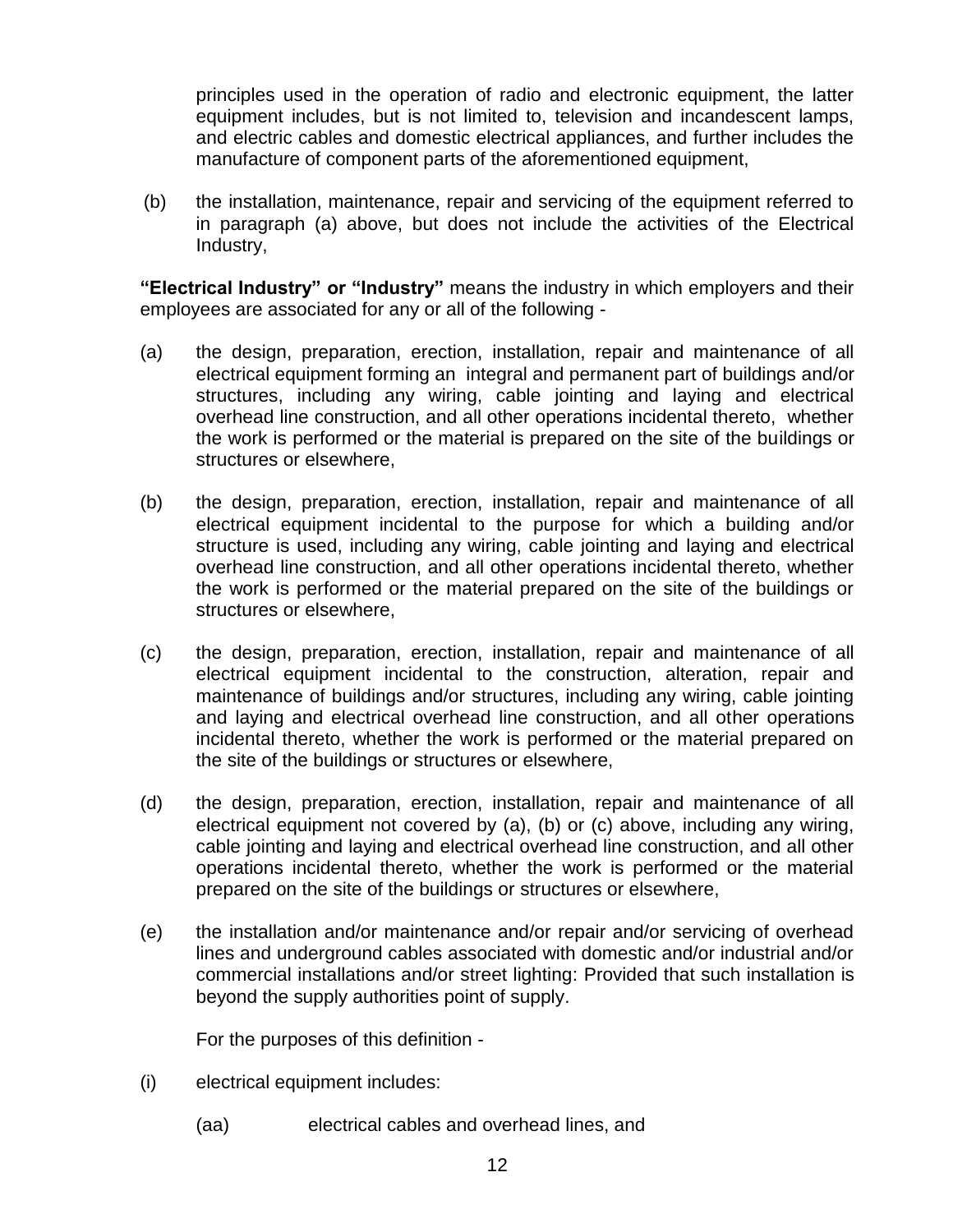principles used in the operation of radio and electronic equipment, the latter equipment includes, but is not limited to, television and incandescent lamps, and electric cables and domestic electrical appliances, and further includes the manufacture of component parts of the aforementioned equipment,

(b) the installation, maintenance, repair and servicing of the equipment referred to in paragraph (a) above, but does not include the activities of the Electrical Industry,

**"Electrical Industry" or "Industry"** means the industry in which employers and their employees are associated for any or all of the following -

- (a) the design, preparation, erection, installation, repair and maintenance of all electrical equipment forming an integral and permanent part of buildings and/or structures, including any wiring, cable jointing and laying and electrical overhead line construction, and all other operations incidental thereto, whether the work is performed or the material is prepared on the site of the buildings or structures or elsewhere,
- (b) the design, preparation, erection, installation, repair and maintenance of all electrical equipment incidental to the purpose for which a building and/or structure is used, including any wiring, cable jointing and laying and electrical overhead line construction, and all other operations incidental thereto, whether the work is performed or the material prepared on the site of the buildings or structures or elsewhere,
- (c) the design, preparation, erection, installation, repair and maintenance of all electrical equipment incidental to the construction, alteration, repair and maintenance of buildings and/or structures, including any wiring, cable jointing and laying and electrical overhead line construction, and all other operations incidental thereto, whether the work is performed or the material prepared on the site of the buildings or structures or elsewhere,
- (d) the design, preparation, erection, installation, repair and maintenance of all electrical equipment not covered by (a), (b) or (c) above, including any wiring, cable jointing and laying and electrical overhead line construction, and all other operations incidental thereto, whether the work is performed or the material prepared on the site of the buildings or structures or elsewhere,
- (e) the installation and/or maintenance and/or repair and/or servicing of overhead lines and underground cables associated with domestic and/or industrial and/or commercial installations and/or street lighting: Provided that such installation is beyond the supply authorities point of supply.

For the purposes of this definition -

- (i) electrical equipment includes:
	- (aa) electrical cables and overhead lines, and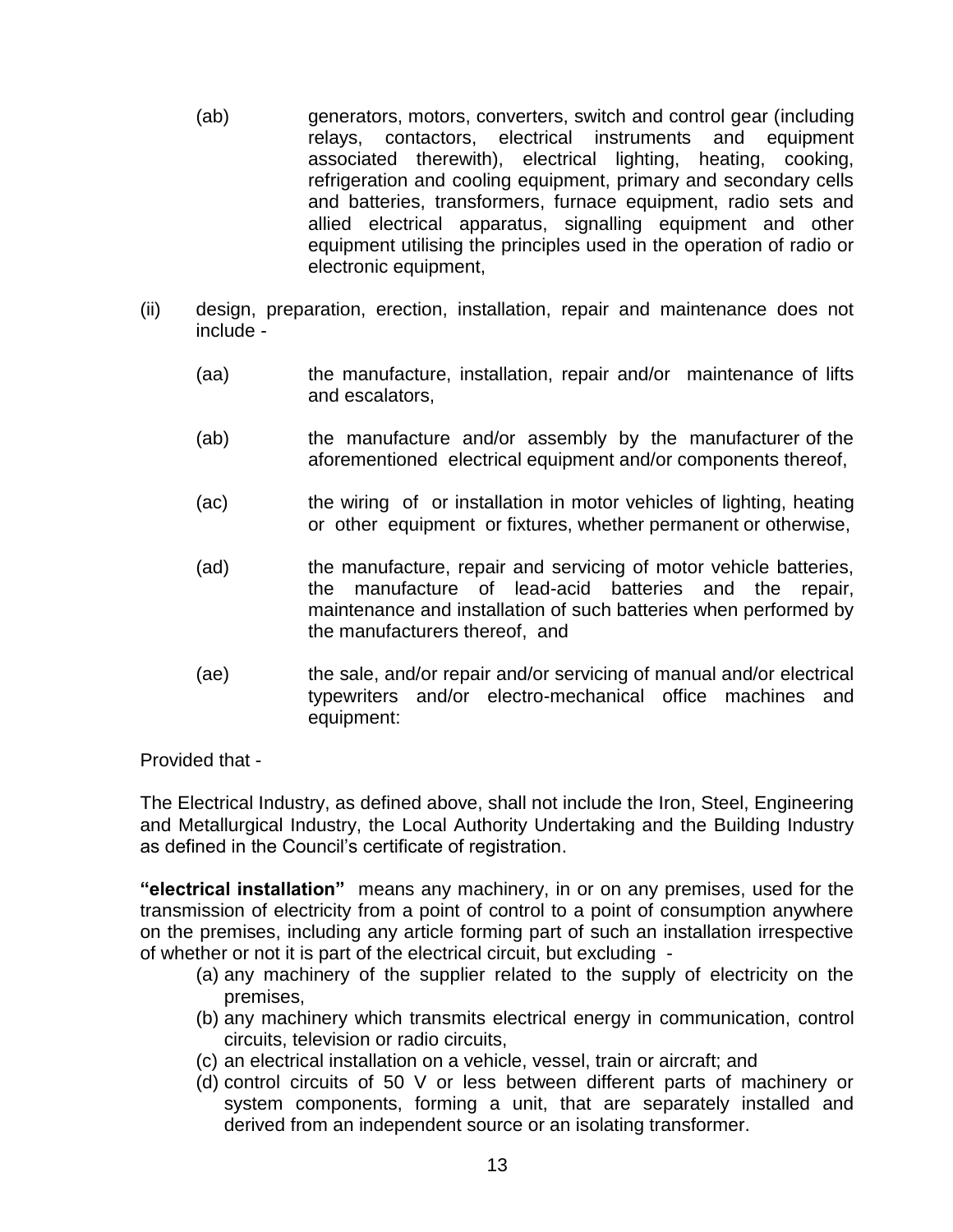- (ab) generators, motors, converters, switch and control gear (including relays, contactors, electrical instruments and equipment associated therewith), electrical lighting, heating, cooking, refrigeration and cooling equipment, primary and secondary cells and batteries, transformers, furnace equipment, radio sets and allied electrical apparatus, signalling equipment and other equipment utilising the principles used in the operation of radio or electronic equipment,
- (ii) design, preparation, erection, installation, repair and maintenance does not include -
	- (aa) the manufacture, installation, repair and/or maintenance of lifts and escalators,
	- (ab) the manufacture and/or assembly by the manufacturer of the aforementioned electrical equipment and/or components thereof,
	- (ac) the wiring of or installation in motor vehicles of lighting, heating or other equipment or fixtures, whether permanent or otherwise,
	- (ad) the manufacture, repair and servicing of motor vehicle batteries, the manufacture of lead-acid batteries and the repair, maintenance and installation of such batteries when performed by the manufacturers thereof, and
	- (ae) the sale, and/or repair and/or servicing of manual and/or electrical typewriters and/or electro-mechanical office machines and equipment:

Provided that -

The Electrical Industry, as defined above, shall not include the Iron, Steel, Engineering and Metallurgical Industry, the Local Authority Undertaking and the Building Industry as defined in the Council"s certificate of registration.

**"electrical installation"** means any machinery, in or on any premises, used for the transmission of electricity from a point of control to a point of consumption anywhere on the premises, including any article forming part of such an installation irrespective of whether or not it is part of the electrical circuit, but excluding -

- (a) any machinery of the supplier related to the supply of electricity on the premises,
- (b) any machinery which transmits electrical energy in communication, control circuits, television or radio circuits,
- (c) an electrical installation on a vehicle, vessel, train or aircraft; and
- (d) control circuits of 50 V or less between different parts of machinery or system components, forming a unit, that are separately installed and derived from an independent source or an isolating transformer.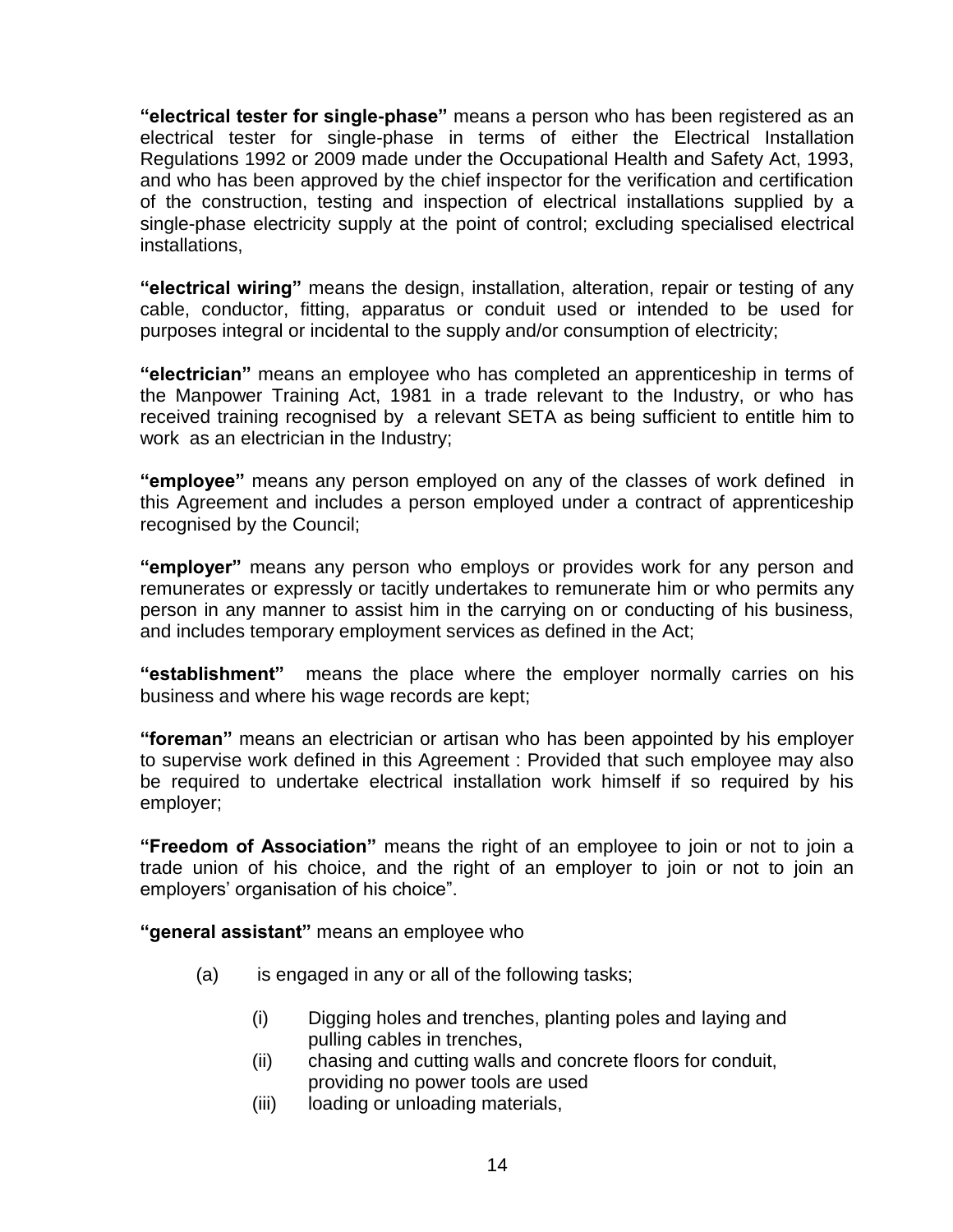**"electrical tester for single-phase"** means a person who has been registered as an electrical tester for single-phase in terms of either the Electrical Installation Regulations 1992 or 2009 made under the Occupational Health and Safety Act, 1993, and who has been approved by the chief inspector for the verification and certification of the construction, testing and inspection of electrical installations supplied by a single-phase electricity supply at the point of control; excluding specialised electrical installations,

**"electrical wiring"** means the design, installation, alteration, repair or testing of any cable, conductor, fitting, apparatus or conduit used or intended to be used for purposes integral or incidental to the supply and/or consumption of electricity;

**"electrician"** means an employee who has completed an apprenticeship in terms of the Manpower Training Act, 1981 in a trade relevant to the Industry, or who has received training recognised by a relevant SETA as being sufficient to entitle him to work as an electrician in the Industry;

**"employee"** means any person employed on any of the classes of work defined in this Agreement and includes a person employed under a contract of apprenticeship recognised by the Council;

**"employer"** means any person who employs or provides work for any person and remunerates or expressly or tacitly undertakes to remunerate him or who permits any person in any manner to assist him in the carrying on or conducting of his business, and includes temporary employment services as defined in the Act;

**"establishment"** means the place where the employer normally carries on his business and where his wage records are kept;

**"foreman"** means an electrician or artisan who has been appointed by his employer to supervise work defined in this Agreement : Provided that such employee may also be required to undertake electrical installation work himself if so required by his employer;

**"Freedom of Association"** means the right of an employee to join or not to join a trade union of his choice, and the right of an employer to join or not to join an employers" organisation of his choice".

**"general assistant"** means an employee who

- (a) is engaged in any or all of the following tasks;
	- (i) Digging holes and trenches, planting poles and laying and pulling cables in trenches,
	- (ii) chasing and cutting walls and concrete floors for conduit, providing no power tools are used
	- (iii) loading or unloading materials,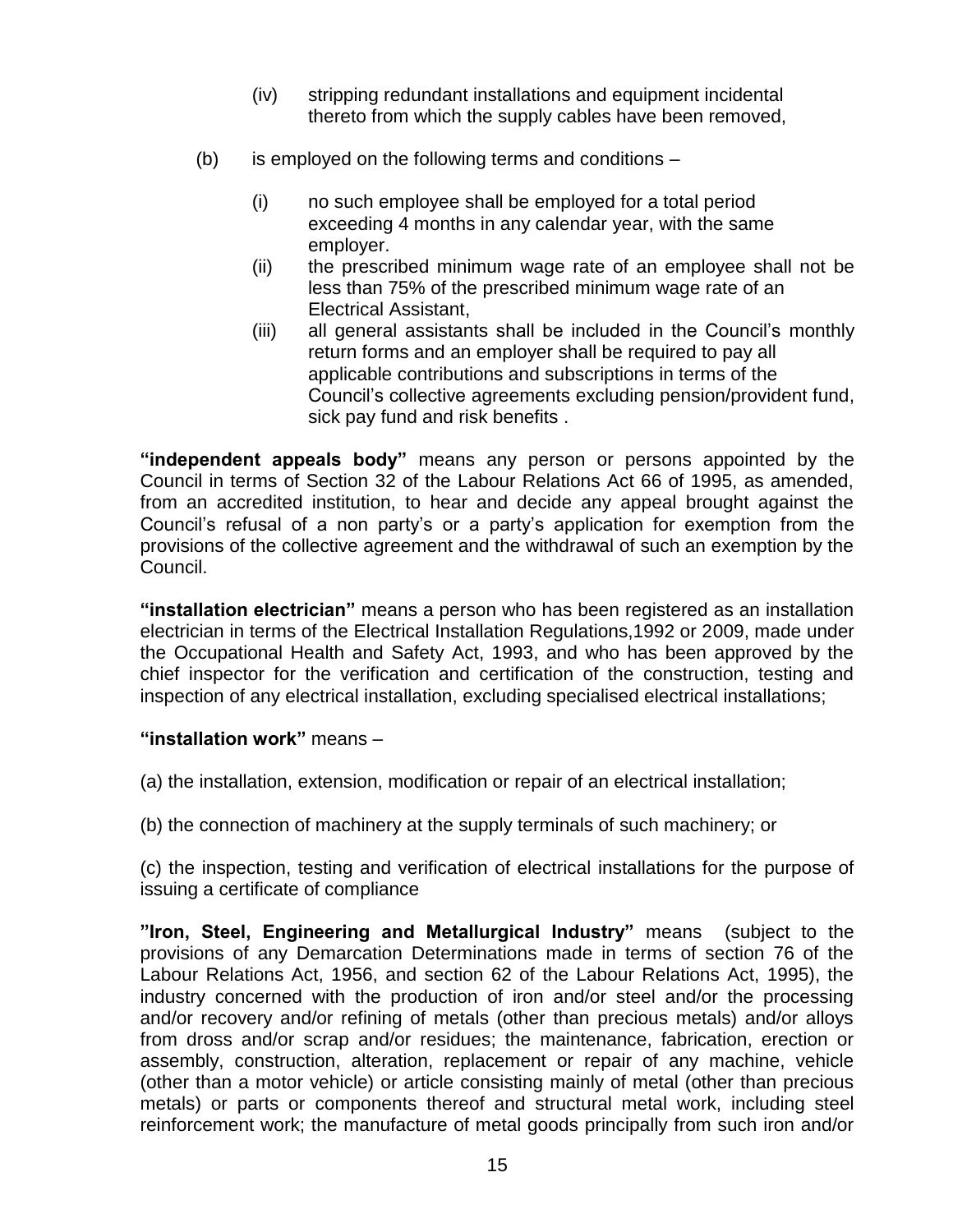- (iv) stripping redundant installations and equipment incidental thereto from which the supply cables have been removed,
- (b) is employed on the following terms and conditions
	- (i) no such employee shall be employed for a total period exceeding 4 months in any calendar year, with the same employer.
	- (ii) the prescribed minimum wage rate of an employee shall not be less than 75% of the prescribed minimum wage rate of an Electrical Assistant,
	- (iii) all general assistants shall be included in the Council"s monthly return forms and an employer shall be required to pay all applicable contributions and subscriptions in terms of the Council"s collective agreements excluding pension/provident fund, sick pay fund and risk benefits .

**"independent appeals body"** means any person or persons appointed by the Council in terms of Section 32 of the Labour Relations Act 66 of 1995, as amended, from an accredited institution, to hear and decide any appeal brought against the Council"s refusal of a non party"s or a party"s application for exemption from the provisions of the collective agreement and the withdrawal of such an exemption by the Council.

**"installation electrician"** means a person who has been registered as an installation electrician in terms of the Electrical Installation Regulations,1992 or 2009, made under the Occupational Health and Safety Act, 1993, and who has been approved by the chief inspector for the verification and certification of the construction, testing and inspection of any electrical installation, excluding specialised electrical installations;

### **"installation work"** means –

(a) the installation, extension, modification or repair of an electrical installation;

(b) the connection of machinery at the supply terminals of such machinery; or

(c) the inspection, testing and verification of electrical installations for the purpose of issuing a certificate of compliance

**"Iron, Steel, Engineering and Metallurgical Industry"** means (subject to the provisions of any Demarcation Determinations made in terms of section 76 of the Labour Relations Act, 1956, and section 62 of the Labour Relations Act, 1995), the industry concerned with the production of iron and/or steel and/or the processing and/or recovery and/or refining of metals (other than precious metals) and/or alloys from dross and/or scrap and/or residues; the maintenance, fabrication, erection or assembly, construction, alteration, replacement or repair of any machine, vehicle (other than a motor vehicle) or article consisting mainly of metal (other than precious metals) or parts or components thereof and structural metal work, including steel reinforcement work; the manufacture of metal goods principally from such iron and/or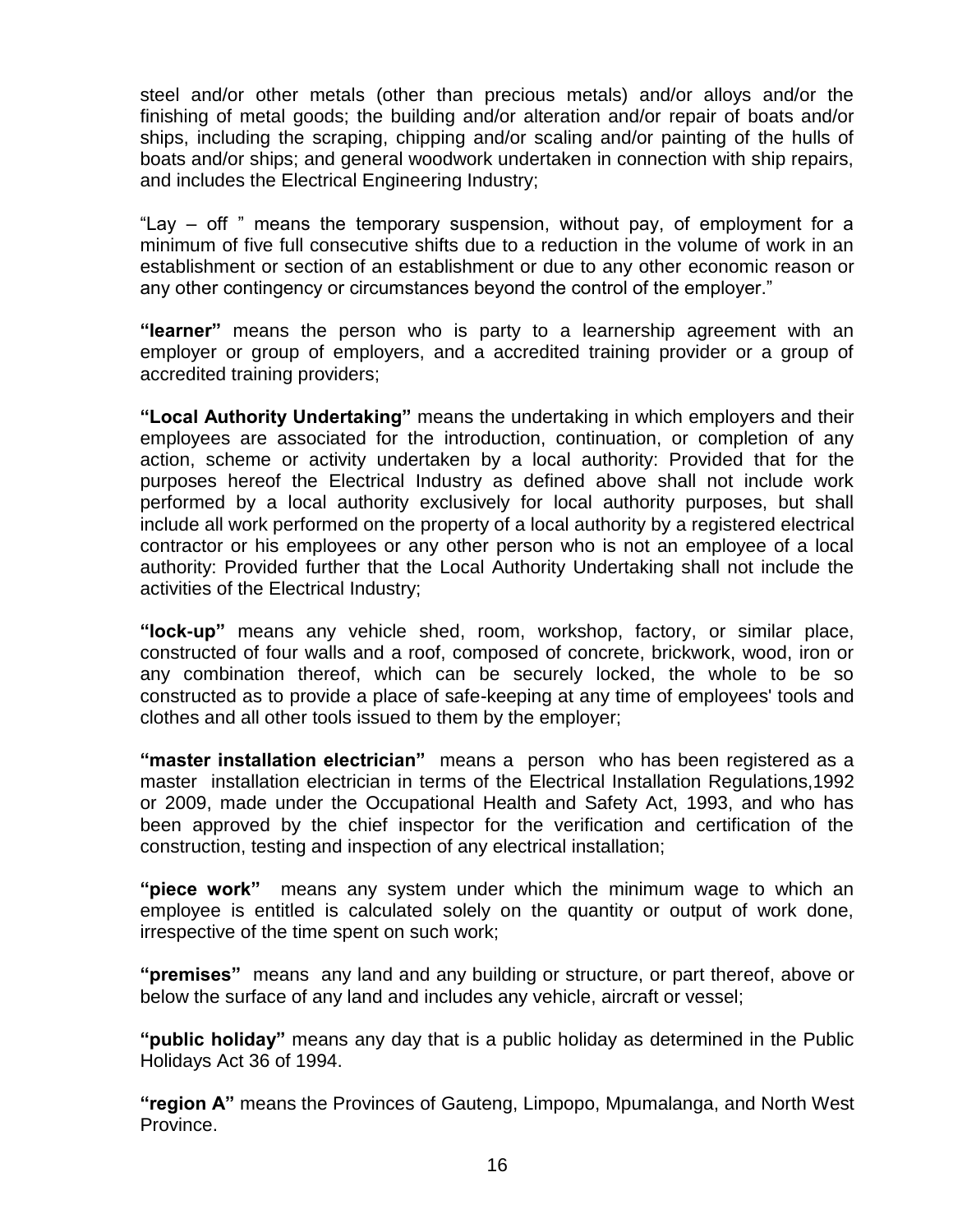steel and/or other metals (other than precious metals) and/or alloys and/or the finishing of metal goods; the building and/or alteration and/or repair of boats and/or ships, including the scraping, chipping and/or scaling and/or painting of the hulls of boats and/or ships; and general woodwork undertaken in connection with ship repairs, and includes the Electrical Engineering Industry;

"Lay – off " means the temporary suspension, without pay, of employment for a minimum of five full consecutive shifts due to a reduction in the volume of work in an establishment or section of an establishment or due to any other economic reason or any other contingency or circumstances beyond the control of the employer."

**"learner"** means the person who is party to a learnership agreement with an employer or group of employers, and a accredited training provider or a group of accredited training providers;

**"Local Authority Undertaking"** means the undertaking in which employers and their employees are associated for the introduction, continuation, or completion of any action, scheme or activity undertaken by a local authority: Provided that for the purposes hereof the Electrical Industry as defined above shall not include work performed by a local authority exclusively for local authority purposes, but shall include all work performed on the property of a local authority by a registered electrical contractor or his employees or any other person who is not an employee of a local authority: Provided further that the Local Authority Undertaking shall not include the activities of the Electrical Industry;

**"lock-up"** means any vehicle shed, room, workshop, factory, or similar place, constructed of four walls and a roof, composed of concrete, brickwork, wood, iron or any combination thereof, which can be securely locked, the whole to be so constructed as to provide a place of safe-keeping at any time of employees' tools and clothes and all other tools issued to them by the employer;

**"master installation electrician"** means a person who has been registered as a master installation electrician in terms of the Electrical Installation Regulations,1992 or 2009, made under the Occupational Health and Safety Act, 1993, and who has been approved by the chief inspector for the verification and certification of the construction, testing and inspection of any electrical installation;

**"piece work"** means any system under which the minimum wage to which an employee is entitled is calculated solely on the quantity or output of work done, irrespective of the time spent on such work;

**"premises"** means any land and any building or structure, or part thereof, above or below the surface of any land and includes any vehicle, aircraft or vessel;

**"public holiday"** means any day that is a public holiday as determined in the Public Holidays Act 36 of 1994.

**"region A"** means the Provinces of Gauteng, Limpopo, Mpumalanga, and North West Province.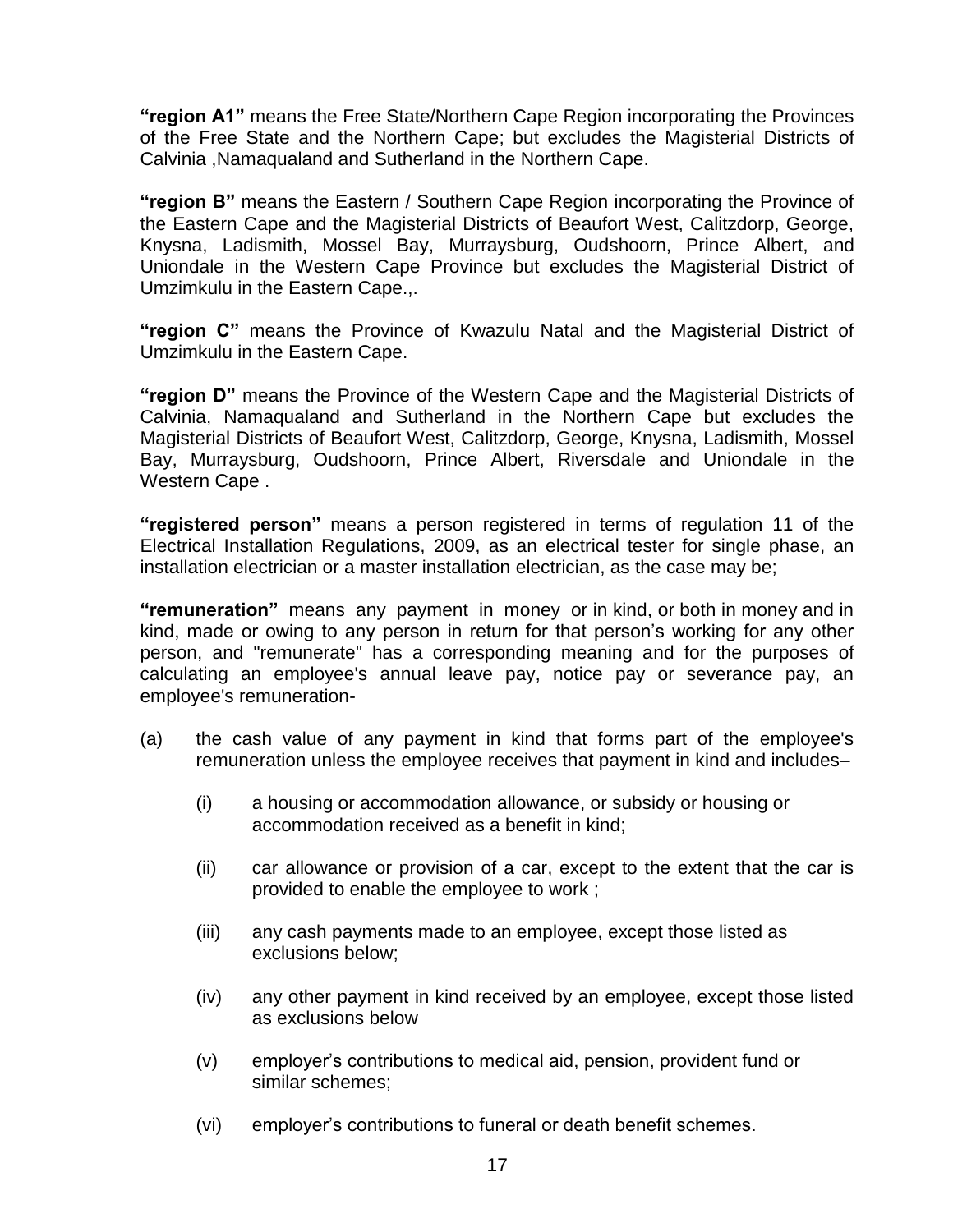**"region A1"** means the Free State/Northern Cape Region incorporating the Provinces of the Free State and the Northern Cape; but excludes the Magisterial Districts of Calvinia ,Namaqualand and Sutherland in the Northern Cape.

**"region B"** means the Eastern / Southern Cape Region incorporating the Province of the Eastern Cape and the Magisterial Districts of Beaufort West, Calitzdorp, George, Knysna, Ladismith, Mossel Bay, Murraysburg, Oudshoorn, Prince Albert, and Uniondale in the Western Cape Province but excludes the Magisterial District of Umzimkulu in the Eastern Cape.,.

**"region C"** means the Province of Kwazulu Natal and the Magisterial District of Umzimkulu in the Eastern Cape.

**"region D"** means the Province of the Western Cape and the Magisterial Districts of Calvinia, Namaqualand and Sutherland in the Northern Cape but excludes the Magisterial Districts of Beaufort West, Calitzdorp, George, Knysna, Ladismith, Mossel Bay, Murraysburg, Oudshoorn, Prince Albert, Riversdale and Uniondale in the Western Cape .

**"registered person"** means a person registered in terms of regulation 11 of the Electrical Installation Regulations, 2009, as an electrical tester for single phase, an installation electrician or a master installation electrician, as the case may be;

**"remuneration"** means any payment in money or in kind, or both in money and in kind, made or owing to any person in return for that person's working for any other person, and "remunerate" has a corresponding meaning and for the purposes of calculating an employee's annual leave pay, notice pay or severance pay, an employee's remuneration-

- (a) the cash value of any payment in kind that forms part of the employee's remuneration unless the employee receives that payment in kind and includes–
	- (i) a housing or accommodation allowance, or subsidy or housing or accommodation received as a benefit in kind;
	- (ii) car allowance or provision of a car, except to the extent that the car is provided to enable the employee to work ;
	- (iii) any cash payments made to an employee, except those listed as exclusions below;
	- (iv) any other payment in kind received by an employee, except those listed as exclusions below
	- (v) employer"s contributions to medical aid, pension, provident fund or similar schemes;
	- (vi) employer"s contributions to funeral or death benefit schemes.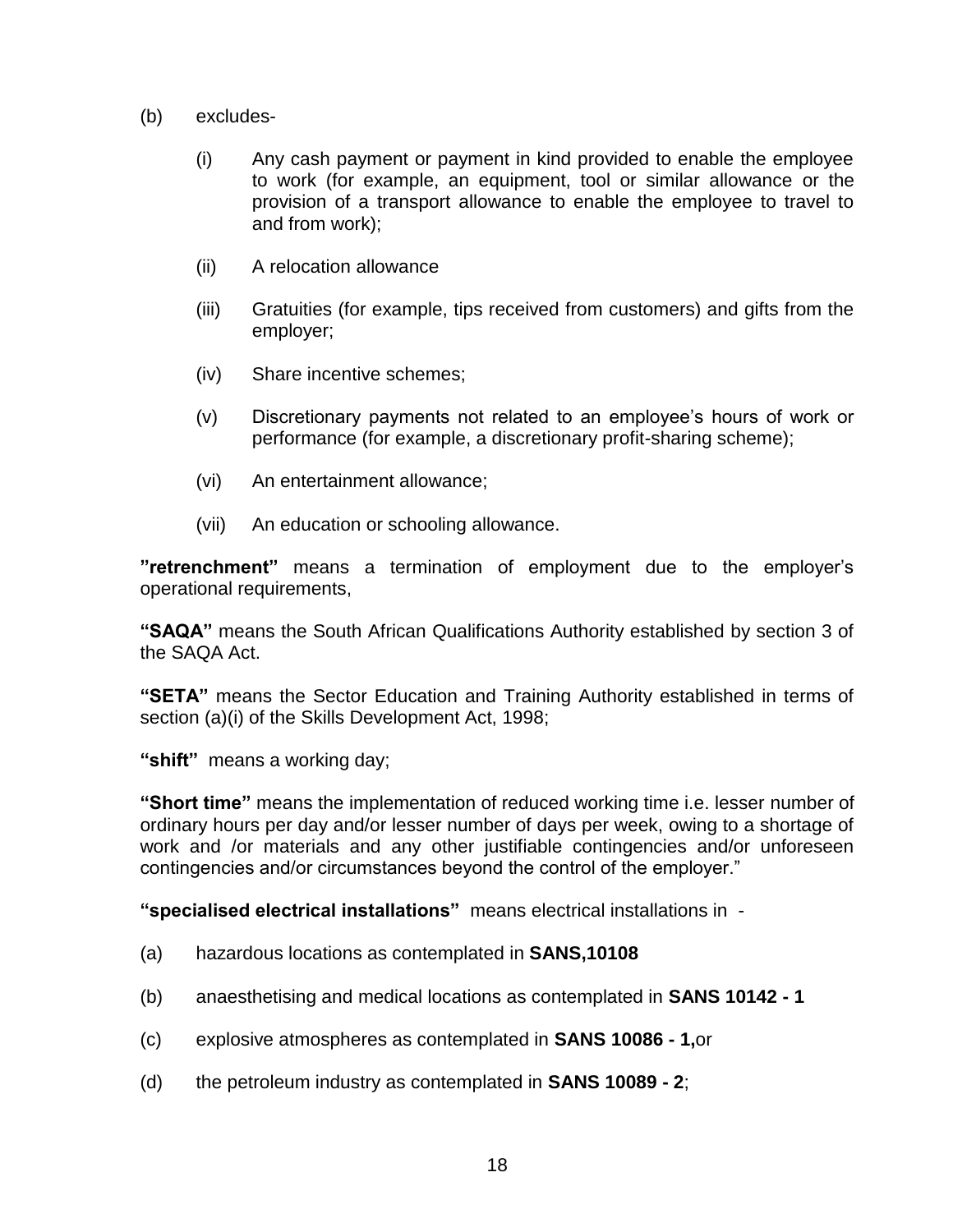- (b) excludes-
	- (i) Any cash payment or payment in kind provided to enable the employee to work (for example, an equipment, tool or similar allowance or the provision of a transport allowance to enable the employee to travel to and from work);
	- (ii) A relocation allowance
	- (iii) Gratuities (for example, tips received from customers) and gifts from the employer;
	- (iv) Share incentive schemes;
	- (v) Discretionary payments not related to an employee"s hours of work or performance (for example, a discretionary profit-sharing scheme);
	- (vi) An entertainment allowance;
	- (vii) An education or schooling allowance.

**"retrenchment"** means a termination of employment due to the employer"s operational requirements,

**"SAQA"** means the South African Qualifications Authority established by section 3 of the SAQA Act.

**"SETA"** means the Sector Education and Training Authority established in terms of section (a)(i) of the Skills Development Act, 1998;

**"shift"** means a working day;

**"Short time"** means the implementation of reduced working time i.e. lesser number of ordinary hours per day and/or lesser number of days per week, owing to a shortage of work and /or materials and any other justifiable contingencies and/or unforeseen contingencies and/or circumstances beyond the control of the employer."

**"specialised electrical installations"** means electrical installations in -

- (a) hazardous locations as contemplated in **SANS,10108**
- (b) anaesthetising and medical locations as contemplated in **SANS 10142 - 1**
- (c) explosive atmospheres as contemplated in **SANS 10086 - 1,**or
- (d) the petroleum industry as contemplated in **SANS 10089 - 2**;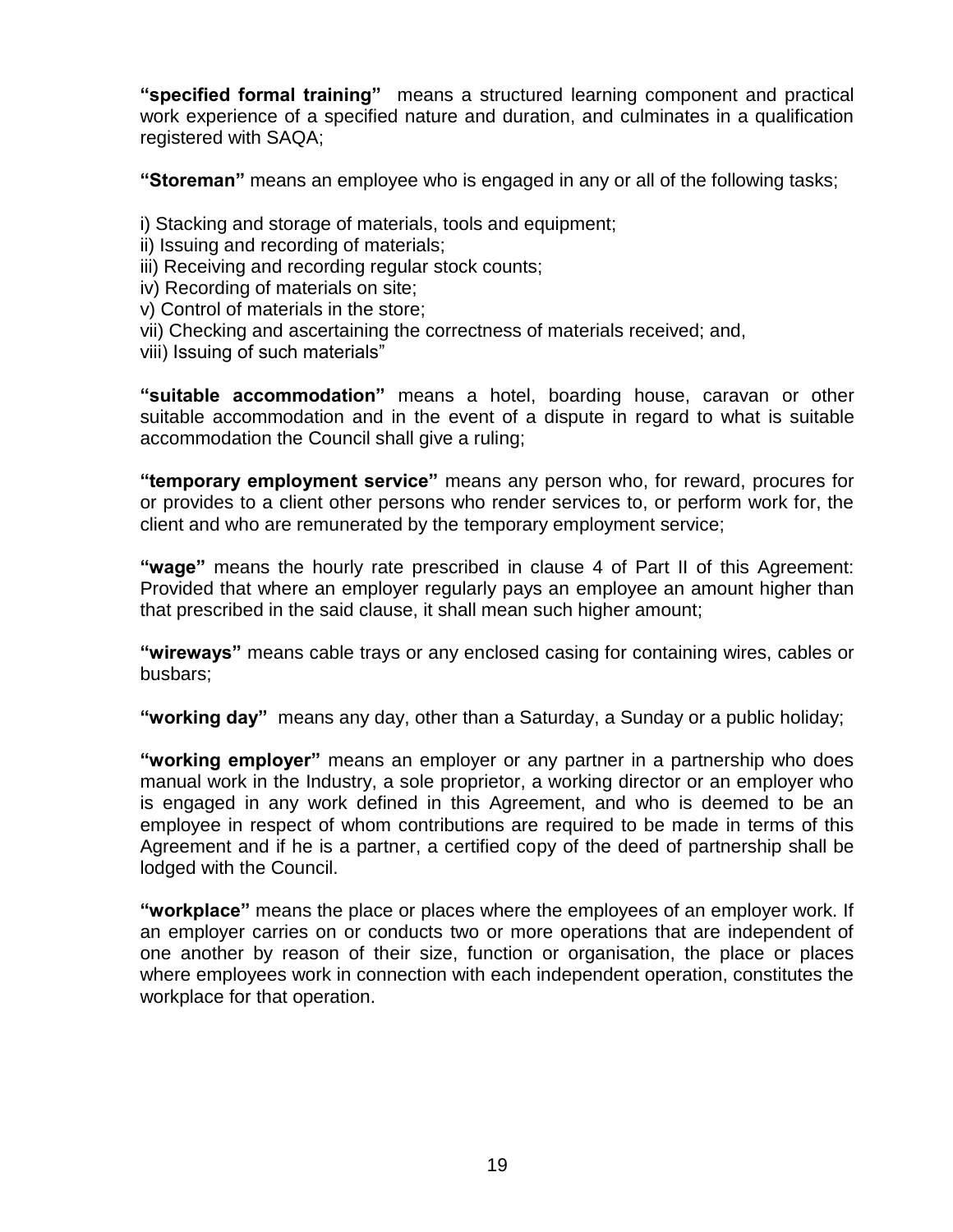**"specified formal training"** means a structured learning component and practical work experience of a specified nature and duration, and culminates in a qualification registered with SAQA;

**"Storeman"** means an employee who is engaged in any or all of the following tasks;

i) Stacking and storage of materials, tools and equipment;

ii) Issuing and recording of materials;

iii) Receiving and recording regular stock counts;

iv) Recording of materials on site;

v) Control of materials in the store;

- vii) Checking and ascertaining the correctness of materials received; and,
- viii) Issuing of such materials"

**"suitable accommodation"** means a hotel, boarding house, caravan or other suitable accommodation and in the event of a dispute in regard to what is suitable accommodation the Council shall give a ruling;

**"temporary employment service"** means any person who, for reward, procures for or provides to a client other persons who render services to, or perform work for, the client and who are remunerated by the temporary employment service;

**"wage"** means the hourly rate prescribed in clause 4 of Part II of this Agreement: Provided that where an employer regularly pays an employee an amount higher than that prescribed in the said clause, it shall mean such higher amount;

**"wireways"** means cable trays or any enclosed casing for containing wires, cables or busbars;

**"working day"** means any day, other than a Saturday, a Sunday or a public holiday;

**"working employer"** means an employer or any partner in a partnership who does manual work in the Industry, a sole proprietor, a working director or an employer who is engaged in any work defined in this Agreement, and who is deemed to be an employee in respect of whom contributions are required to be made in terms of this Agreement and if he is a partner, a certified copy of the deed of partnership shall be lodged with the Council.

**"workplace"** means the place or places where the employees of an employer work. If an employer carries on or conducts two or more operations that are independent of one another by reason of their size, function or organisation, the place or places where employees work in connection with each independent operation, constitutes the workplace for that operation.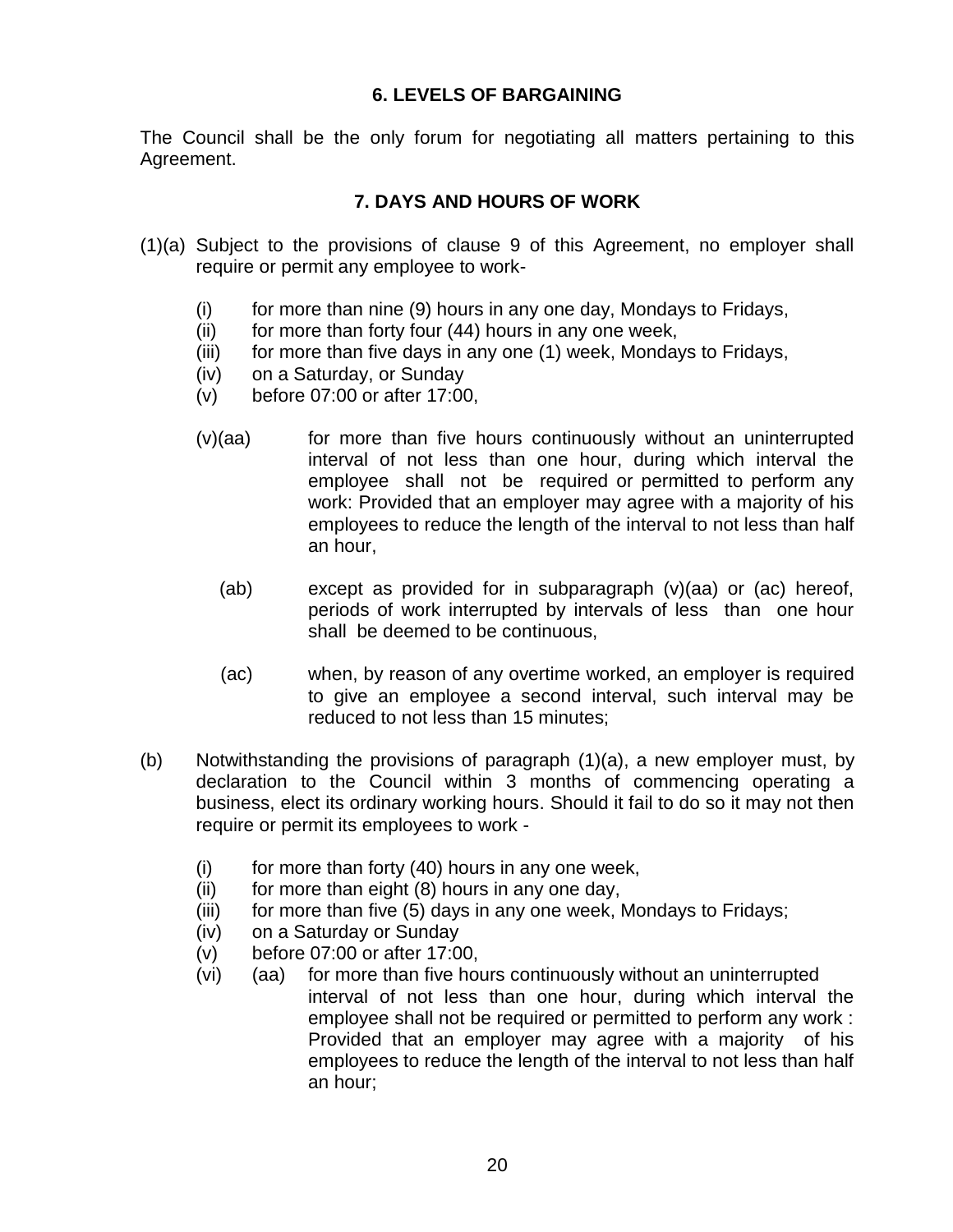#### **6. LEVELS OF BARGAINING**

The Council shall be the only forum for negotiating all matters pertaining to this Agreement.

#### **7. DAYS AND HOURS OF WORK**

- (1)(a) Subject to the provisions of clause 9 of this Agreement, no employer shall require or permit any employee to work-
	- (i) for more than nine (9) hours in any one day, Mondays to Fridays,
	- $(ii)$  for more than forty four  $(44)$  hours in any one week,
	- (iii) for more than five days in any one (1) week, Mondays to Fridays,
	- (iv) on a Saturday, or Sunday
	- (v) before 07:00 or after 17:00,
	- $(v)(aa)$  for more than five hours continuously without an uninterrupted interval of not less than one hour, during which interval the employee shall not be required or permitted to perform any work: Provided that an employer may agree with a majority of his employees to reduce the length of the interval to not less than half an hour,
		- (ab) except as provided for in subparagraph (v)(aa) or (ac) hereof, periods of work interrupted by intervals of less than one hour shall be deemed to be continuous,
		- (ac) when, by reason of any overtime worked, an employer is required to give an employee a second interval, such interval may be reduced to not less than 15 minutes;
- (b) Notwithstanding the provisions of paragraph (1)(a), a new employer must, by declaration to the Council within 3 months of commencing operating a business, elect its ordinary working hours. Should it fail to do so it may not then require or permit its employees to work -
	- $(i)$  for more than forty  $(40)$  hours in any one week,
	- $(ii)$  for more than eight  $(8)$  hours in any one day,
	- (iii) for more than five (5) days in any one week, Mondays to Fridays;
	- (iv) on a Saturday or Sunday
	- (v) before 07:00 or after 17:00,
	- (vi) (aa) for more than five hours continuously without an uninterrupted interval of not less than one hour, during which interval the employee shall not be required or permitted to perform any work : Provided that an employer may agree with a majority of his employees to reduce the length of the interval to not less than half an hour;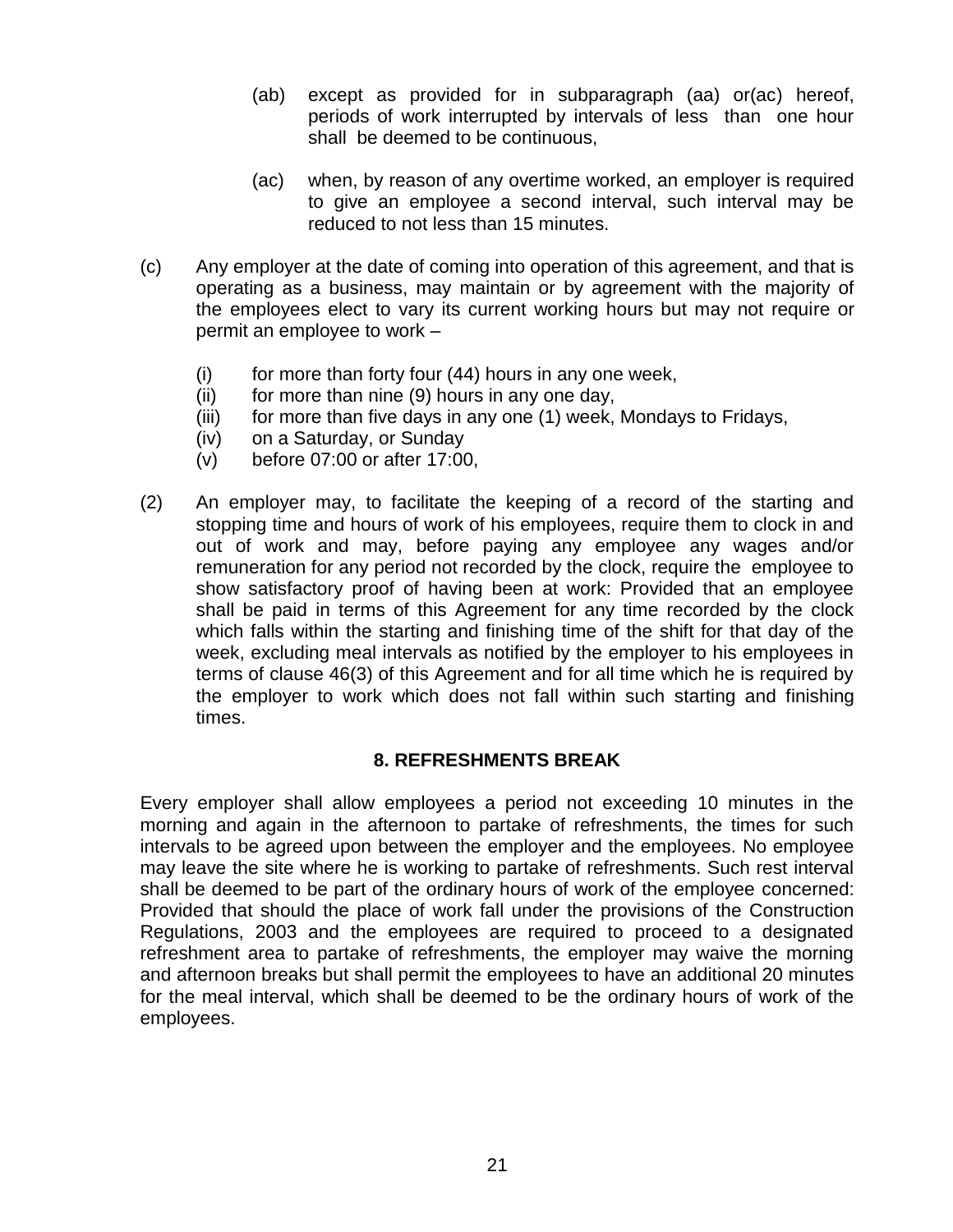- (ab) except as provided for in subparagraph (aa) or(ac) hereof, periods of work interrupted by intervals of less than one hour shall be deemed to be continuous,
- (ac) when, by reason of any overtime worked, an employer is required to give an employee a second interval, such interval may be reduced to not less than 15 minutes.
- (c) Any employer at the date of coming into operation of this agreement, and that is operating as a business, may maintain or by agreement with the majority of the employees elect to vary its current working hours but may not require or permit an employee to work –
	- $(i)$  for more than forty four  $(44)$  hours in any one week,
	- $(ii)$  for more than nine  $(9)$  hours in any one day,
	- (iii) for more than five days in any one (1) week, Mondays to Fridays,
	- (iv) on a Saturday, or Sunday
	- (v) before 07:00 or after 17:00,
- (2) An employer may, to facilitate the keeping of a record of the starting and stopping time and hours of work of his employees, require them to clock in and out of work and may, before paying any employee any wages and/or remuneration for any period not recorded by the clock, require the employee to show satisfactory proof of having been at work: Provided that an employee shall be paid in terms of this Agreement for any time recorded by the clock which falls within the starting and finishing time of the shift for that day of the week, excluding meal intervals as notified by the employer to his employees in terms of clause 46(3) of this Agreement and for all time which he is required by the employer to work which does not fall within such starting and finishing times.

#### **8. REFRESHMENTS BREAK**

Every employer shall allow employees a period not exceeding 10 minutes in the morning and again in the afternoon to partake of refreshments, the times for such intervals to be agreed upon between the employer and the employees. No employee may leave the site where he is working to partake of refreshments. Such rest interval shall be deemed to be part of the ordinary hours of work of the employee concerned: Provided that should the place of work fall under the provisions of the Construction Regulations, 2003 and the employees are required to proceed to a designated refreshment area to partake of refreshments, the employer may waive the morning and afternoon breaks but shall permit the employees to have an additional 20 minutes for the meal interval, which shall be deemed to be the ordinary hours of work of the employees.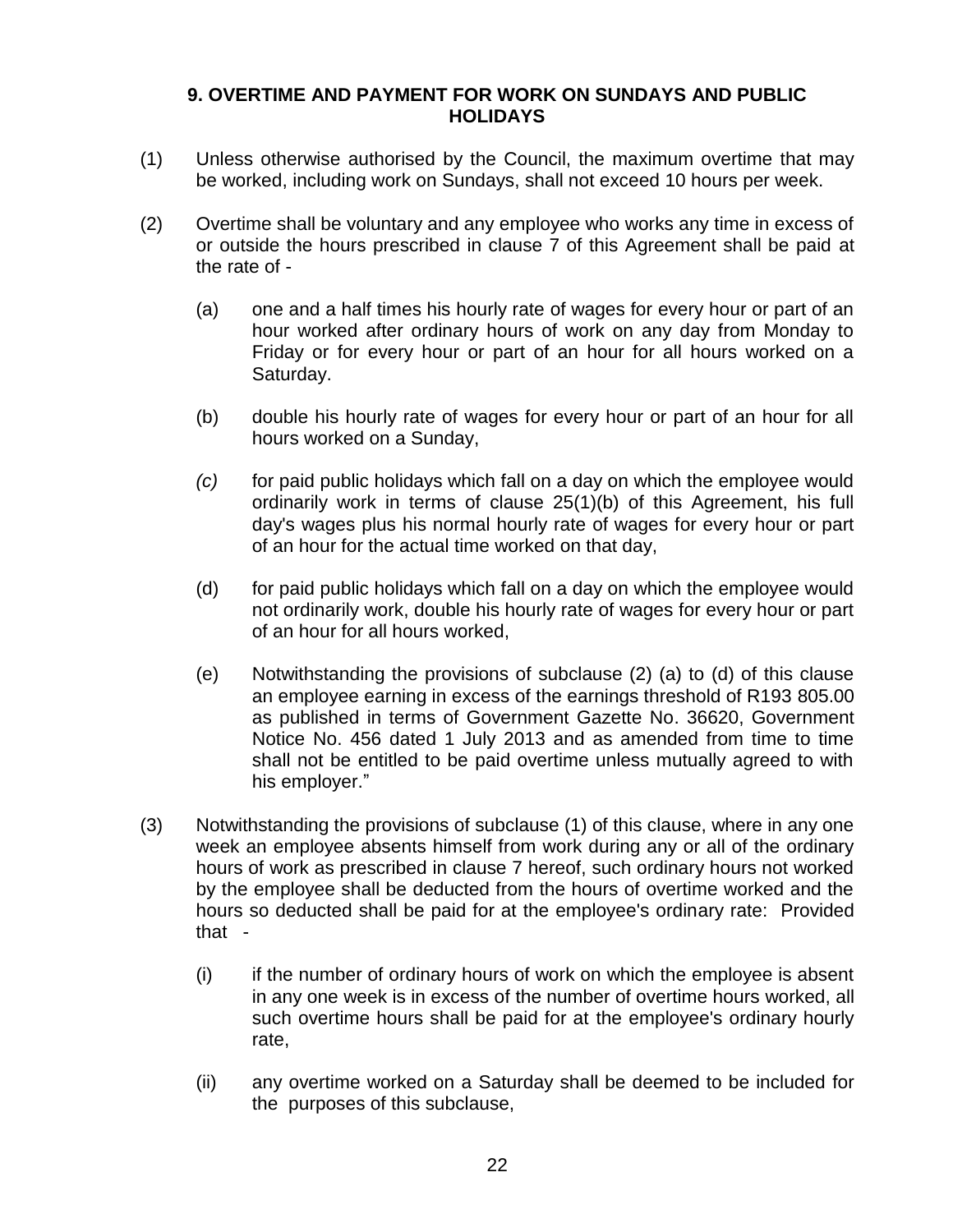#### **9. OVERTIME AND PAYMENT FOR WORK ON SUNDAYS AND PUBLIC HOLIDAYS**

- (1) Unless otherwise authorised by the Council, the maximum overtime that may be worked, including work on Sundays, shall not exceed 10 hours per week.
- (2) Overtime shall be voluntary and any employee who works any time in excess of or outside the hours prescribed in clause 7 of this Agreement shall be paid at the rate of -
	- (a) one and a half times his hourly rate of wages for every hour or part of an hour worked after ordinary hours of work on any day from Monday to Friday or for every hour or part of an hour for all hours worked on a Saturday.
	- (b) double his hourly rate of wages for every hour or part of an hour for all hours worked on a Sunday,
	- *(c)* for paid public holidays which fall on a day on which the employee would ordinarily work in terms of clause 25(1)(b) of this Agreement, his full day's wages plus his normal hourly rate of wages for every hour or part of an hour for the actual time worked on that day,
	- (d) for paid public holidays which fall on a day on which the employee would not ordinarily work, double his hourly rate of wages for every hour or part of an hour for all hours worked,
	- (e) Notwithstanding the provisions of subclause (2) (a) to (d) of this clause an employee earning in excess of the earnings threshold of R193 805.00 as published in terms of Government Gazette No. 36620, Government Notice No. 456 dated 1 July 2013 and as amended from time to time shall not be entitled to be paid overtime unless mutually agreed to with his employer."
- (3) Notwithstanding the provisions of subclause (1) of this clause, where in any one week an employee absents himself from work during any or all of the ordinary hours of work as prescribed in clause 7 hereof, such ordinary hours not worked by the employee shall be deducted from the hours of overtime worked and the hours so deducted shall be paid for at the employee's ordinary rate: Provided that -
	- (i) if the number of ordinary hours of work on which the employee is absent in any one week is in excess of the number of overtime hours worked, all such overtime hours shall be paid for at the employee's ordinary hourly rate,
	- (ii) any overtime worked on a Saturday shall be deemed to be included for the purposes of this subclause,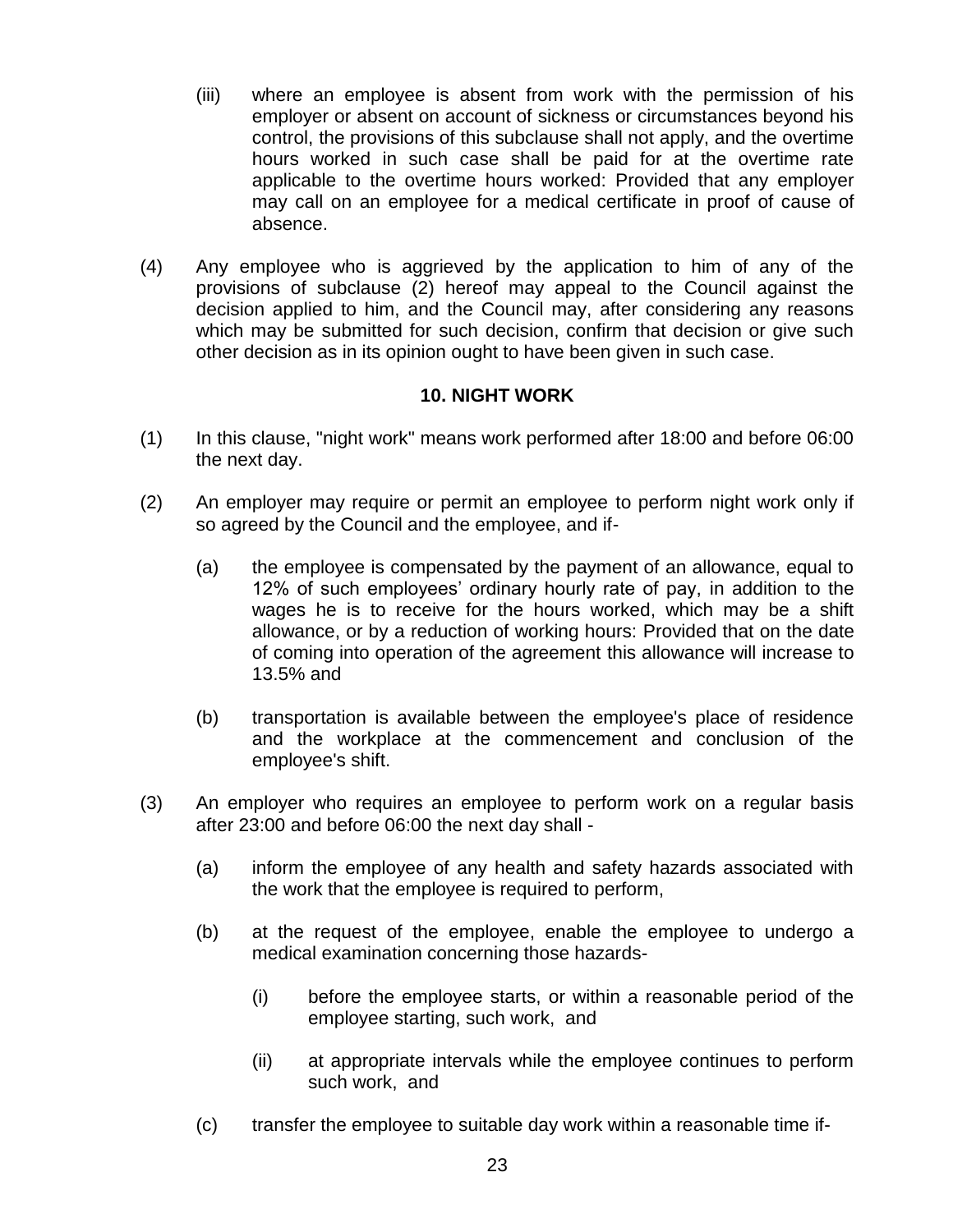- (iii) where an employee is absent from work with the permission of his employer or absent on account of sickness or circumstances beyond his control, the provisions of this subclause shall not apply, and the overtime hours worked in such case shall be paid for at the overtime rate applicable to the overtime hours worked: Provided that any employer may call on an employee for a medical certificate in proof of cause of absence.
- (4) Any employee who is aggrieved by the application to him of any of the provisions of subclause (2) hereof may appeal to the Council against the decision applied to him, and the Council may, after considering any reasons which may be submitted for such decision, confirm that decision or give such other decision as in its opinion ought to have been given in such case.

#### **10. NIGHT WORK**

- (1) In this clause, "night work" means work performed after 18:00 and before 06:00 the next day.
- (2) An employer may require or permit an employee to perform night work only if so agreed by the Council and the employee, and if-
	- (a) the employee is compensated by the payment of an allowance, equal to 12% of such employees' ordinary hourly rate of pay, in addition to the wages he is to receive for the hours worked, which may be a shift allowance, or by a reduction of working hours: Provided that on the date of coming into operation of the agreement this allowance will increase to 13.5% and
	- (b) transportation is available between the employee's place of residence and the workplace at the commencement and conclusion of the employee's shift.
- (3) An employer who requires an employee to perform work on a regular basis after 23:00 and before 06:00 the next day shall -
	- (a) inform the employee of any health and safety hazards associated with the work that the employee is required to perform,
	- (b) at the request of the employee, enable the employee to undergo a medical examination concerning those hazards-
		- (i) before the employee starts, or within a reasonable period of the employee starting, such work, and
		- (ii) at appropriate intervals while the employee continues to perform such work, and
	- (c) transfer the employee to suitable day work within a reasonable time if-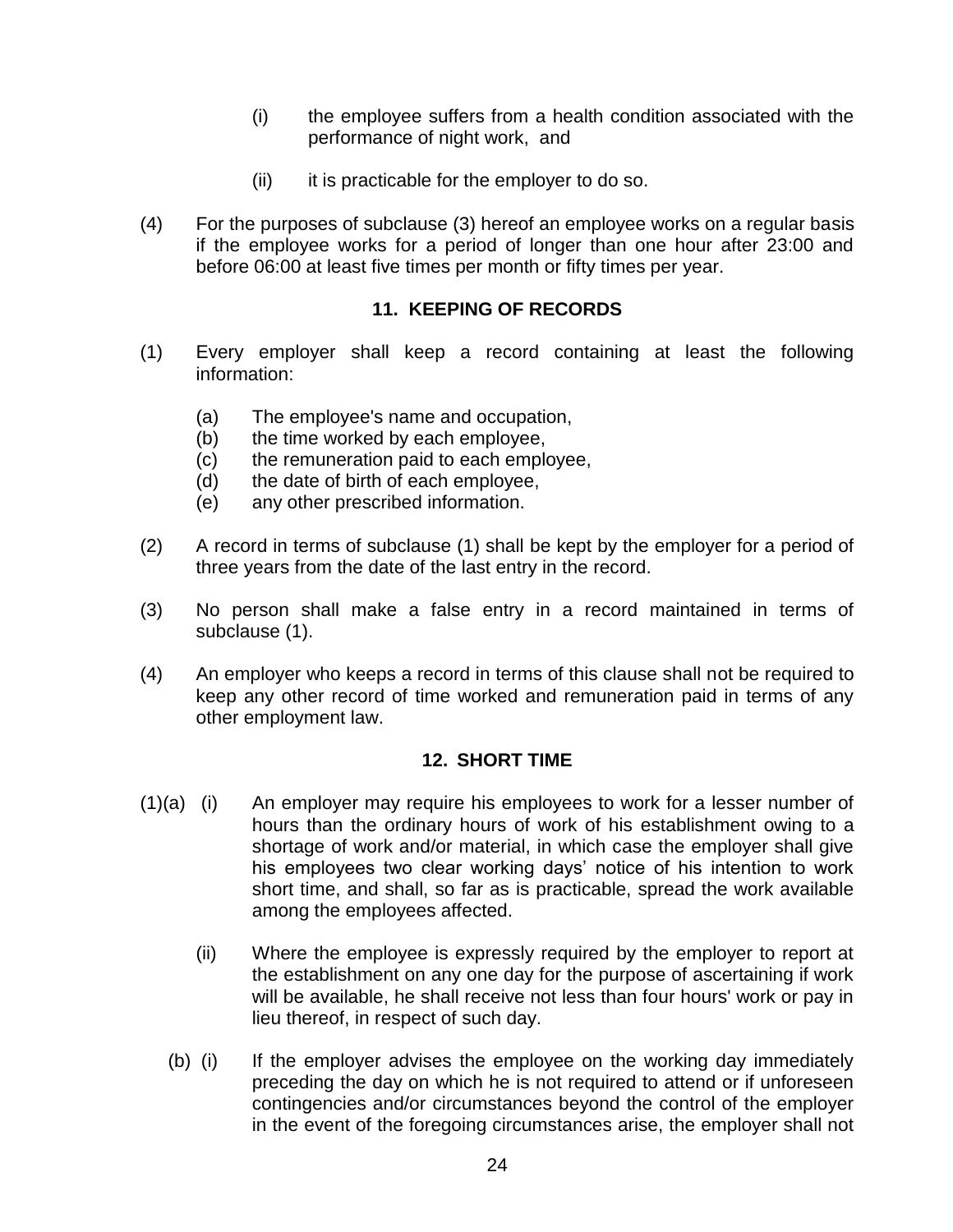- (i) the employee suffers from a health condition associated with the performance of night work, and
- $(ii)$  it is practicable for the employer to do so.
- (4) For the purposes of subclause (3) hereof an employee works on a regular basis if the employee works for a period of longer than one hour after 23:00 and before 06:00 at least five times per month or fifty times per year.

#### **11. KEEPING OF RECORDS**

- (1) Every employer shall keep a record containing at least the following information:
	- (a) The employee's name and occupation,
	- (b) the time worked by each employee,
	- (c) the remuneration paid to each employee,
	- (d) the date of birth of each employee,
	- (e) any other prescribed information.
- (2) A record in terms of subclause (1) shall be kept by the employer for a period of three years from the date of the last entry in the record.
- (3) No person shall make a false entry in a record maintained in terms of subclause (1).
- (4) An employer who keeps a record in terms of this clause shall not be required to keep any other record of time worked and remuneration paid in terms of any other employment law.

### **12. SHORT TIME**

- (1)(a) (i) An employer may require his employees to work for a lesser number of hours than the ordinary hours of work of his establishment owing to a shortage of work and/or material, in which case the employer shall give his employees two clear working days' notice of his intention to work short time, and shall, so far as is practicable, spread the work available among the employees affected.
	- (ii) Where the employee is expressly required by the employer to report at the establishment on any one day for the purpose of ascertaining if work will be available, he shall receive not less than four hours' work or pay in lieu thereof, in respect of such day.
	- (b) (i) If the employer advises the employee on the working day immediately preceding the day on which he is not required to attend or if unforeseen contingencies and/or circumstances beyond the control of the employer in the event of the foregoing circumstances arise, the employer shall not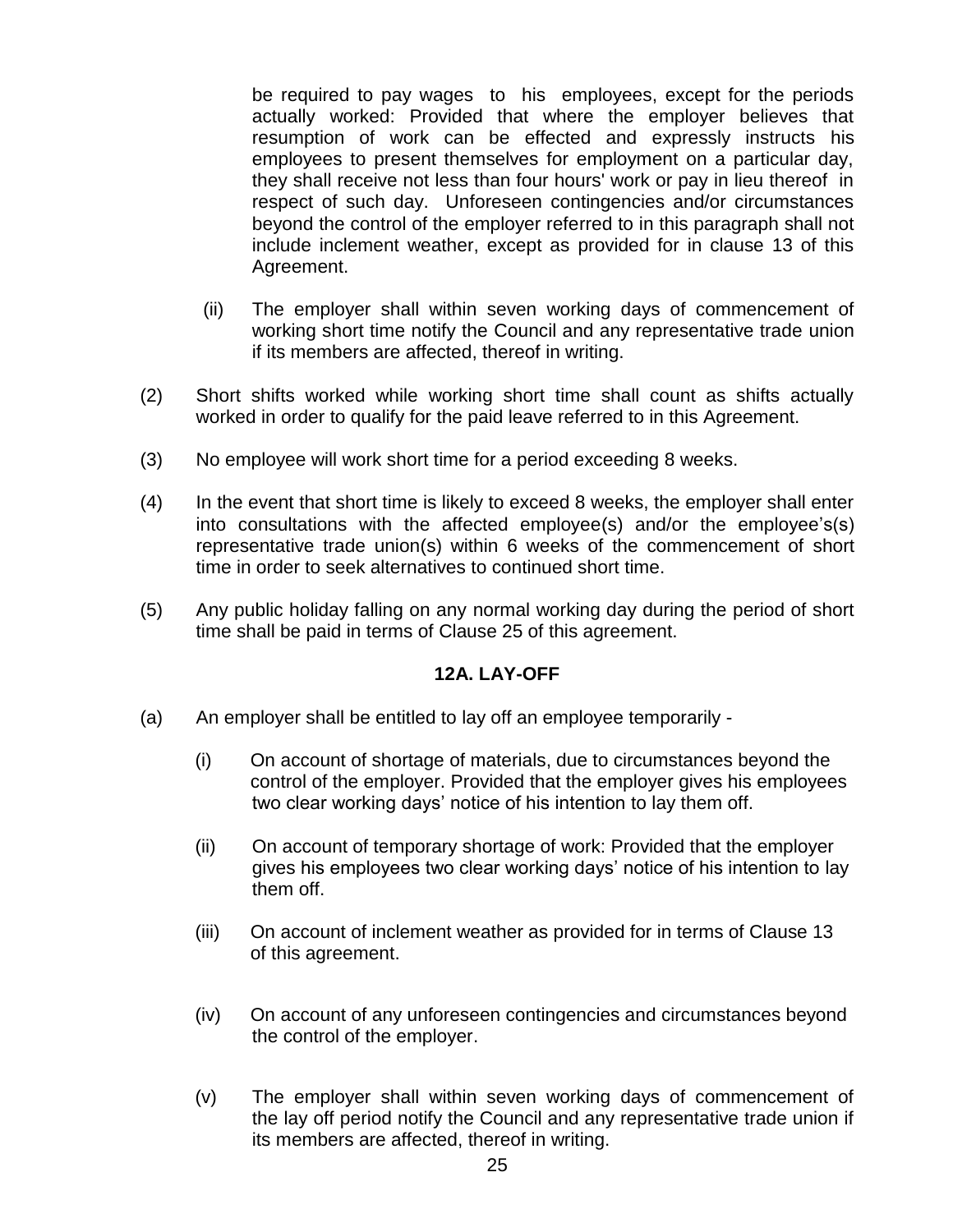be required to pay wages to his employees, except for the periods actually worked: Provided that where the employer believes that resumption of work can be effected and expressly instructs his employees to present themselves for employment on a particular day, they shall receive not less than four hours' work or pay in lieu thereof in respect of such day. Unforeseen contingencies and/or circumstances beyond the control of the employer referred to in this paragraph shall not include inclement weather, except as provided for in clause 13 of this Agreement.

- (ii) The employer shall within seven working days of commencement of working short time notify the Council and any representative trade union if its members are affected, thereof in writing.
- (2) Short shifts worked while working short time shall count as shifts actually worked in order to qualify for the paid leave referred to in this Agreement.
- (3) No employee will work short time for a period exceeding 8 weeks.
- (4) In the event that short time is likely to exceed 8 weeks, the employer shall enter into consultations with the affected employee(s) and/or the employee's(s) representative trade union(s) within 6 weeks of the commencement of short time in order to seek alternatives to continued short time.
- (5) Any public holiday falling on any normal working day during the period of short time shall be paid in terms of Clause 25 of this agreement.

#### **12A. LAY-OFF**

- (a) An employer shall be entitled to lay off an employee temporarily
	- (i) On account of shortage of materials, due to circumstances beyond the control of the employer. Provided that the employer gives his employees two clear working days" notice of his intention to lay them off.
	- (ii) On account of temporary shortage of work: Provided that the employer gives his employees two clear working days" notice of his intention to lay them off.
	- (iii) On account of inclement weather as provided for in terms of Clause 13 of this agreement.
	- (iv) On account of any unforeseen contingencies and circumstances beyond the control of the employer.
	- (v) The employer shall within seven working days of commencement of the lay off period notify the Council and any representative trade union if its members are affected, thereof in writing.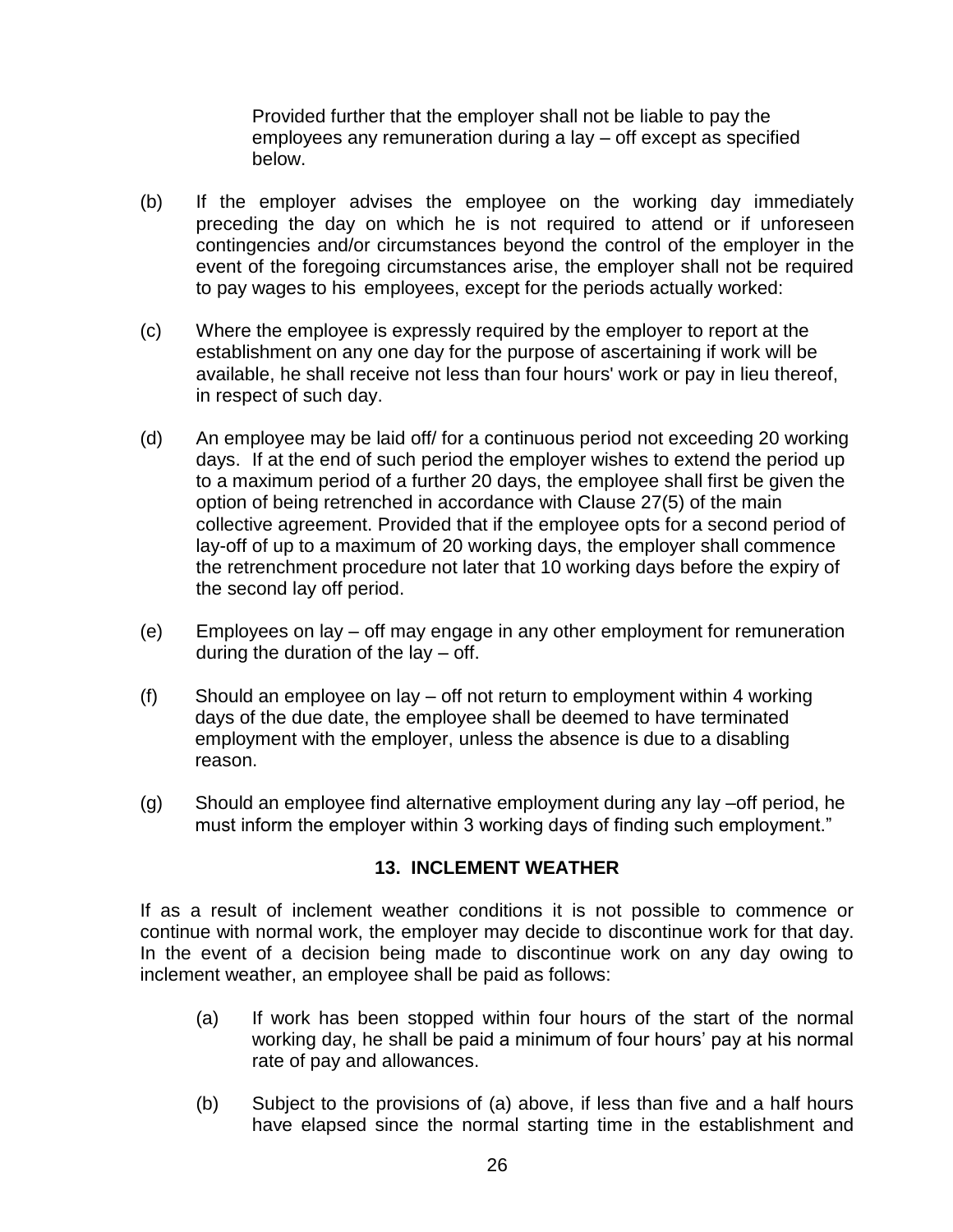Provided further that the employer shall not be liable to pay the employees any remuneration during a lay – off except as specified below.

- (b) If the employer advises the employee on the working day immediately preceding the day on which he is not required to attend or if unforeseen contingencies and/or circumstances beyond the control of the employer in the event of the foregoing circumstances arise, the employer shall not be required to pay wages to his employees, except for the periods actually worked:
- (c) Where the employee is expressly required by the employer to report at the establishment on any one day for the purpose of ascertaining if work will be available, he shall receive not less than four hours' work or pay in lieu thereof, in respect of such day.
- (d) An employee may be laid off/ for a continuous period not exceeding 20 working days. If at the end of such period the employer wishes to extend the period up to a maximum period of a further 20 days, the employee shall first be given the option of being retrenched in accordance with Clause 27(5) of the main collective agreement. Provided that if the employee opts for a second period of lay-off of up to a maximum of 20 working days, the employer shall commence the retrenchment procedure not later that 10 working days before the expiry of the second lay off period.
- (e) Employees on lay off may engage in any other employment for remuneration during the duration of the lay  $-$  off.
- (f) Should an employee on lay off not return to employment within 4 working days of the due date, the employee shall be deemed to have terminated employment with the employer, unless the absence is due to a disabling reason.
- (g) Should an employee find alternative employment during any lay –off period, he must inform the employer within 3 working days of finding such employment."

#### **13. INCLEMENT WEATHER**

If as a result of inclement weather conditions it is not possible to commence or continue with normal work, the employer may decide to discontinue work for that day. In the event of a decision being made to discontinue work on any day owing to inclement weather, an employee shall be paid as follows:

- (a) If work has been stopped within four hours of the start of the normal working day, he shall be paid a minimum of four hours' pay at his normal rate of pay and allowances.
- (b) Subject to the provisions of (a) above, if less than five and a half hours have elapsed since the normal starting time in the establishment and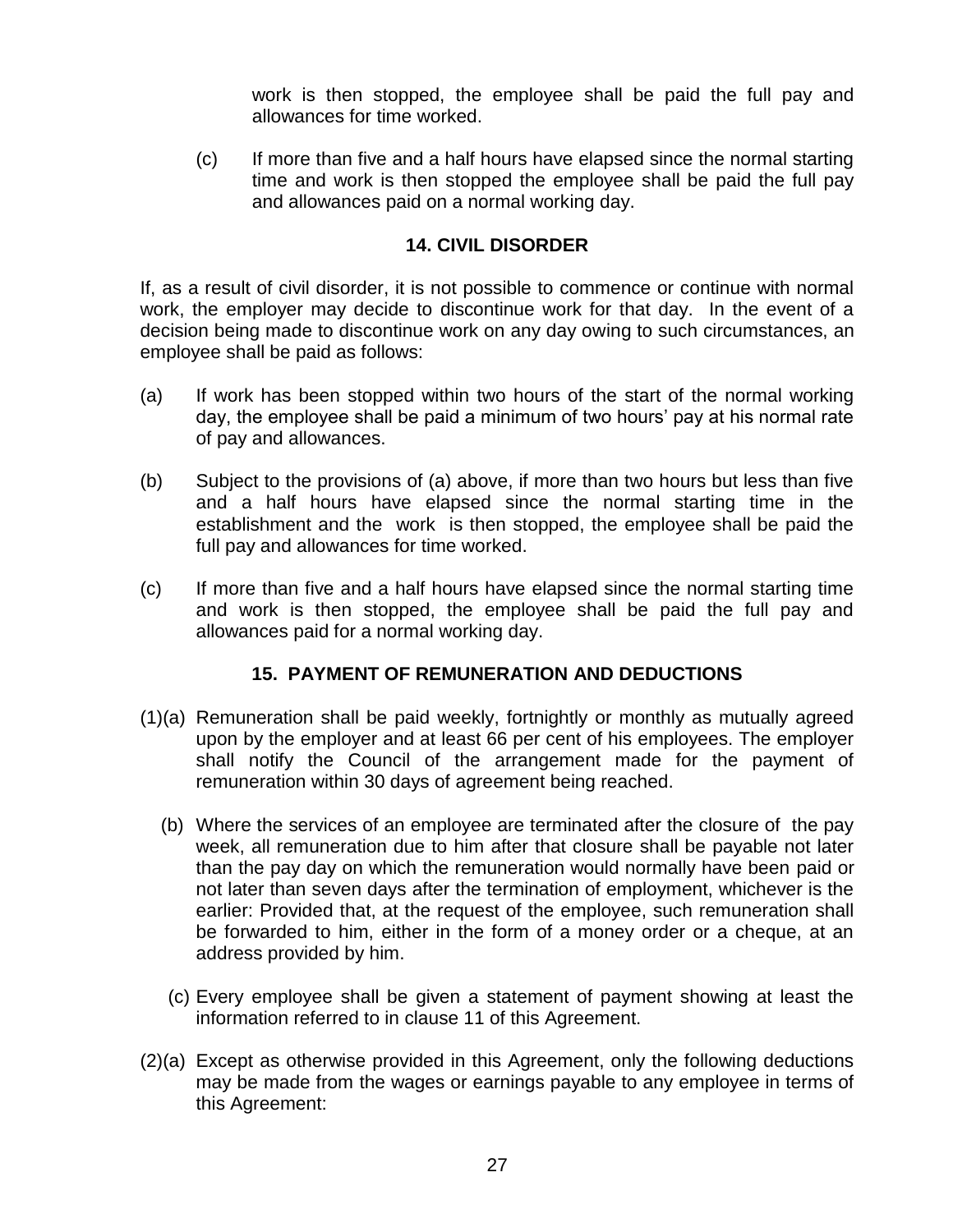work is then stopped, the employee shall be paid the full pay and allowances for time worked.

(c) If more than five and a half hours have elapsed since the normal starting time and work is then stopped the employee shall be paid the full pay and allowances paid on a normal working day.

#### **14. CIVIL DISORDER**

If, as a result of civil disorder, it is not possible to commence or continue with normal work, the employer may decide to discontinue work for that day. In the event of a decision being made to discontinue work on any day owing to such circumstances, an employee shall be paid as follows:

- (a) If work has been stopped within two hours of the start of the normal working day, the employee shall be paid a minimum of two hours" pay at his normal rate of pay and allowances.
- (b) Subject to the provisions of (a) above, if more than two hours but less than five and a half hours have elapsed since the normal starting time in the establishment and the work is then stopped, the employee shall be paid the full pay and allowances for time worked.
- (c) If more than five and a half hours have elapsed since the normal starting time and work is then stopped, the employee shall be paid the full pay and allowances paid for a normal working day.

### **15. PAYMENT OF REMUNERATION AND DEDUCTIONS**

- (1)(a) Remuneration shall be paid weekly, fortnightly or monthly as mutually agreed upon by the employer and at least 66 per cent of his employees. The employer shall notify the Council of the arrangement made for the payment of remuneration within 30 days of agreement being reached.
	- (b) Where the services of an employee are terminated after the closure of the pay week, all remuneration due to him after that closure shall be payable not later than the pay day on which the remuneration would normally have been paid or not later than seven days after the termination of employment, whichever is the earlier: Provided that, at the request of the employee, such remuneration shall be forwarded to him, either in the form of a money order or a cheque, at an address provided by him.
	- (c) Every employee shall be given a statement of payment showing at least the information referred to in clause 11 of this Agreement.
- (2)(a) Except as otherwise provided in this Agreement, only the following deductions may be made from the wages or earnings payable to any employee in terms of this Agreement: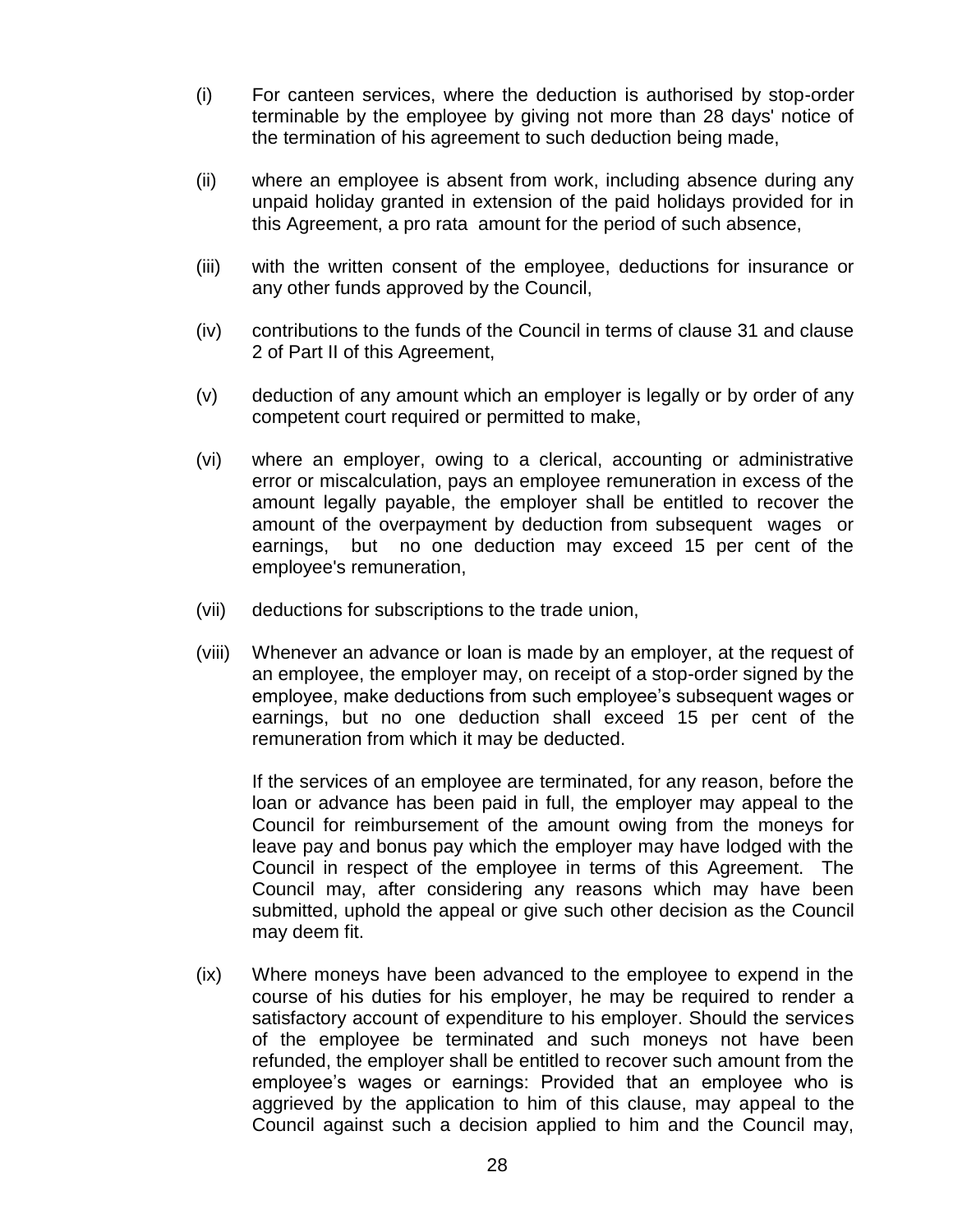- (i) For canteen services, where the deduction is authorised by stop-order terminable by the employee by giving not more than 28 days' notice of the termination of his agreement to such deduction being made,
- (ii) where an employee is absent from work, including absence during any unpaid holiday granted in extension of the paid holidays provided for in this Agreement, a pro rata amount for the period of such absence,
- (iii) with the written consent of the employee, deductions for insurance or any other funds approved by the Council,
- (iv) contributions to the funds of the Council in terms of clause 31 and clause 2 of Part II of this Agreement,
- (v) deduction of any amount which an employer is legally or by order of any competent court required or permitted to make,
- (vi) where an employer, owing to a clerical, accounting or administrative error or miscalculation, pays an employee remuneration in excess of the amount legally payable, the employer shall be entitled to recover the amount of the overpayment by deduction from subsequent wages or earnings, but no one deduction may exceed 15 per cent of the employee's remuneration,
- (vii) deductions for subscriptions to the trade union,
- (viii) Whenever an advance or loan is made by an employer, at the request of an employee, the employer may, on receipt of a stop-order signed by the employee, make deductions from such employee"s subsequent wages or earnings, but no one deduction shall exceed 15 per cent of the remuneration from which it may be deducted.

If the services of an employee are terminated, for any reason, before the loan or advance has been paid in full, the employer may appeal to the Council for reimbursement of the amount owing from the moneys for leave pay and bonus pay which the employer may have lodged with the Council in respect of the employee in terms of this Agreement. The Council may, after considering any reasons which may have been submitted, uphold the appeal or give such other decision as the Council may deem fit.

(ix) Where moneys have been advanced to the employee to expend in the course of his duties for his employer, he may be required to render a satisfactory account of expenditure to his employer. Should the services of the employee be terminated and such moneys not have been refunded, the employer shall be entitled to recover such amount from the employee"s wages or earnings: Provided that an employee who is aggrieved by the application to him of this clause, may appeal to the Council against such a decision applied to him and the Council may,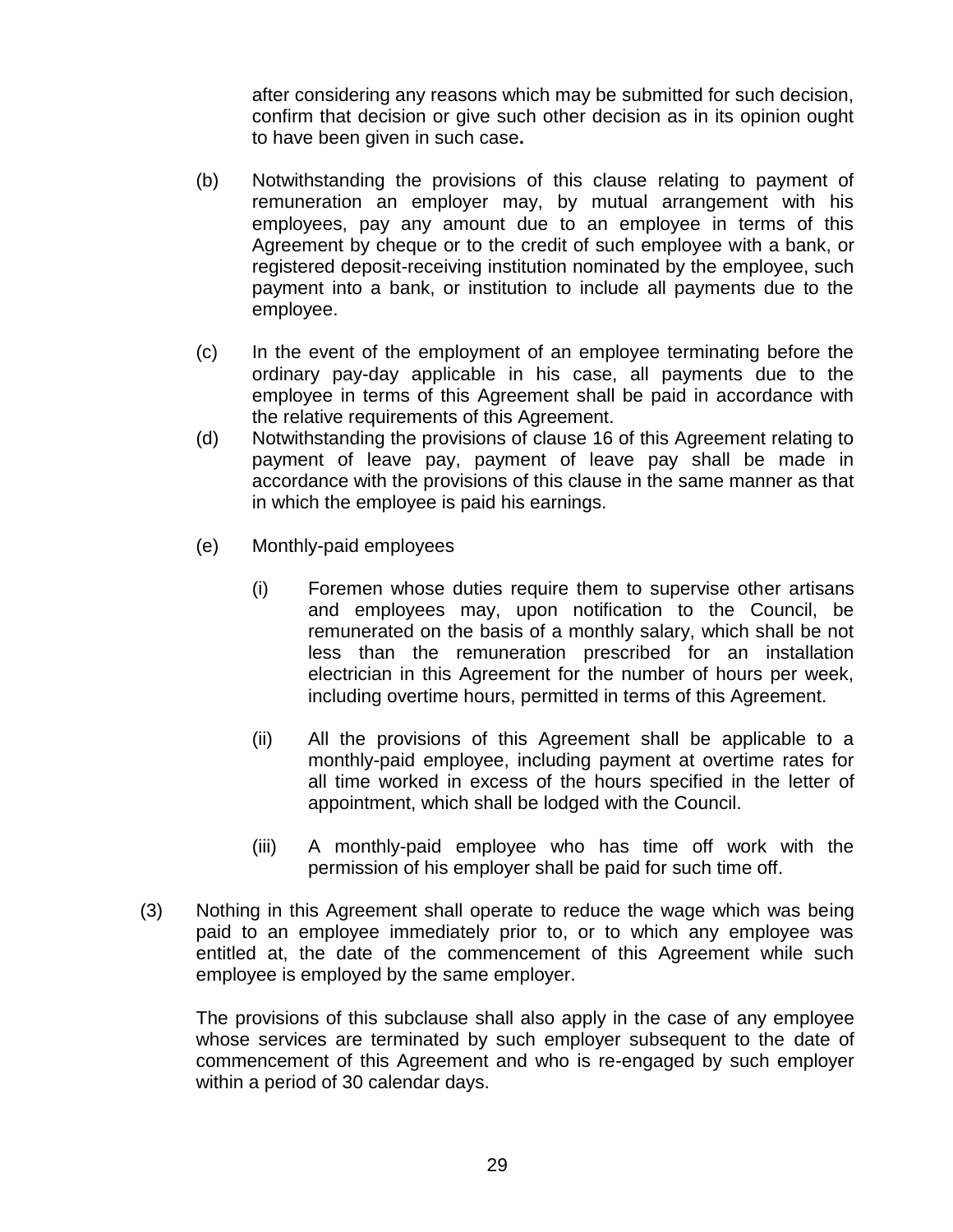after considering any reasons which may be submitted for such decision, confirm that decision or give such other decision as in its opinion ought to have been given in such case**.**

- (b) Notwithstanding the provisions of this clause relating to payment of remuneration an employer may, by mutual arrangement with his employees, pay any amount due to an employee in terms of this Agreement by cheque or to the credit of such employee with a bank, or registered deposit-receiving institution nominated by the employee, such payment into a bank, or institution to include all payments due to the employee.
- (c) In the event of the employment of an employee terminating before the ordinary pay-day applicable in his case, all payments due to the employee in terms of this Agreement shall be paid in accordance with the relative requirements of this Agreement.
- (d) Notwithstanding the provisions of clause 16 of this Agreement relating to payment of leave pay, payment of leave pay shall be made in accordance with the provisions of this clause in the same manner as that in which the employee is paid his earnings.
- (e) Monthly-paid employees
	- (i) Foremen whose duties require them to supervise other artisans and employees may, upon notification to the Council, be remunerated on the basis of a monthly salary, which shall be not less than the remuneration prescribed for an installation electrician in this Agreement for the number of hours per week, including overtime hours, permitted in terms of this Agreement.
	- (ii) All the provisions of this Agreement shall be applicable to a monthly-paid employee, including payment at overtime rates for all time worked in excess of the hours specified in the letter of appointment, which shall be lodged with the Council.
	- (iii) A monthly-paid employee who has time off work with the permission of his employer shall be paid for such time off.
- (3) Nothing in this Agreement shall operate to reduce the wage which was being paid to an employee immediately prior to, or to which any employee was entitled at, the date of the commencement of this Agreement while such employee is employed by the same employer.

The provisions of this subclause shall also apply in the case of any employee whose services are terminated by such employer subsequent to the date of commencement of this Agreement and who is re-engaged by such employer within a period of 30 calendar days.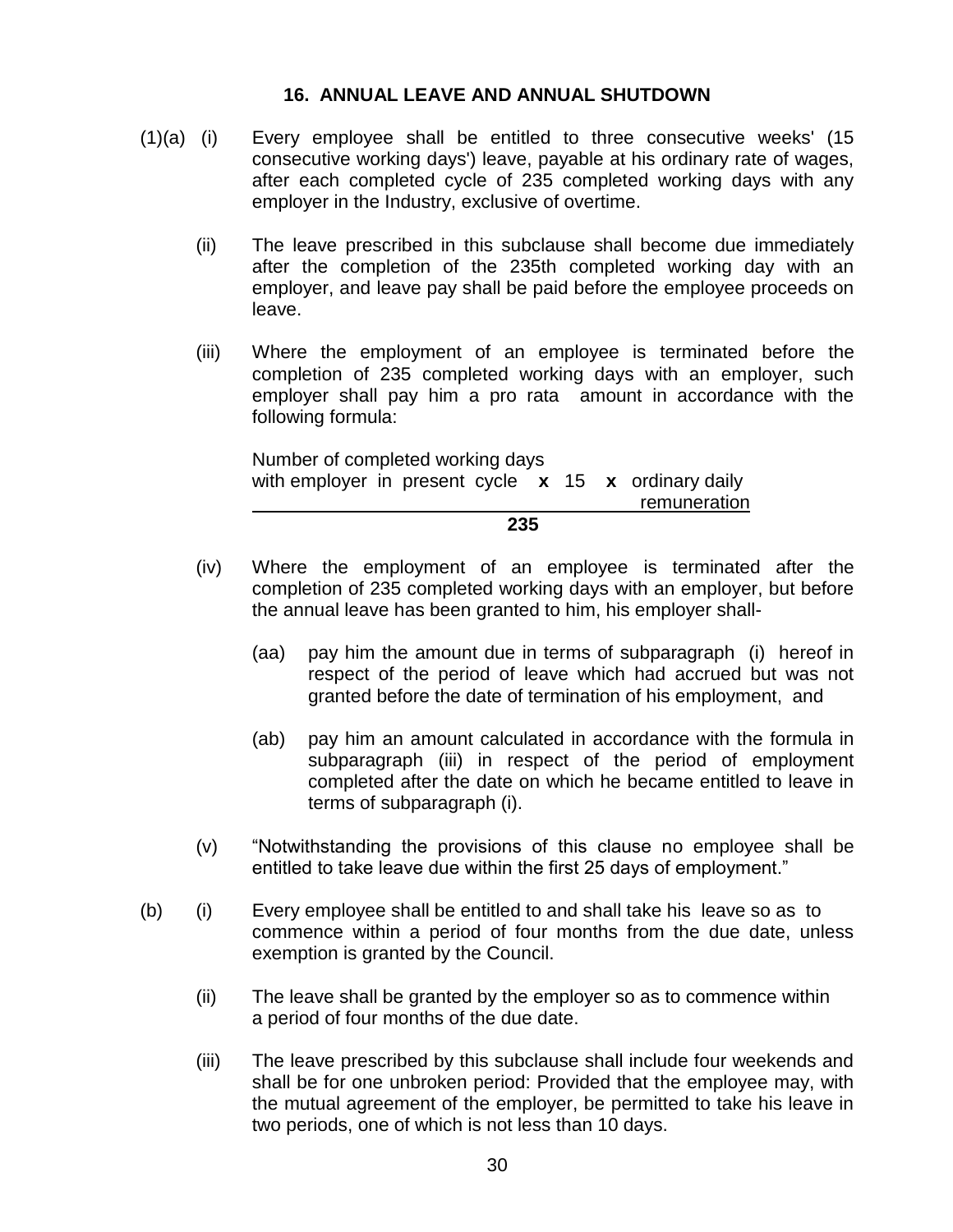#### **16. ANNUAL LEAVE AND ANNUAL SHUTDOWN**

- (1)(a) (i) Every employee shall be entitled to three consecutive weeks' (15 consecutive working days') leave, payable at his ordinary rate of wages, after each completed cycle of 235 completed working days with any employer in the Industry, exclusive of overtime.
	- (ii) The leave prescribed in this subclause shall become due immediately after the completion of the 235th completed working day with an employer, and leave pay shall be paid before the employee proceeds on leave.
	- (iii) Where the employment of an employee is terminated before the completion of 235 completed working days with an employer, such employer shall pay him a pro rata amount in accordance with the following formula:

Number of completed working days with employer in present cycle **x** 15 **x** ordinary daily remuneration **235**

- (iv) Where the employment of an employee is terminated after the completion of 235 completed working days with an employer, but before the annual leave has been granted to him, his employer shall-
	- (aa) pay him the amount due in terms of subparagraph (i) hereof in respect of the period of leave which had accrued but was not granted before the date of termination of his employment, and
	- (ab) pay him an amount calculated in accordance with the formula in subparagraph (iii) in respect of the period of employment completed after the date on which he became entitled to leave in terms of subparagraph (i).
- (v) "Notwithstanding the provisions of this clause no employee shall be entitled to take leave due within the first 25 days of employment."
- (b) (i) Every employee shall be entitled to and shall take his leave so as to commence within a period of four months from the due date, unless exemption is granted by the Council.
	- (ii) The leave shall be granted by the employer so as to commence within a period of four months of the due date.
	- (iii) The leave prescribed by this subclause shall include four weekends and shall be for one unbroken period: Provided that the employee may, with the mutual agreement of the employer, be permitted to take his leave in two periods, one of which is not less than 10 days.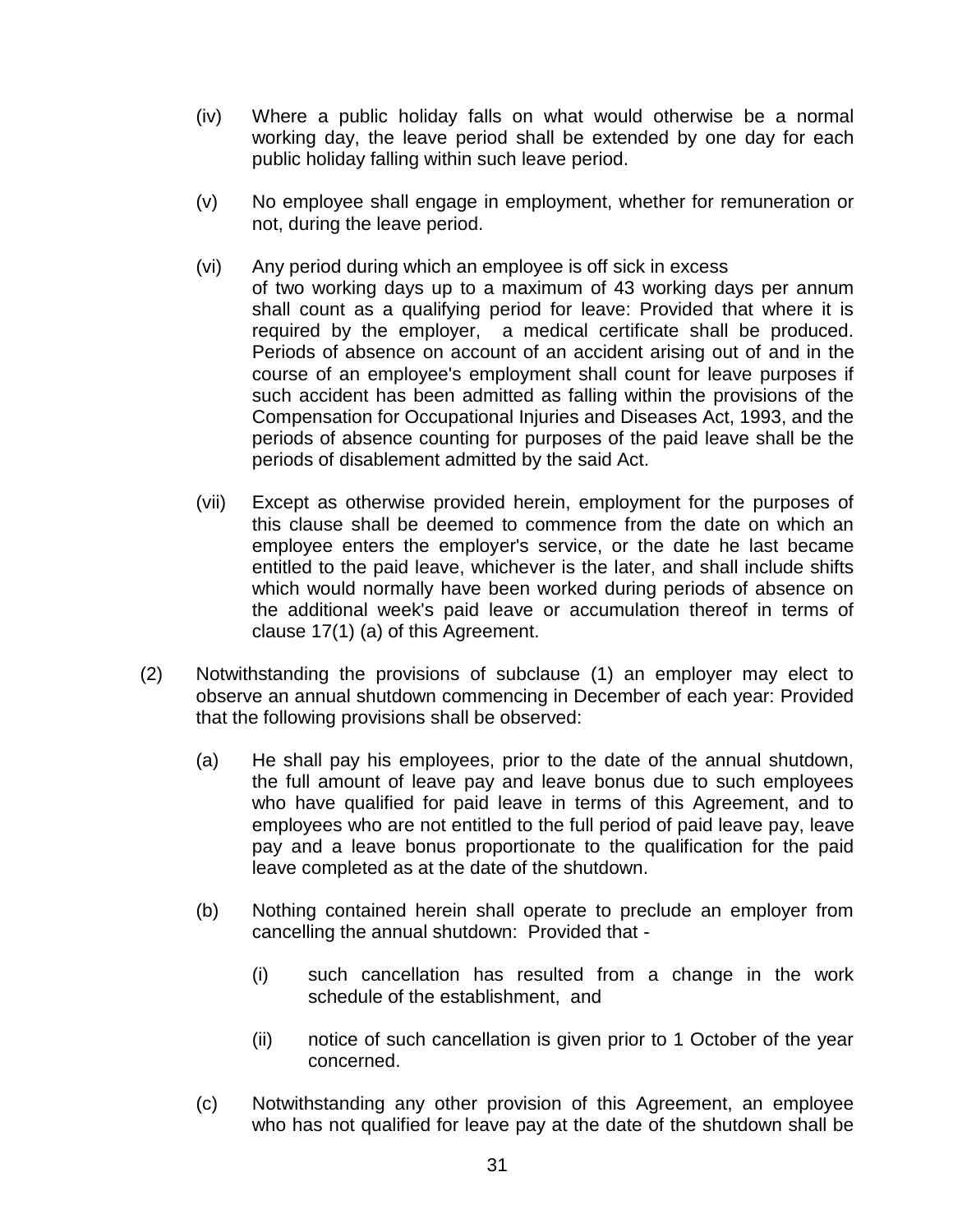- (iv) Where a public holiday falls on what would otherwise be a normal working day, the leave period shall be extended by one day for each public holiday falling within such leave period.
- (v) No employee shall engage in employment, whether for remuneration or not, during the leave period.
- (vi) Any period during which an employee is off sick in excess of two working days up to a maximum of 43 working days per annum shall count as a qualifying period for leave: Provided that where it is required by the employer, a medical certificate shall be produced. Periods of absence on account of an accident arising out of and in the course of an employee's employment shall count for leave purposes if such accident has been admitted as falling within the provisions of the Compensation for Occupational Injuries and Diseases Act, 1993, and the periods of absence counting for purposes of the paid leave shall be the periods of disablement admitted by the said Act.
- (vii) Except as otherwise provided herein, employment for the purposes of this clause shall be deemed to commence from the date on which an employee enters the employer's service, or the date he last became entitled to the paid leave, whichever is the later, and shall include shifts which would normally have been worked during periods of absence on the additional week's paid leave or accumulation thereof in terms of clause 17(1) (a) of this Agreement.
- (2) Notwithstanding the provisions of subclause (1) an employer may elect to observe an annual shutdown commencing in December of each year: Provided that the following provisions shall be observed:
	- (a) He shall pay his employees, prior to the date of the annual shutdown, the full amount of leave pay and leave bonus due to such employees who have qualified for paid leave in terms of this Agreement, and to employees who are not entitled to the full period of paid leave pay, leave pay and a leave bonus proportionate to the qualification for the paid leave completed as at the date of the shutdown.
	- (b) Nothing contained herein shall operate to preclude an employer from cancelling the annual shutdown: Provided that -
		- (i) such cancellation has resulted from a change in the work schedule of the establishment, and
		- (ii) notice of such cancellation is given prior to 1 October of the year concerned.
	- (c) Notwithstanding any other provision of this Agreement, an employee who has not qualified for leave pay at the date of the shutdown shall be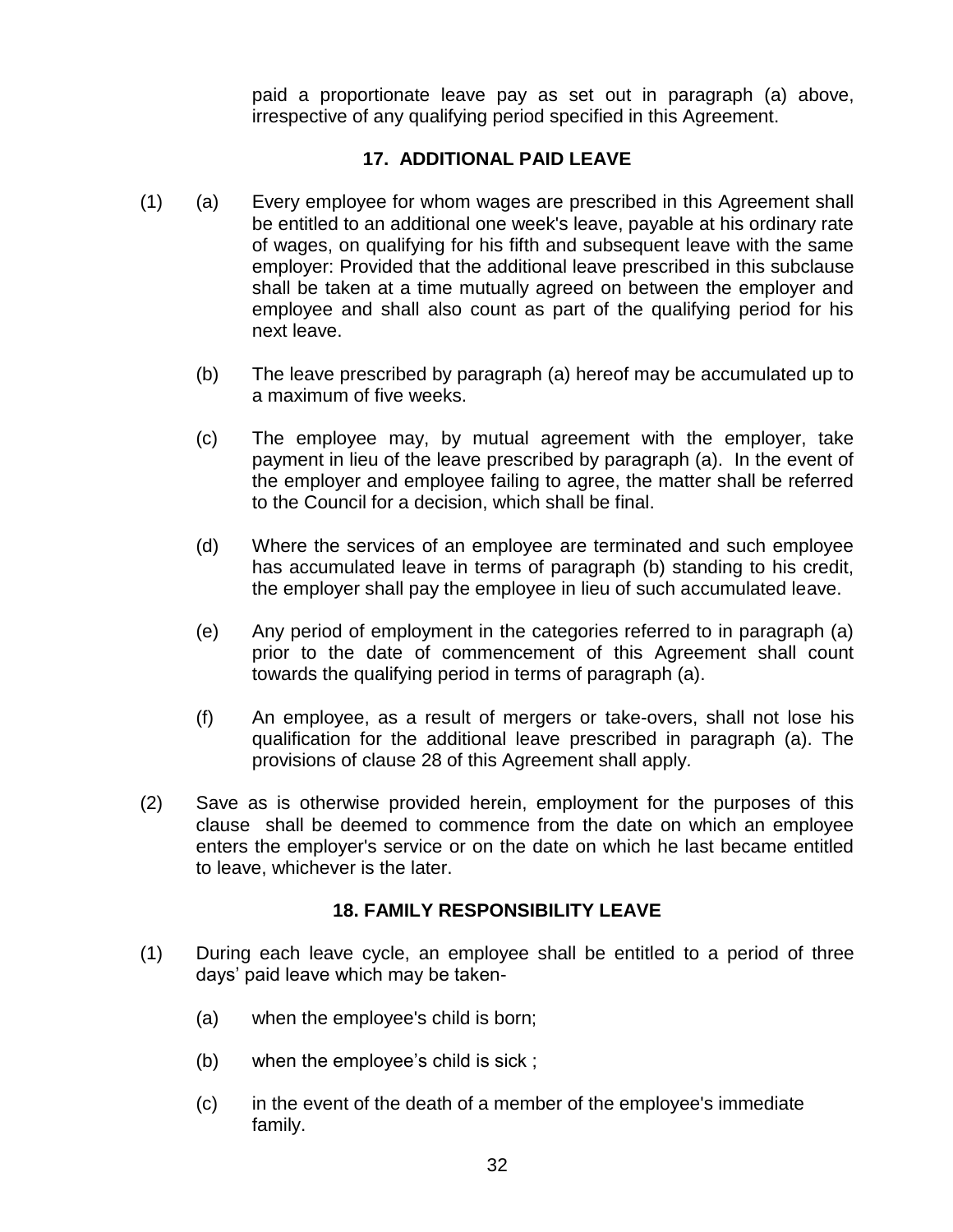paid a proportionate leave pay as set out in paragraph (a) above, irrespective of any qualifying period specified in this Agreement.

#### **17. ADDITIONAL PAID LEAVE**

- (1) (a) Every employee for whom wages are prescribed in this Agreement shall be entitled to an additional one week's leave, payable at his ordinary rate of wages, on qualifying for his fifth and subsequent leave with the same employer: Provided that the additional leave prescribed in this subclause shall be taken at a time mutually agreed on between the employer and employee and shall also count as part of the qualifying period for his next leave.
	- (b) The leave prescribed by paragraph (a) hereof may be accumulated up to a maximum of five weeks.
	- (c) The employee may, by mutual agreement with the employer, take payment in lieu of the leave prescribed by paragraph (a). In the event of the employer and employee failing to agree, the matter shall be referred to the Council for a decision, which shall be final.
	- (d) Where the services of an employee are terminated and such employee has accumulated leave in terms of paragraph (b) standing to his credit, the employer shall pay the employee in lieu of such accumulated leave.
	- (e) Any period of employment in the categories referred to in paragraph (a) prior to the date of commencement of this Agreement shall count towards the qualifying period in terms of paragraph (a).
	- (f) An employee, as a result of mergers or take-overs, shall not lose his qualification for the additional leave prescribed in paragraph (a). The provisions of clause 28 of this Agreement shall apply*.*
- (2) Save as is otherwise provided herein, employment for the purposes of this clause shall be deemed to commence from the date on which an employee enters the employer's service or on the date on which he last became entitled to leave, whichever is the later.

#### **18. FAMILY RESPONSIBILITY LEAVE**

- (1) During each leave cycle, an employee shall be entitled to a period of three days" paid leave which may be taken-
	- (a) when the employee's child is born;
	- (b) when the employee's child is sick;
	- (c) in the event of the death of a member of the employee's immediate family.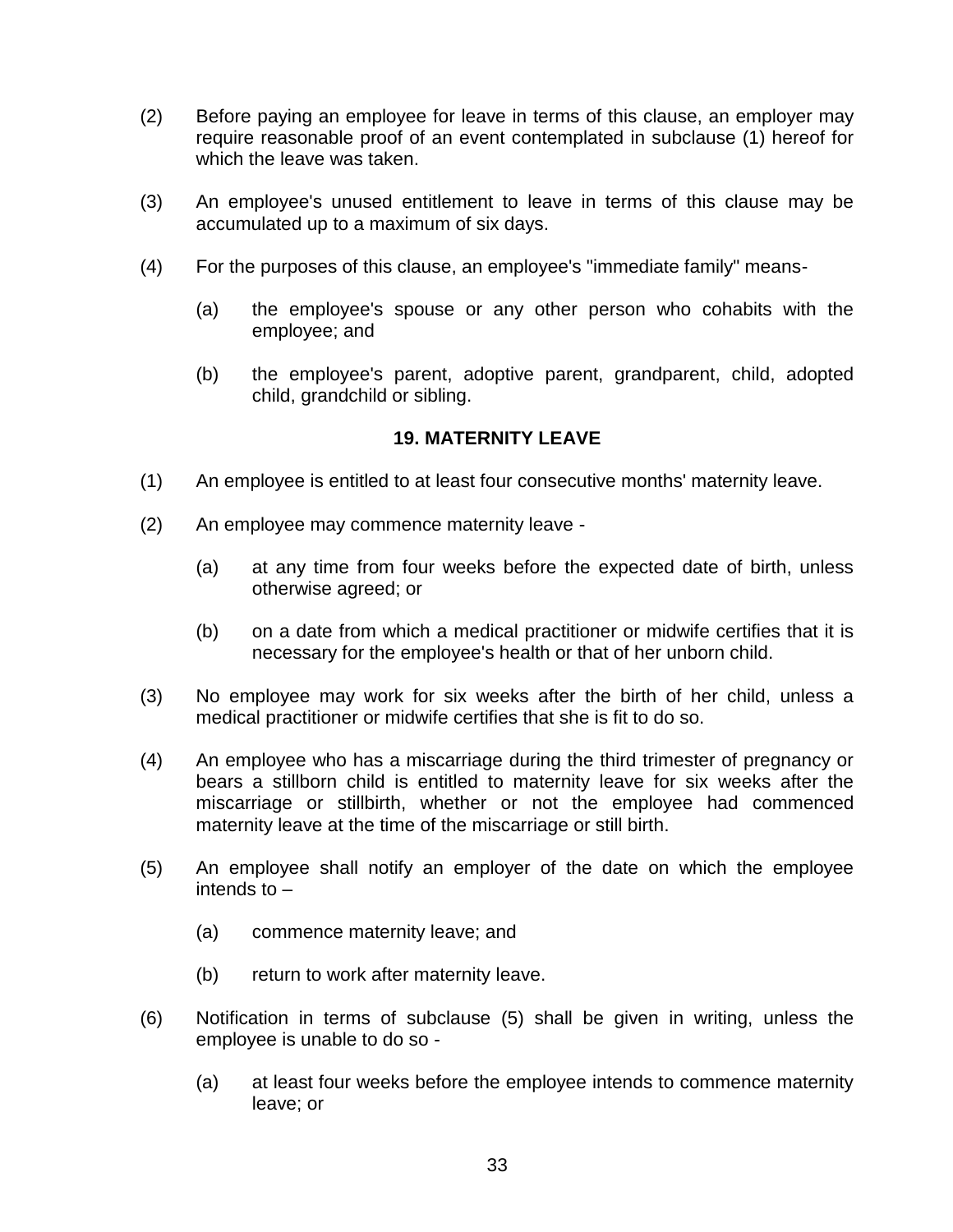- (2) Before paying an employee for leave in terms of this clause, an employer may require reasonable proof of an event contemplated in subclause (1) hereof for which the leave was taken.
- (3) An employee's unused entitlement to leave in terms of this clause may be accumulated up to a maximum of six days.
- (4) For the purposes of this clause, an employee's "immediate family" means-
	- (a) the employee's spouse or any other person who cohabits with the employee; and
	- (b) the employee's parent, adoptive parent, grandparent, child, adopted child, grandchild or sibling.

#### **19. MATERNITY LEAVE**

- (1) An employee is entitled to at least four consecutive months' maternity leave.
- (2) An employee may commence maternity leave
	- (a) at any time from four weeks before the expected date of birth, unless otherwise agreed; or
	- (b) on a date from which a medical practitioner or midwife certifies that it is necessary for the employee's health or that of her unborn child.
- (3) No employee may work for six weeks after the birth of her child, unless a medical practitioner or midwife certifies that she is fit to do so.
- (4) An employee who has a miscarriage during the third trimester of pregnancy or bears a stillborn child is entitled to maternity leave for six weeks after the miscarriage or stillbirth, whether or not the employee had commenced maternity leave at the time of the miscarriage or still birth.
- (5) An employee shall notify an employer of the date on which the employee intends to –
	- (a) commence maternity leave; and
	- (b) return to work after maternity leave.
- (6) Notification in terms of subclause (5) shall be given in writing, unless the employee is unable to do so -
	- (a) at least four weeks before the employee intends to commence maternity leave; or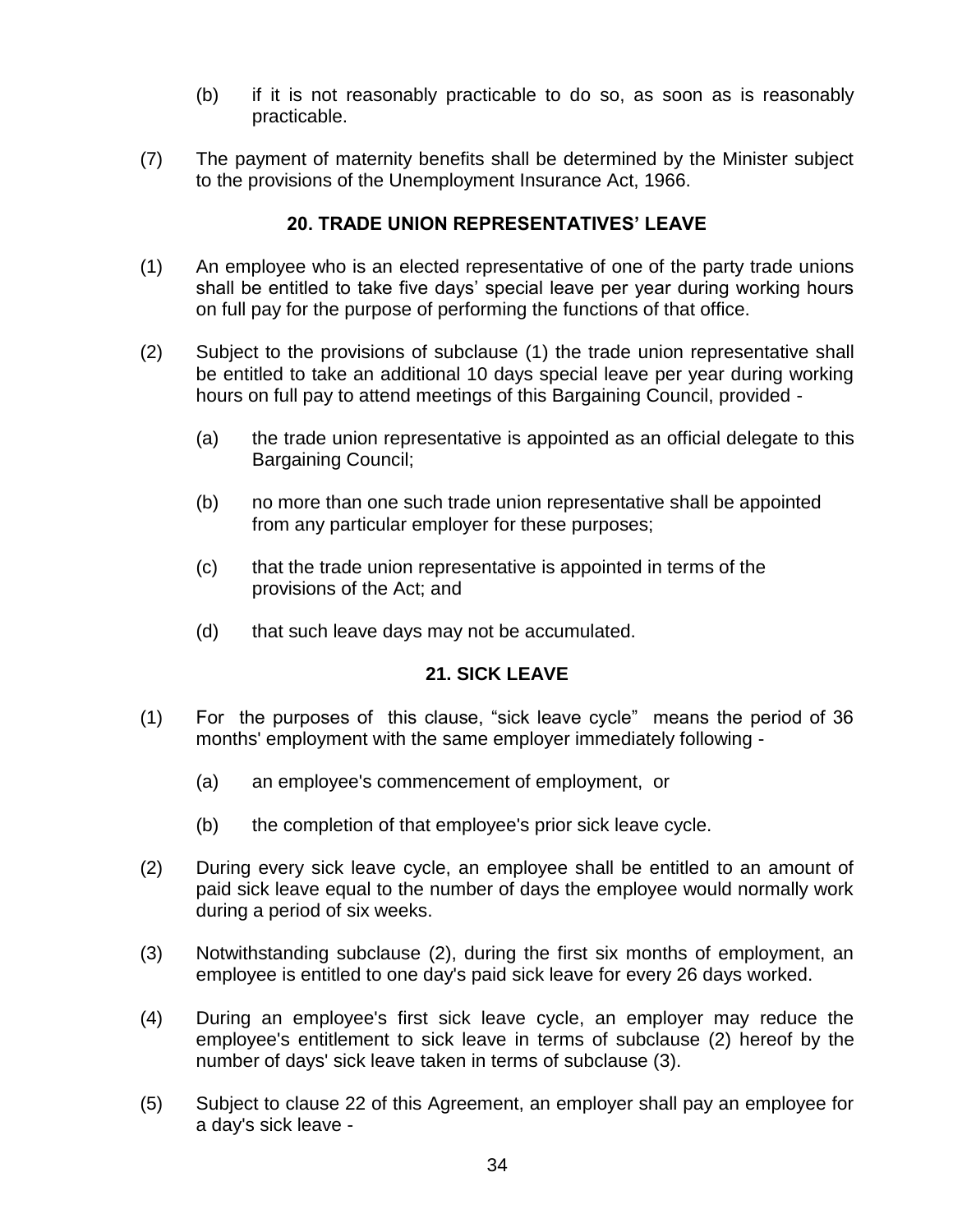- (b) if it is not reasonably practicable to do so, as soon as is reasonably practicable.
- (7) The payment of maternity benefits shall be determined by the Minister subject to the provisions of the Unemployment Insurance Act, 1966.

### **20. TRADE UNION REPRESENTATIVES" LEAVE**

- (1) An employee who is an elected representative of one of the party trade unions shall be entitled to take five days' special leave per year during working hours on full pay for the purpose of performing the functions of that office.
- (2) Subject to the provisions of subclause (1) the trade union representative shall be entitled to take an additional 10 days special leave per year during working hours on full pay to attend meetings of this Bargaining Council, provided -
	- (a) the trade union representative is appointed as an official delegate to this Bargaining Council;
	- (b) no more than one such trade union representative shall be appointed from any particular employer for these purposes;
	- (c) that the trade union representative is appointed in terms of the provisions of the Act; and
	- (d) that such leave days may not be accumulated.

### **21. SICK LEAVE**

- (1) For the purposes of this clause, "sick leave cycle" means the period of 36 months' employment with the same employer immediately following -
	- (a) an employee's commencement of employment, or
	- (b) the completion of that employee's prior sick leave cycle.
- (2) During every sick leave cycle, an employee shall be entitled to an amount of paid sick leave equal to the number of days the employee would normally work during a period of six weeks.
- (3) Notwithstanding subclause (2), during the first six months of employment, an employee is entitled to one day's paid sick leave for every 26 days worked.
- (4) During an employee's first sick leave cycle, an employer may reduce the employee's entitlement to sick leave in terms of subclause (2) hereof by the number of days' sick leave taken in terms of subclause (3).
- (5) Subject to clause 22 of this Agreement, an employer shall pay an employee for a day's sick leave -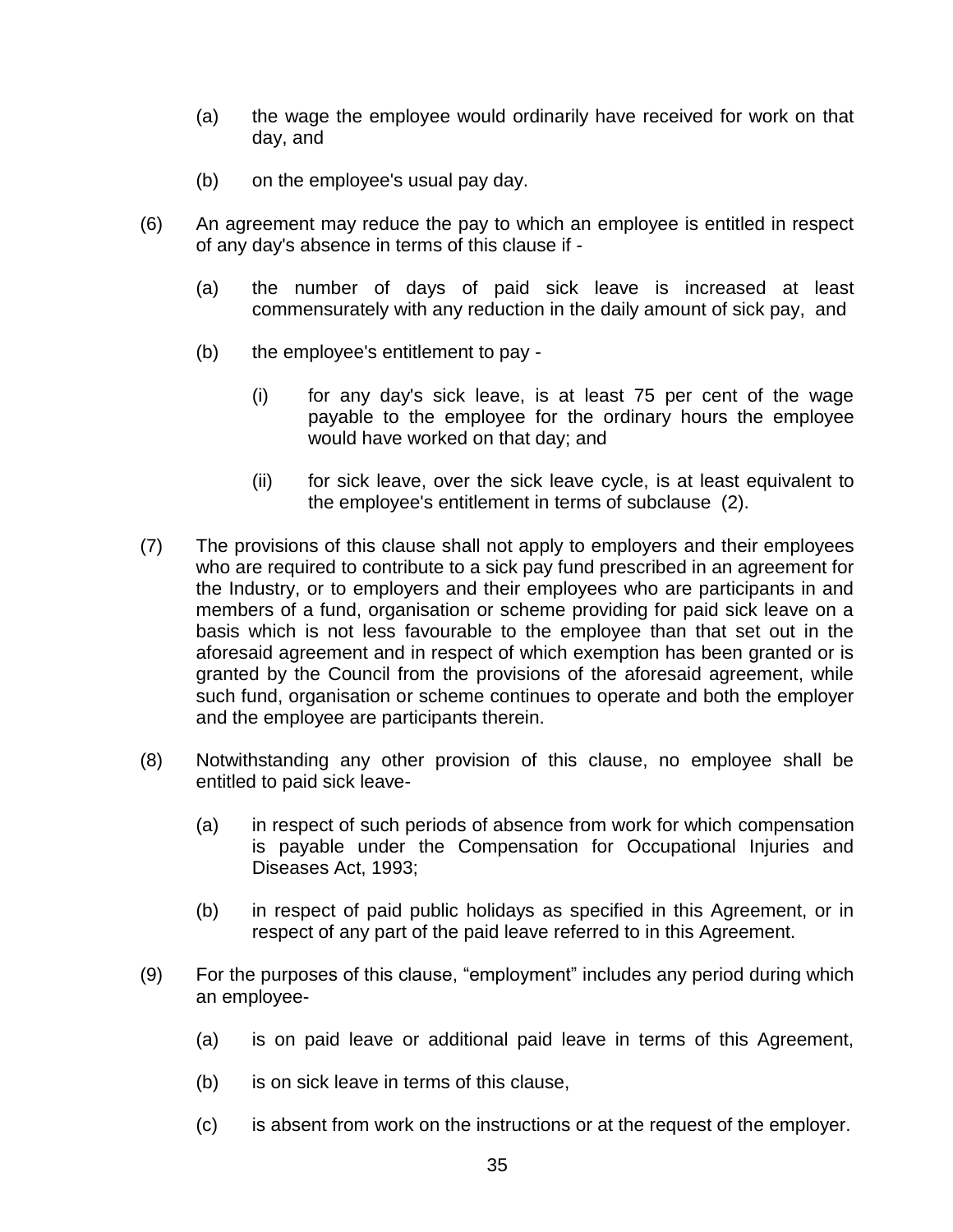- (a) the wage the employee would ordinarily have received for work on that day, and
- (b) on the employee's usual pay day.
- (6) An agreement may reduce the pay to which an employee is entitled in respect of any day's absence in terms of this clause if -
	- (a) the number of days of paid sick leave is increased at least commensurately with any reduction in the daily amount of sick pay, and
	- (b) the employee's entitlement to pay
		- (i) for any day's sick leave, is at least 75 per cent of the wage payable to the employee for the ordinary hours the employee would have worked on that day; and
		- (ii) for sick leave, over the sick leave cycle, is at least equivalent to the employee's entitlement in terms of subclause (2).
- (7) The provisions of this clause shall not apply to employers and their employees who are required to contribute to a sick pay fund prescribed in an agreement for the Industry, or to employers and their employees who are participants in and members of a fund, organisation or scheme providing for paid sick leave on a basis which is not less favourable to the employee than that set out in the aforesaid agreement and in respect of which exemption has been granted or is granted by the Council from the provisions of the aforesaid agreement, while such fund, organisation or scheme continues to operate and both the employer and the employee are participants therein.
- (8) Notwithstanding any other provision of this clause, no employee shall be entitled to paid sick leave-
	- (a) in respect of such periods of absence from work for which compensation is payable under the Compensation for Occupational Injuries and Diseases Act, 1993;
	- (b) in respect of paid public holidays as specified in this Agreement, or in respect of any part of the paid leave referred to in this Agreement.
- (9) For the purposes of this clause, "employment" includes any period during which an employee-
	- (a) is on paid leave or additional paid leave in terms of this Agreement,
	- (b) is on sick leave in terms of this clause,
	- (c) is absent from work on the instructions or at the request of the employer.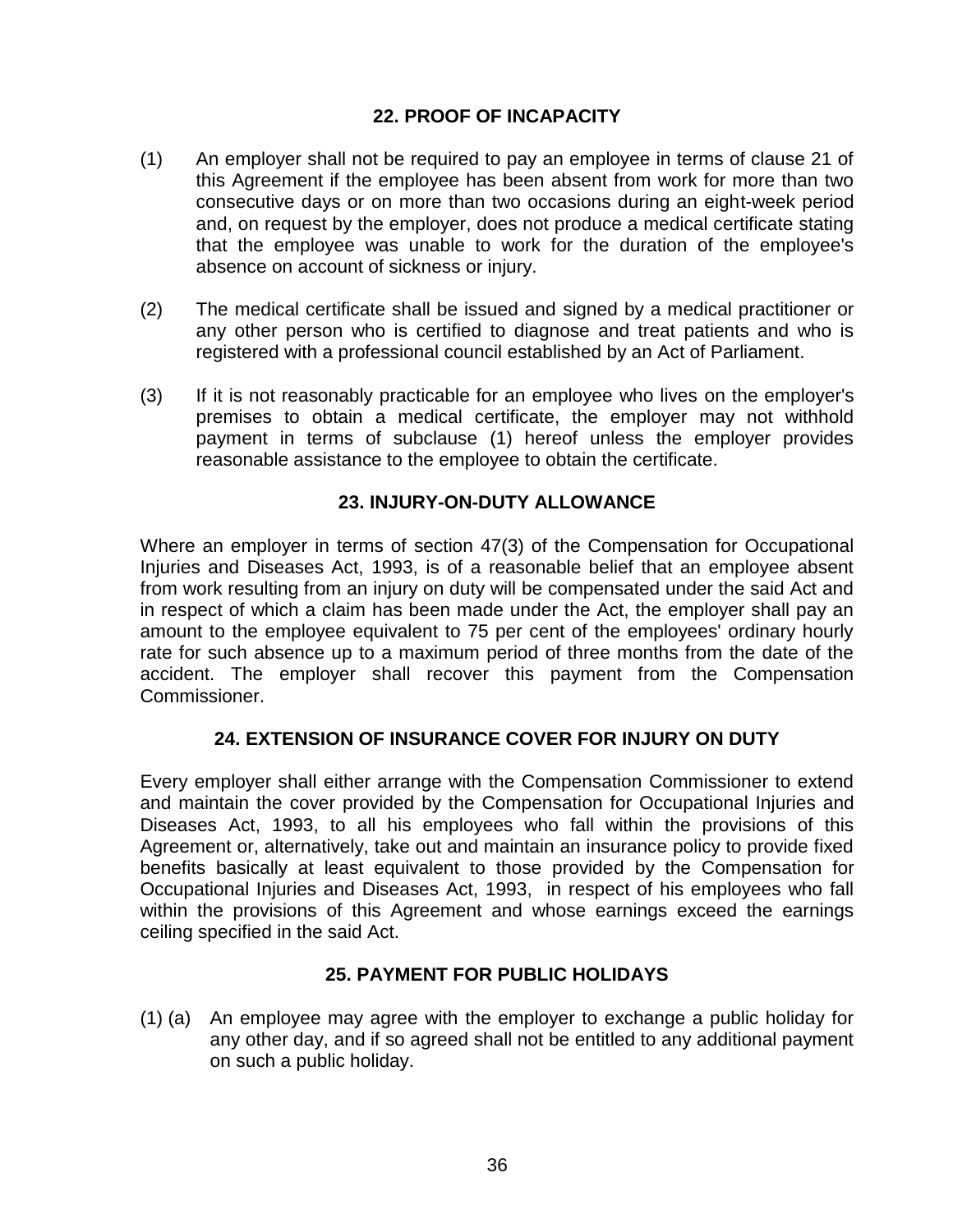### **22. PROOF OF INCAPACITY**

- (1) An employer shall not be required to pay an employee in terms of clause 21 of this Agreement if the employee has been absent from work for more than two consecutive days or on more than two occasions during an eight-week period and, on request by the employer, does not produce a medical certificate stating that the employee was unable to work for the duration of the employee's absence on account of sickness or injury.
- (2) The medical certificate shall be issued and signed by a medical practitioner or any other person who is certified to diagnose and treat patients and who is registered with a professional council established by an Act of Parliament.
- (3) If it is not reasonably practicable for an employee who lives on the employer's premises to obtain a medical certificate, the employer may not withhold payment in terms of subclause (1) hereof unless the employer provides reasonable assistance to the employee to obtain the certificate.

### **23. INJURY-ON-DUTY ALLOWANCE**

Where an employer in terms of section 47(3) of the Compensation for Occupational Injuries and Diseases Act, 1993, is of a reasonable belief that an employee absent from work resulting from an injury on duty will be compensated under the said Act and in respect of which a claim has been made under the Act, the employer shall pay an amount to the employee equivalent to 75 per cent of the employees' ordinary hourly rate for such absence up to a maximum period of three months from the date of the accident. The employer shall recover this payment from the Compensation Commissioner.

### **24. EXTENSION OF INSURANCE COVER FOR INJURY ON DUTY**

Every employer shall either arrange with the Compensation Commissioner to extend and maintain the cover provided by the Compensation for Occupational Injuries and Diseases Act, 1993, to all his employees who fall within the provisions of this Agreement or, alternatively, take out and maintain an insurance policy to provide fixed benefits basically at least equivalent to those provided by the Compensation for Occupational Injuries and Diseases Act, 1993, in respect of his employees who fall within the provisions of this Agreement and whose earnings exceed the earnings ceiling specified in the said Act.

### **25. PAYMENT FOR PUBLIC HOLIDAYS**

(1) (a) An employee may agree with the employer to exchange a public holiday for any other day, and if so agreed shall not be entitled to any additional payment on such a public holiday.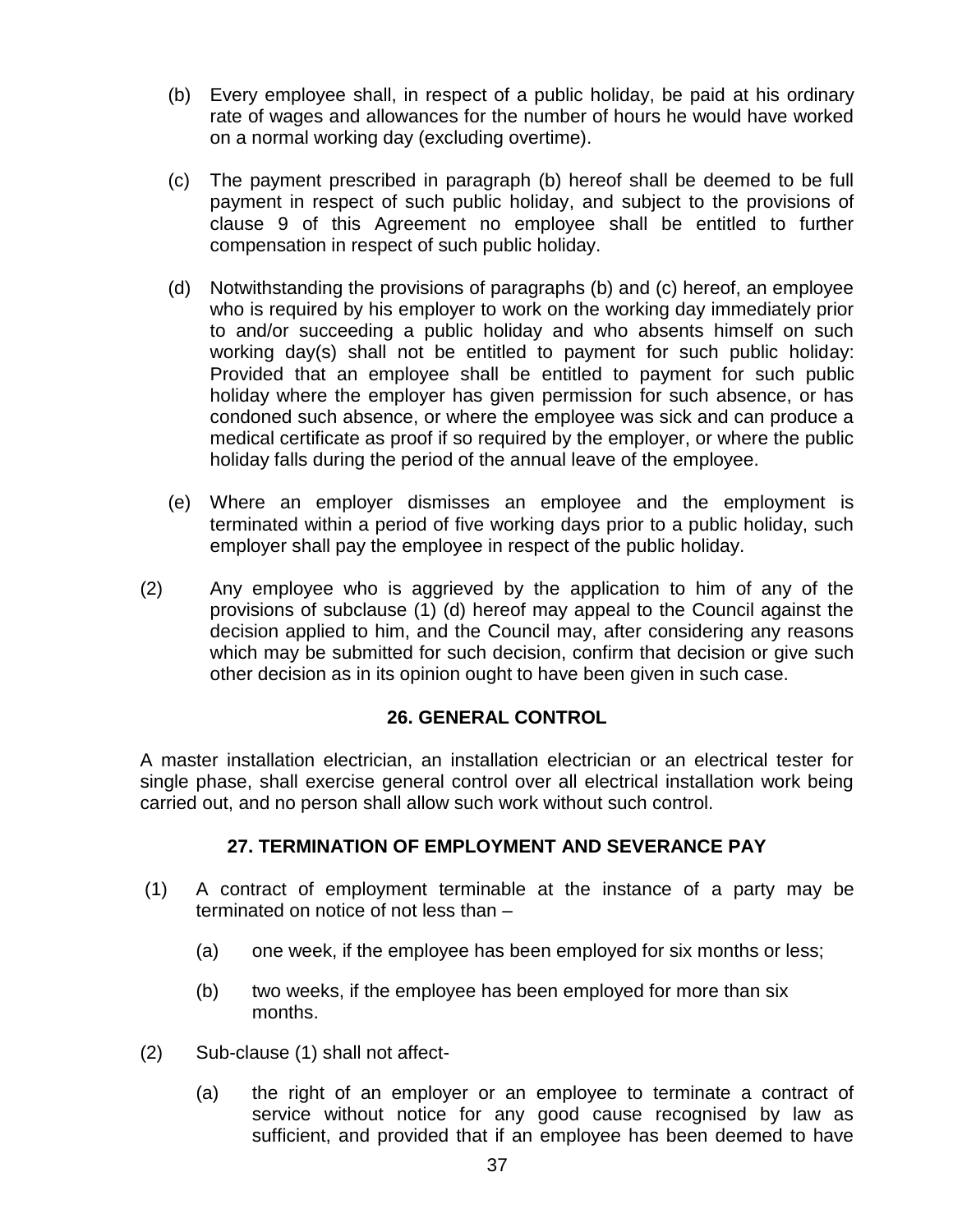- (b) Every employee shall, in respect of a public holiday, be paid at his ordinary rate of wages and allowances for the number of hours he would have worked on a normal working day (excluding overtime).
- (c) The payment prescribed in paragraph (b) hereof shall be deemed to be full payment in respect of such public holiday, and subject to the provisions of clause 9 of this Agreement no employee shall be entitled to further compensation in respect of such public holiday.
- (d) Notwithstanding the provisions of paragraphs (b) and (c) hereof, an employee who is required by his employer to work on the working day immediately prior to and/or succeeding a public holiday and who absents himself on such working day(s) shall not be entitled to payment for such public holiday: Provided that an employee shall be entitled to payment for such public holiday where the employer has given permission for such absence, or has condoned such absence, or where the employee was sick and can produce a medical certificate as proof if so required by the employer, or where the public holiday falls during the period of the annual leave of the employee.
- (e) Where an employer dismisses an employee and the employment is terminated within a period of five working days prior to a public holiday, such employer shall pay the employee in respect of the public holiday.
- (2) Any employee who is aggrieved by the application to him of any of the provisions of subclause (1) (d) hereof may appeal to the Council against the decision applied to him, and the Council may, after considering any reasons which may be submitted for such decision, confirm that decision or give such other decision as in its opinion ought to have been given in such case.

## **26. GENERAL CONTROL**

A master installation electrician, an installation electrician or an electrical tester for single phase, shall exercise general control over all electrical installation work being carried out, and no person shall allow such work without such control.

#### **27. TERMINATION OF EMPLOYMENT AND SEVERANCE PAY**

- (1) A contract of employment terminable at the instance of a party may be terminated on notice of not less than –
	- (a) one week, if the employee has been employed for six months or less;
	- (b) two weeks, if the employee has been employed for more than six months.
- (2) Sub-clause (1) shall not affect-
	- (a) the right of an employer or an employee to terminate a contract of service without notice for any good cause recognised by law as sufficient, and provided that if an employee has been deemed to have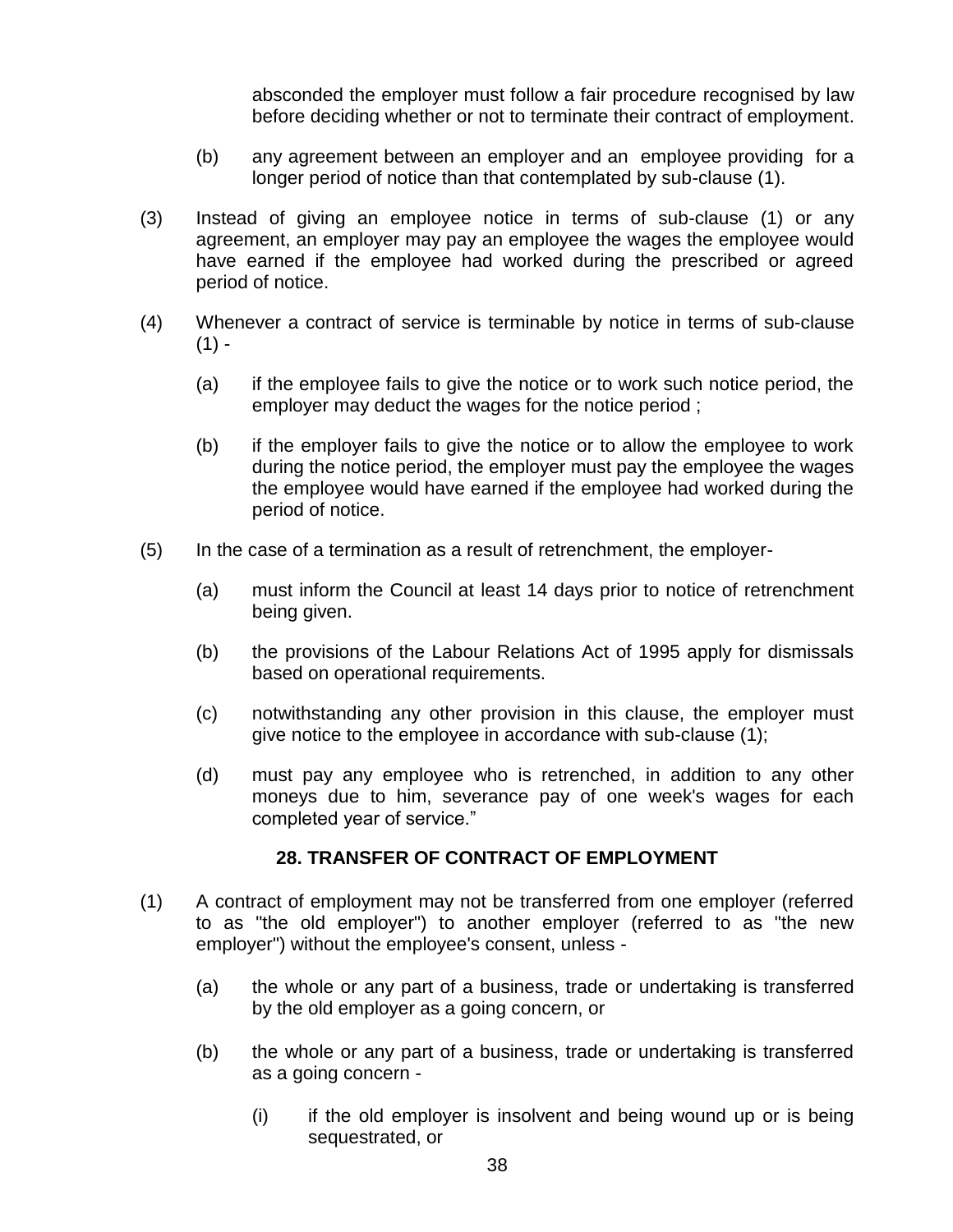absconded the employer must follow a fair procedure recognised by law before deciding whether or not to terminate their contract of employment.

- (b) any agreement between an employer and an employee providing for a longer period of notice than that contemplated by sub-clause (1).
- (3) Instead of giving an employee notice in terms of sub-clause (1) or any agreement, an employer may pay an employee the wages the employee would have earned if the employee had worked during the prescribed or agreed period of notice.
- (4) Whenever a contract of service is terminable by notice in terms of sub-clause  $(1) -$ 
	- (a) if the employee fails to give the notice or to work such notice period, the employer may deduct the wages for the notice period ;
	- (b) if the employer fails to give the notice or to allow the employee to work during the notice period, the employer must pay the employee the wages the employee would have earned if the employee had worked during the period of notice.
- (5) In the case of a termination as a result of retrenchment, the employer-
	- (a) must inform the Council at least 14 days prior to notice of retrenchment being given.
	- (b) the provisions of the Labour Relations Act of 1995 apply for dismissals based on operational requirements.
	- (c) notwithstanding any other provision in this clause, the employer must give notice to the employee in accordance with sub-clause (1);
	- (d) must pay any employee who is retrenched, in addition to any other moneys due to him, severance pay of one week's wages for each completed year of service."

#### **28. TRANSFER OF CONTRACT OF EMPLOYMENT**

- (1) A contract of employment may not be transferred from one employer (referred to as "the old employer") to another employer (referred to as "the new employer") without the employee's consent, unless -
	- (a) the whole or any part of a business, trade or undertaking is transferred by the old employer as a going concern, or
	- (b) the whole or any part of a business, trade or undertaking is transferred as a going concern -
		- (i) if the old employer is insolvent and being wound up or is being sequestrated, or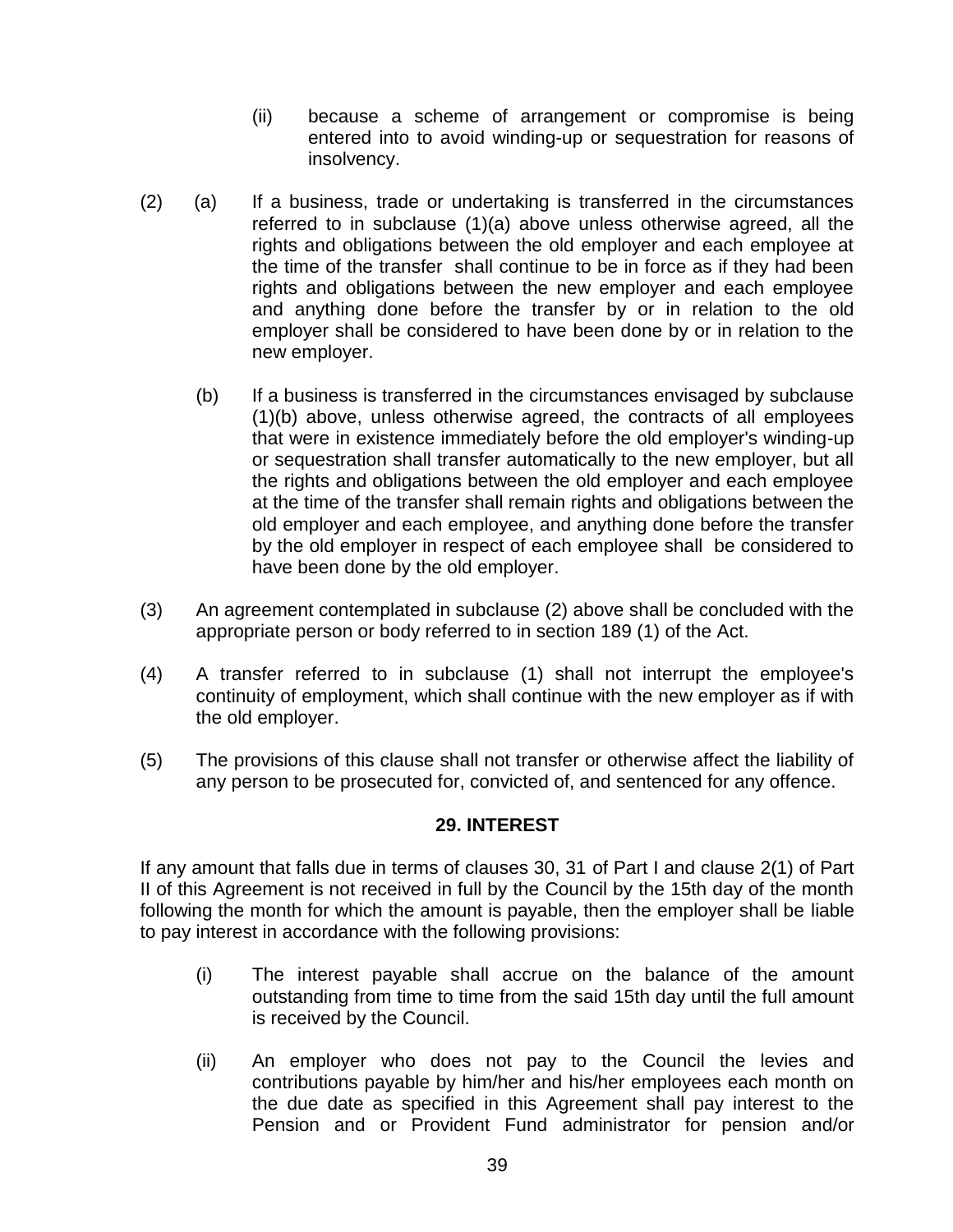- (ii) because a scheme of arrangement or compromise is being entered into to avoid winding-up or sequestration for reasons of insolvency.
- (2) (a) If a business, trade or undertaking is transferred in the circumstances referred to in subclause (1)(a) above unless otherwise agreed, all the rights and obligations between the old employer and each employee at the time of the transfer shall continue to be in force as if they had been rights and obligations between the new employer and each employee and anything done before the transfer by or in relation to the old employer shall be considered to have been done by or in relation to the new employer.
	- (b) If a business is transferred in the circumstances envisaged by subclause (1)(b) above, unless otherwise agreed, the contracts of all employees that were in existence immediately before the old employer's winding-up or sequestration shall transfer automatically to the new employer, but all the rights and obligations between the old employer and each employee at the time of the transfer shall remain rights and obligations between the old employer and each employee, and anything done before the transfer by the old employer in respect of each employee shall be considered to have been done by the old employer.
- (3) An agreement contemplated in subclause (2) above shall be concluded with the appropriate person or body referred to in section 189 (1) of the Act.
- (4) A transfer referred to in subclause (1) shall not interrupt the employee's continuity of employment, which shall continue with the new employer as if with the old employer.
- (5) The provisions of this clause shall not transfer or otherwise affect the liability of any person to be prosecuted for, convicted of, and sentenced for any offence.

#### **29. INTEREST**

If any amount that falls due in terms of clauses 30, 31 of Part I and clause 2(1) of Part II of this Agreement is not received in full by the Council by the 15th day of the month following the month for which the amount is payable, then the employer shall be liable to pay interest in accordance with the following provisions:

- (i) The interest payable shall accrue on the balance of the amount outstanding from time to time from the said 15th day until the full amount is received by the Council.
- (ii) An employer who does not pay to the Council the levies and contributions payable by him/her and his/her employees each month on the due date as specified in this Agreement shall pay interest to the Pension and or Provident Fund administrator for pension and/or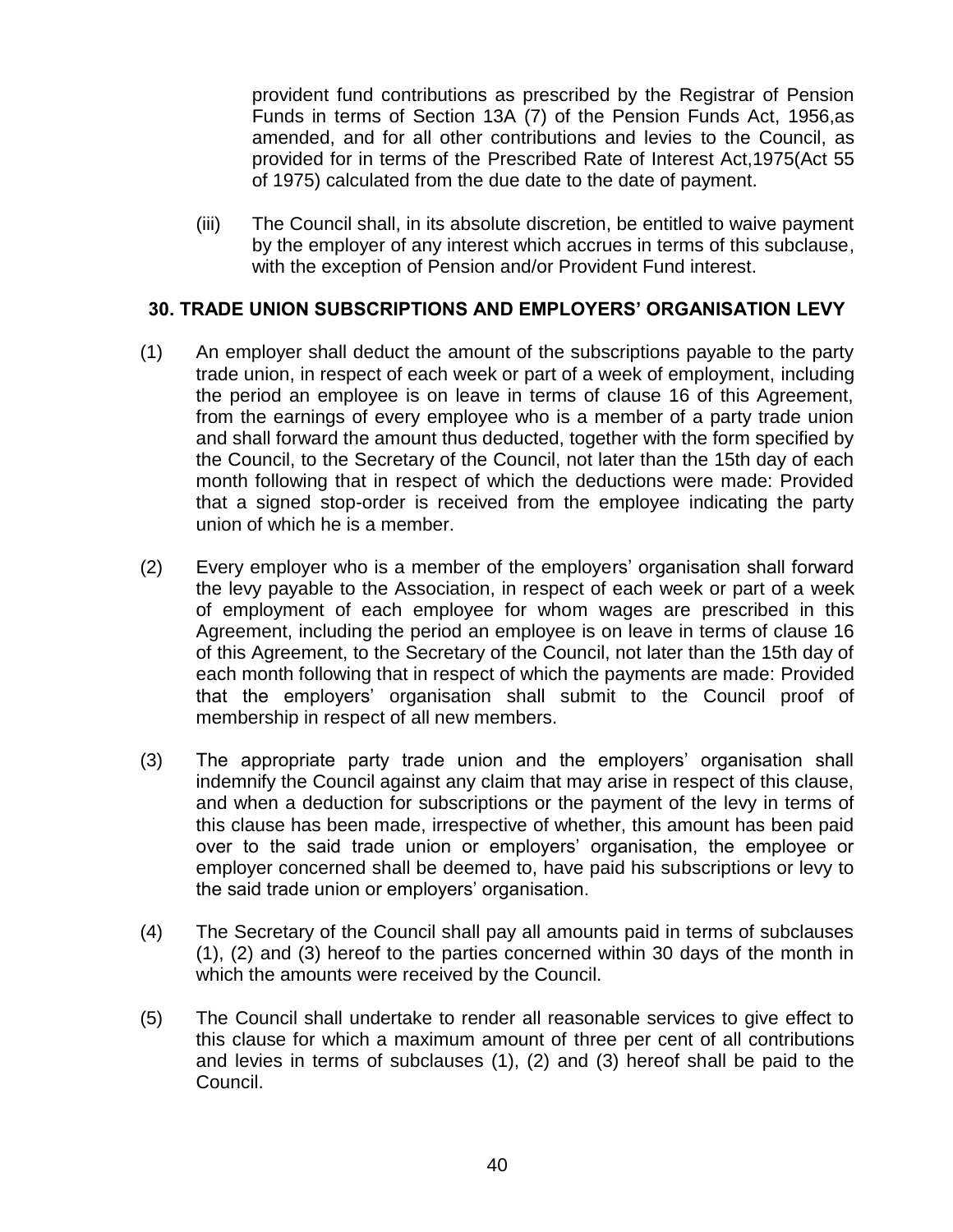provident fund contributions as prescribed by the Registrar of Pension Funds in terms of Section 13A (7) of the Pension Funds Act, 1956,as amended, and for all other contributions and levies to the Council, as provided for in terms of the Prescribed Rate of Interest Act,1975(Act 55 of 1975) calculated from the due date to the date of payment.

(iii) The Council shall, in its absolute discretion, be entitled to waive payment by the employer of any interest which accrues in terms of this subclause, with the exception of Pension and/or Provident Fund interest.

#### **30. TRADE UNION SUBSCRIPTIONS AND EMPLOYERS" ORGANISATION LEVY**

- (1) An employer shall deduct the amount of the subscriptions payable to the party trade union, in respect of each week or part of a week of employment, including the period an employee is on leave in terms of clause 16 of this Agreement, from the earnings of every employee who is a member of a party trade union and shall forward the amount thus deducted, together with the form specified by the Council, to the Secretary of the Council, not later than the 15th day of each month following that in respect of which the deductions were made: Provided that a signed stop-order is received from the employee indicating the party union of which he is a member.
- (2) Every employer who is a member of the employers" organisation shall forward the levy payable to the Association, in respect of each week or part of a week of employment of each employee for whom wages are prescribed in this Agreement, including the period an employee is on leave in terms of clause 16 of this Agreement, to the Secretary of the Council, not later than the 15th day of each month following that in respect of which the payments are made: Provided that the employers" organisation shall submit to the Council proof of membership in respect of all new members.
- (3) The appropriate party trade union and the employers" organisation shall indemnify the Council against any claim that may arise in respect of this clause, and when a deduction for subscriptions or the payment of the levy in terms of this clause has been made, irrespective of whether, this amount has been paid over to the said trade union or employers" organisation, the employee or employer concerned shall be deemed to, have paid his subscriptions or levy to the said trade union or employers' organisation.
- (4) The Secretary of the Council shall pay all amounts paid in terms of subclauses (1), (2) and (3) hereof to the parties concerned within 30 days of the month in which the amounts were received by the Council.
- (5) The Council shall undertake to render all reasonable services to give effect to this clause for which a maximum amount of three per cent of all contributions and levies in terms of subclauses (1), (2) and (3) hereof shall be paid to the Council.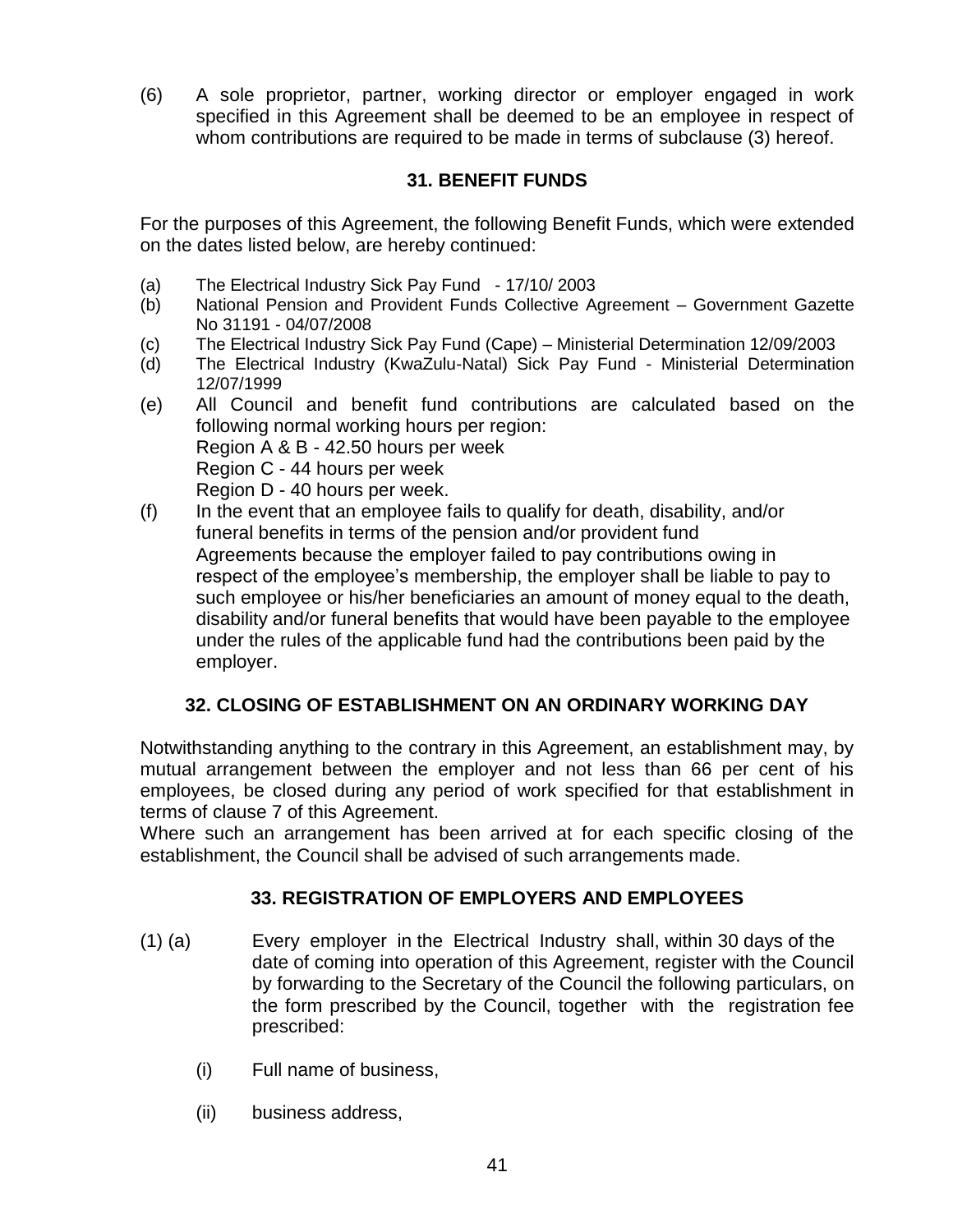(6) A sole proprietor, partner, working director or employer engaged in work specified in this Agreement shall be deemed to be an employee in respect of whom contributions are required to be made in terms of subclause (3) hereof.

## **31. BENEFIT FUNDS**

For the purposes of this Agreement, the following Benefit Funds, which were extended on the dates listed below, are hereby continued:

- (a) The Electrical Industry Sick Pay Fund 17/10/ 2003
- (b) National Pension and Provident Funds Collective Agreement Government Gazette No 31191 - 04/07/2008
- (c) The Electrical Industry Sick Pay Fund (Cape) Ministerial Determination 12/09/2003
- (d) The Electrical Industry (KwaZulu-Natal) Sick Pay Fund Ministerial Determination 12/07/1999
- (e) All Council and benefit fund contributions are calculated based on the following normal working hours per region: Region A & B - 42.50 hours per week Region C - 44 hours per week Region D - 40 hours per week.
- (f) In the event that an employee fails to qualify for death, disability, and/or funeral benefits in terms of the pension and/or provident fund Agreements because the employer failed to pay contributions owing in respect of the employee"s membership, the employer shall be liable to pay to such employee or his/her beneficiaries an amount of money equal to the death, disability and/or funeral benefits that would have been payable to the employee under the rules of the applicable fund had the contributions been paid by the employer.

## **32. CLOSING OF ESTABLISHMENT ON AN ORDINARY WORKING DAY**

Notwithstanding anything to the contrary in this Agreement, an establishment may, by mutual arrangement between the employer and not less than 66 per cent of his employees, be closed during any period of work specified for that establishment in terms of clause 7 of this Agreement.

Where such an arrangement has been arrived at for each specific closing of the establishment, the Council shall be advised of such arrangements made.

## **33. REGISTRATION OF EMPLOYERS AND EMPLOYEES**

- (1) (a) Every employer in the Electrical Industry shall, within 30 days of the date of coming into operation of this Agreement, register with the Council by forwarding to the Secretary of the Council the following particulars, on the form prescribed by the Council, together with the registration fee prescribed:
	- (i) Full name of business,
	- (ii) business address,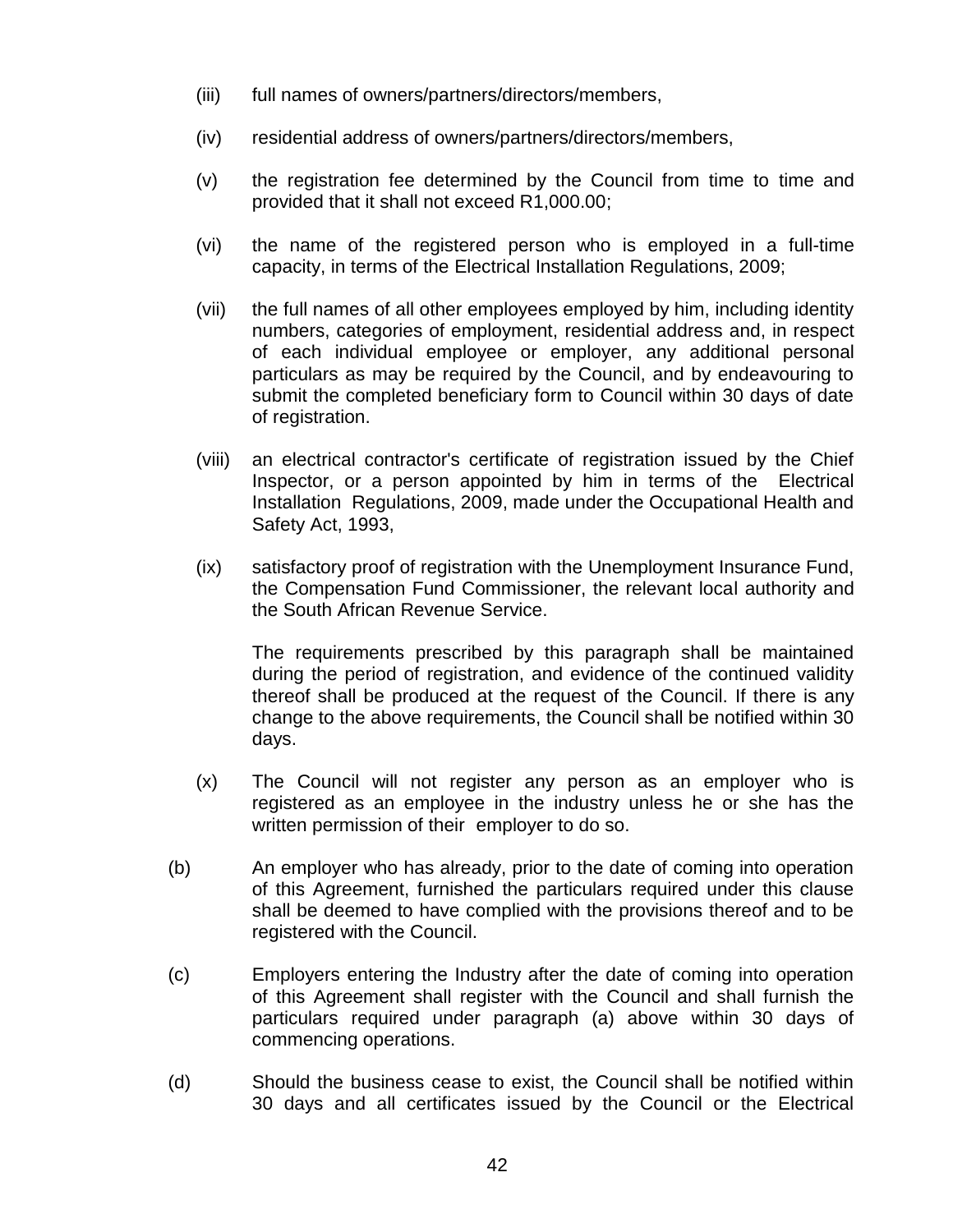- (iii) full names of owners/partners/directors/members,
- (iv) residential address of owners/partners/directors/members,
- (v) the registration fee determined by the Council from time to time and provided that it shall not exceed R1,000.00;
- (vi) the name of the registered person who is employed in a full-time capacity, in terms of the Electrical Installation Regulations, 2009;
- (vii) the full names of all other employees employed by him, including identity numbers, categories of employment, residential address and, in respect of each individual employee or employer, any additional personal particulars as may be required by the Council, and by endeavouring to submit the completed beneficiary form to Council within 30 days of date of registration.
- (viii) an electrical contractor's certificate of registration issued by the Chief Inspector, or a person appointed by him in terms of the Electrical Installation Regulations, 2009, made under the Occupational Health and Safety Act, 1993,
- (ix) satisfactory proof of registration with the Unemployment Insurance Fund, the Compensation Fund Commissioner, the relevant local authority and the South African Revenue Service.

The requirements prescribed by this paragraph shall be maintained during the period of registration, and evidence of the continued validity thereof shall be produced at the request of the Council. If there is any change to the above requirements, the Council shall be notified within 30 days.

- (x) The Council will not register any person as an employer who is registered as an employee in the industry unless he or she has the written permission of their employer to do so.
- (b) An employer who has already, prior to the date of coming into operation of this Agreement, furnished the particulars required under this clause shall be deemed to have complied with the provisions thereof and to be registered with the Council.
- (c) Employers entering the Industry after the date of coming into operation of this Agreement shall register with the Council and shall furnish the particulars required under paragraph (a) above within 30 days of commencing operations.
- (d) Should the business cease to exist, the Council shall be notified within 30 days and all certificates issued by the Council or the Electrical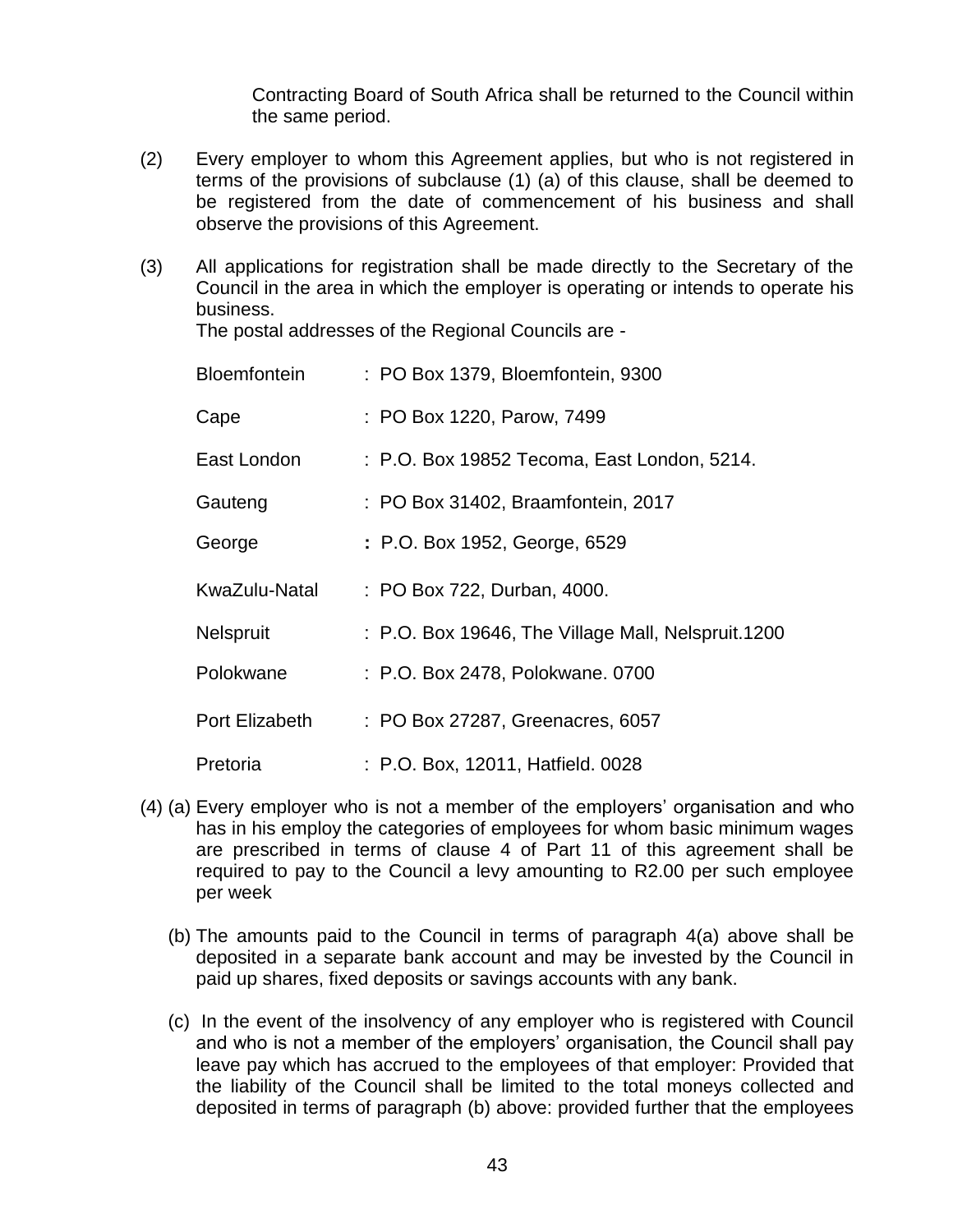Contracting Board of South Africa shall be returned to the Council within the same period.

- (2) Every employer to whom this Agreement applies, but who is not registered in terms of the provisions of subclause (1) (a) of this clause, shall be deemed to be registered from the date of commencement of his business and shall observe the provisions of this Agreement.
- (3) All applications for registration shall be made directly to the Secretary of the Council in the area in which the employer is operating or intends to operate his business.

The postal addresses of the Regional Councils are -

| Bloemfontein   | : PO Box 1379, Bloemfontein, 9300                  |
|----------------|----------------------------------------------------|
| Cape           | : PO Box 1220, Parow, 7499                         |
| East London    | : P.O. Box 19852 Tecoma, East London, 5214.        |
| Gauteng        | : PO Box 31402, Braamfontein, 2017                 |
| George         | : P.O. Box 1952, George, 6529                      |
| KwaZulu-Natal  | : PO Box 722, Durban, 4000.                        |
| Nelspruit      | : P.O. Box 19646, The Village Mall, Nelspruit.1200 |
| Polokwane      | : P.O. Box 2478, Polokwane. 0700                   |
| Port Elizabeth | : PO Box 27287, Greenacres, 6057                   |
| Pretoria       | : P.O. Box, 12011, Hatfield. 0028                  |

- (4) (a) Every employer who is not a member of the employers" organisation and who has in his employ the categories of employees for whom basic minimum wages are prescribed in terms of clause 4 of Part 11 of this agreement shall be required to pay to the Council a levy amounting to R2.00 per such employee per week
	- (b) The amounts paid to the Council in terms of paragraph 4(a) above shall be deposited in a separate bank account and may be invested by the Council in paid up shares, fixed deposits or savings accounts with any bank.
	- (c) In the event of the insolvency of any employer who is registered with Council and who is not a member of the employers" organisation, the Council shall pay leave pay which has accrued to the employees of that employer: Provided that the liability of the Council shall be limited to the total moneys collected and deposited in terms of paragraph (b) above: provided further that the employees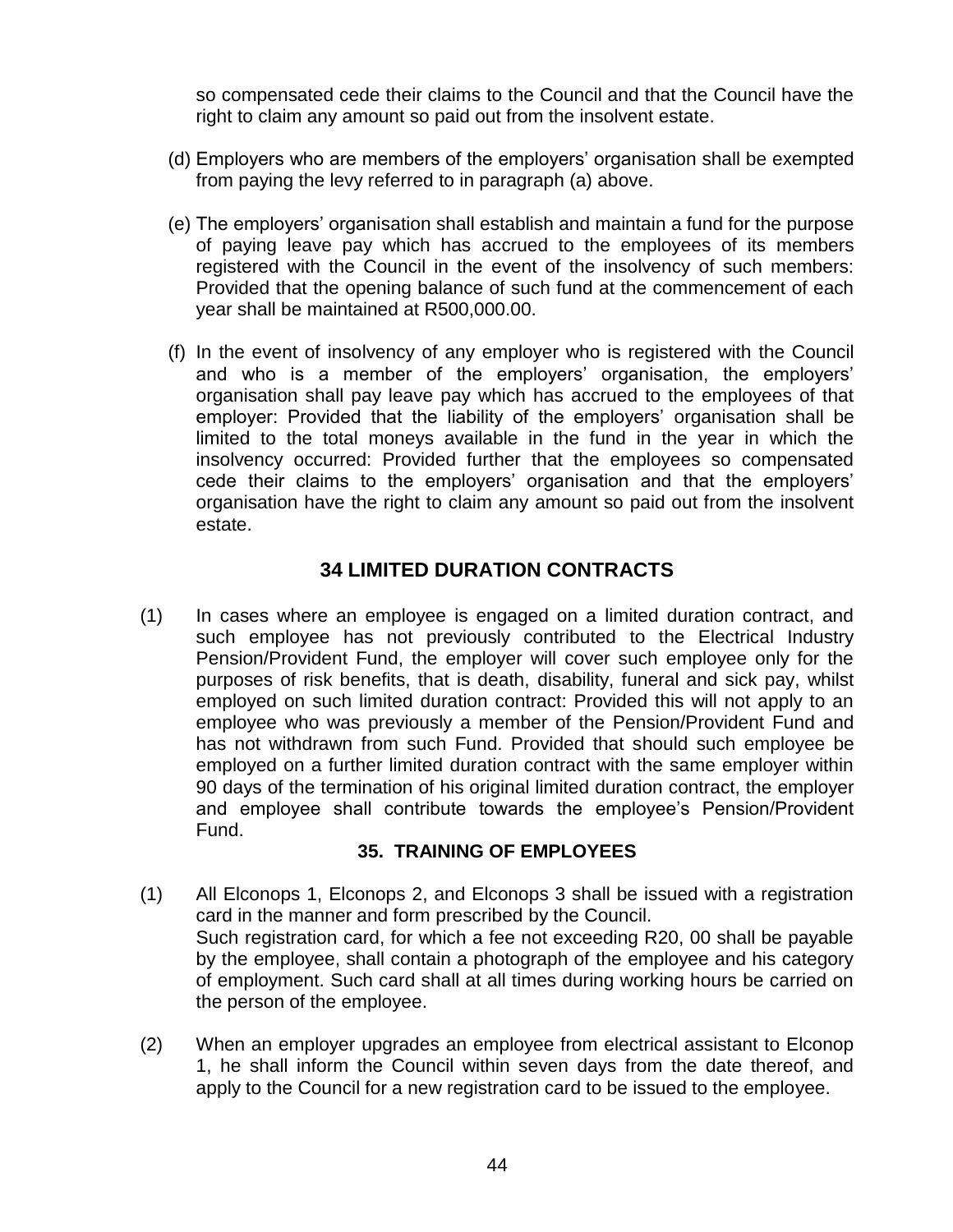so compensated cede their claims to the Council and that the Council have the right to claim any amount so paid out from the insolvent estate.

- (d) Employers who are members of the employers" organisation shall be exempted from paying the levy referred to in paragraph (a) above.
- (e) The employers" organisation shall establish and maintain a fund for the purpose of paying leave pay which has accrued to the employees of its members registered with the Council in the event of the insolvency of such members: Provided that the opening balance of such fund at the commencement of each year shall be maintained at R500,000.00.
- (f) In the event of insolvency of any employer who is registered with the Council and who is a member of the employers" organisation, the employers" organisation shall pay leave pay which has accrued to the employees of that employer: Provided that the liability of the employers" organisation shall be limited to the total moneys available in the fund in the year in which the insolvency occurred: Provided further that the employees so compensated cede their claims to the employers" organisation and that the employers" organisation have the right to claim any amount so paid out from the insolvent estate.

## **34 LIMITED DURATION CONTRACTS**

(1) In cases where an employee is engaged on a limited duration contract, and such employee has not previously contributed to the Electrical Industry Pension/Provident Fund, the employer will cover such employee only for the purposes of risk benefits, that is death, disability, funeral and sick pay, whilst employed on such limited duration contract: Provided this will not apply to an employee who was previously a member of the Pension/Provident Fund and has not withdrawn from such Fund. Provided that should such employee be employed on a further limited duration contract with the same employer within 90 days of the termination of his original limited duration contract, the employer and employee shall contribute towards the employee"s Pension/Provident Fund.

#### **35. TRAINING OF EMPLOYEES**

- (1) All Elconops 1, Elconops 2, and Elconops 3 shall be issued with a registration card in the manner and form prescribed by the Council. Such registration card, for which a fee not exceeding R20, 00 shall be payable by the employee, shall contain a photograph of the employee and his category of employment. Such card shall at all times during working hours be carried on the person of the employee.
- (2) When an employer upgrades an employee from electrical assistant to Elconop 1, he shall inform the Council within seven days from the date thereof, and apply to the Council for a new registration card to be issued to the employee.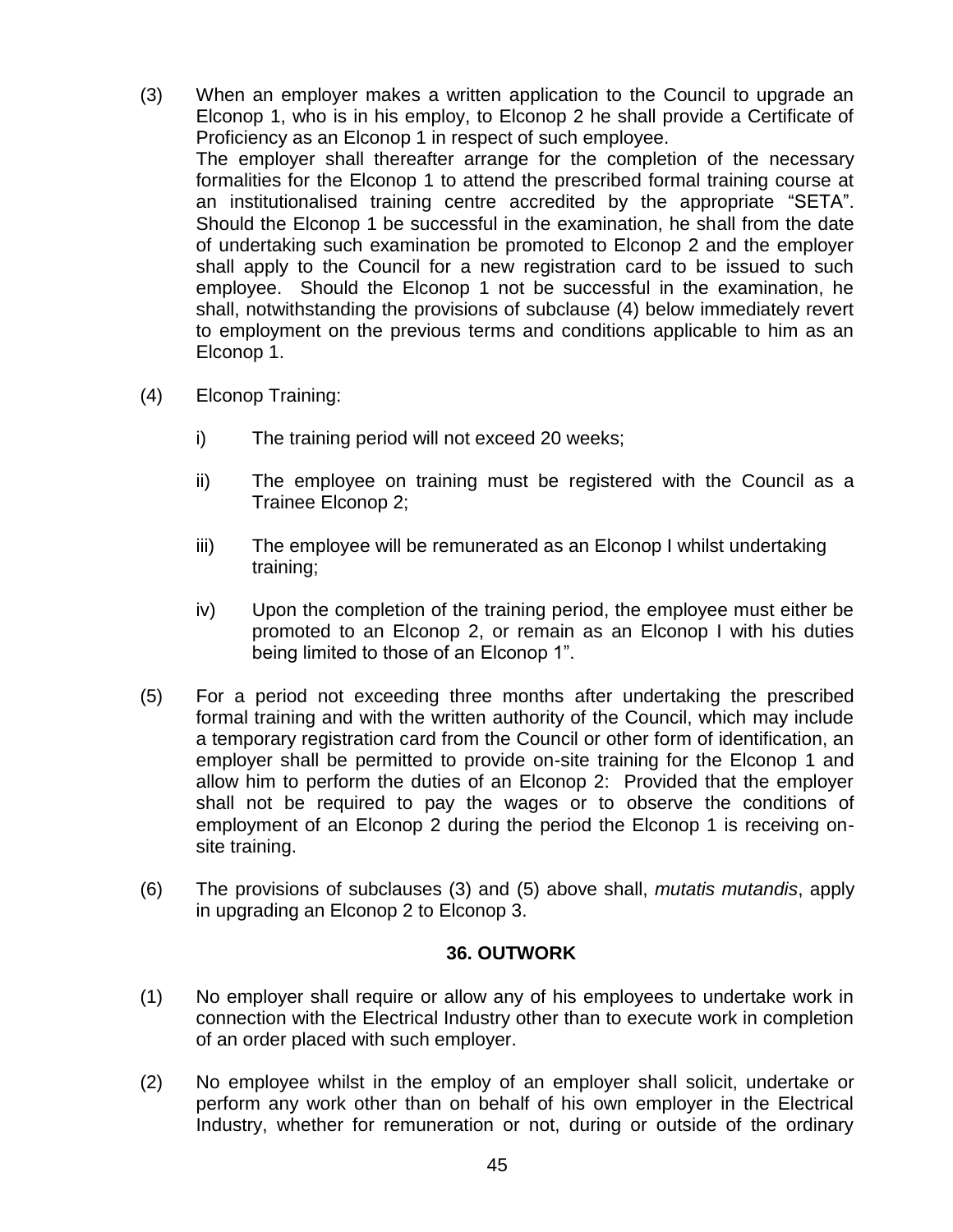- (3) When an employer makes a written application to the Council to upgrade an Elconop 1, who is in his employ, to Elconop 2 he shall provide a Certificate of Proficiency as an Elconop 1 in respect of such employee. The employer shall thereafter arrange for the completion of the necessary formalities for the Elconop 1 to attend the prescribed formal training course at an institutionalised training centre accredited by the appropriate "SETA". Should the Elconop 1 be successful in the examination, he shall from the date of undertaking such examination be promoted to Elconop 2 and the employer shall apply to the Council for a new registration card to be issued to such employee. Should the Elconop 1 not be successful in the examination, he shall, notwithstanding the provisions of subclause (4) below immediately revert to employment on the previous terms and conditions applicable to him as an Elconop 1.
- (4) Elconop Training:
	- i) The training period will not exceed 20 weeks;
	- ii) The employee on training must be registered with the Council as a Trainee Elconop 2;
	- iii) The employee will be remunerated as an Elconop I whilst undertaking training;
	- iv) Upon the completion of the training period, the employee must either be promoted to an Elconop 2, or remain as an Elconop I with his duties being limited to those of an Elconop 1".
- (5) For a period not exceeding three months after undertaking the prescribed formal training and with the written authority of the Council, which may include a temporary registration card from the Council or other form of identification, an employer shall be permitted to provide on-site training for the Elconop 1 and allow him to perform the duties of an Elconop 2: Provided that the employer shall not be required to pay the wages or to observe the conditions of employment of an Elconop 2 during the period the Elconop 1 is receiving onsite training.
- (6) The provisions of subclauses (3) and (5) above shall, *mutatis mutandis*, apply in upgrading an Elconop 2 to Elconop 3.

#### **36. OUTWORK**

- (1) No employer shall require or allow any of his employees to undertake work in connection with the Electrical Industry other than to execute work in completion of an order placed with such employer.
- (2) No employee whilst in the employ of an employer shall solicit, undertake or perform any work other than on behalf of his own employer in the Electrical Industry, whether for remuneration or not, during or outside of the ordinary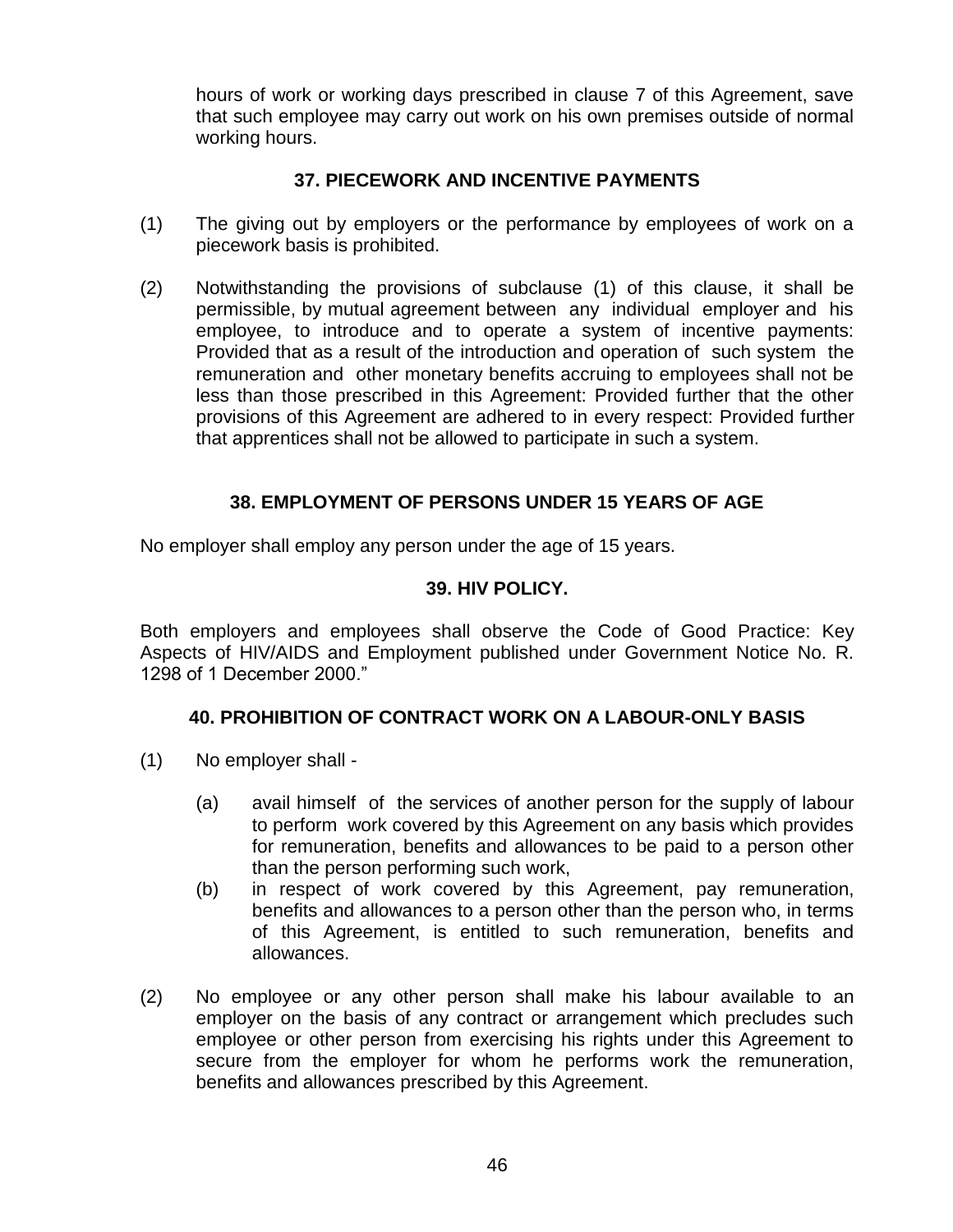hours of work or working days prescribed in clause 7 of this Agreement, save that such employee may carry out work on his own premises outside of normal working hours.

## **37. PIECEWORK AND INCENTIVE PAYMENTS**

- (1) The giving out by employers or the performance by employees of work on a piecework basis is prohibited.
- (2) Notwithstanding the provisions of subclause (1) of this clause, it shall be permissible, by mutual agreement between any individual employer and his employee, to introduce and to operate a system of incentive payments: Provided that as a result of the introduction and operation of such system the remuneration and other monetary benefits accruing to employees shall not be less than those prescribed in this Agreement: Provided further that the other provisions of this Agreement are adhered to in every respect: Provided further that apprentices shall not be allowed to participate in such a system.

## **38. EMPLOYMENT OF PERSONS UNDER 15 YEARS OF AGE**

No employer shall employ any person under the age of 15 years.

## **39. HIV POLICY.**

Both employers and employees shall observe the Code of Good Practice: Key Aspects of HIV/AIDS and Employment published under Government Notice No. R. 1298 of 1 December 2000."

## **40. PROHIBITION OF CONTRACT WORK ON A LABOUR-ONLY BASIS**

- (1) No employer shall
	- (a) avail himself of the services of another person for the supply of labour to perform work covered by this Agreement on any basis which provides for remuneration, benefits and allowances to be paid to a person other than the person performing such work,
	- (b) in respect of work covered by this Agreement, pay remuneration, benefits and allowances to a person other than the person who, in terms of this Agreement, is entitled to such remuneration, benefits and allowances.
- (2) No employee or any other person shall make his labour available to an employer on the basis of any contract or arrangement which precludes such employee or other person from exercising his rights under this Agreement to secure from the employer for whom he performs work the remuneration, benefits and allowances prescribed by this Agreement.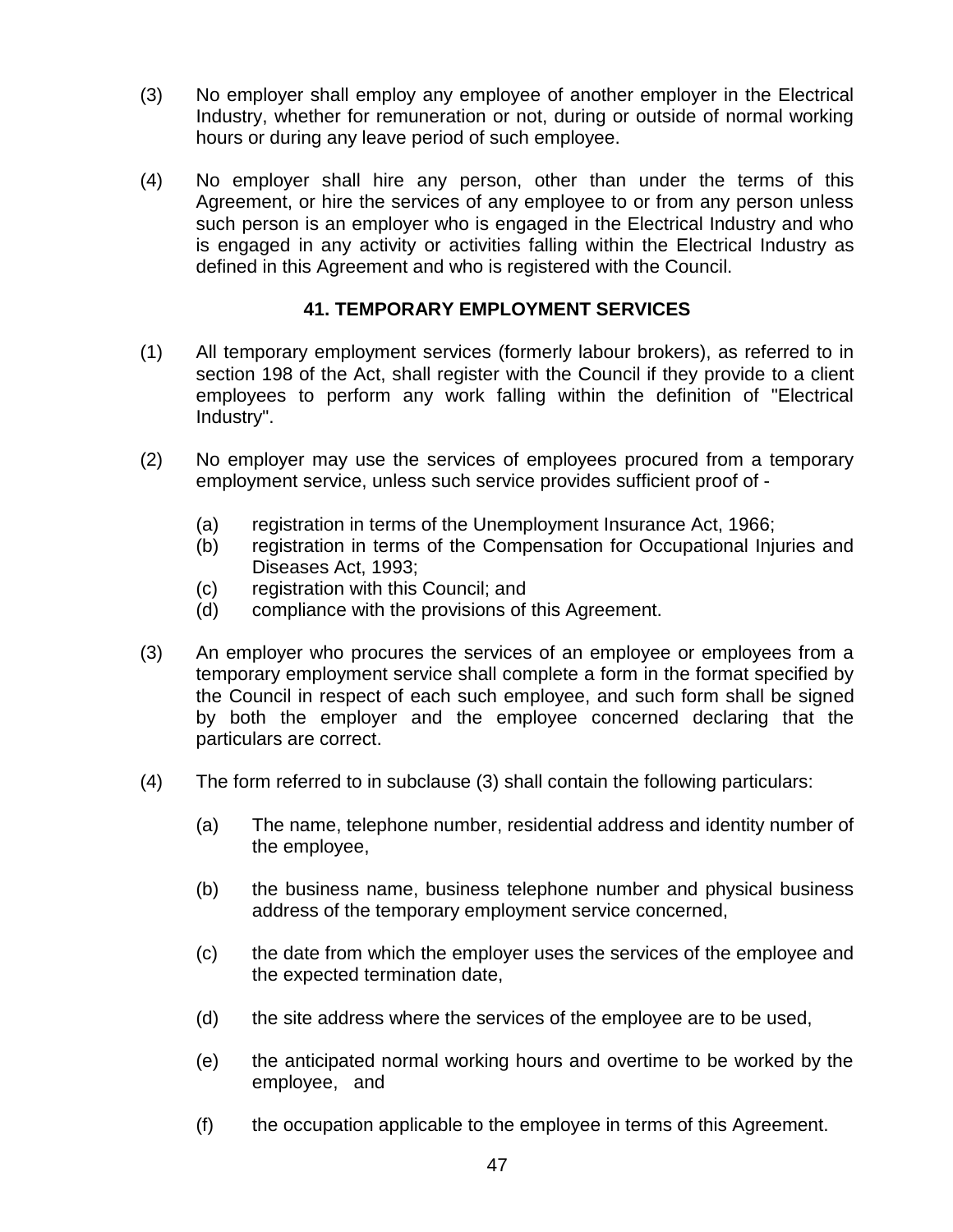- (3) No employer shall employ any employee of another employer in the Electrical Industry, whether for remuneration or not, during or outside of normal working hours or during any leave period of such employee.
- (4) No employer shall hire any person, other than under the terms of this Agreement, or hire the services of any employee to or from any person unless such person is an employer who is engaged in the Electrical Industry and who is engaged in any activity or activities falling within the Electrical Industry as defined in this Agreement and who is registered with the Council.

#### **41. TEMPORARY EMPLOYMENT SERVICES**

- (1) All temporary employment services (formerly labour brokers), as referred to in section 198 of the Act, shall register with the Council if they provide to a client employees to perform any work falling within the definition of "Electrical Industry".
- (2) No employer may use the services of employees procured from a temporary employment service, unless such service provides sufficient proof of -
	- (a) registration in terms of the Unemployment Insurance Act, 1966;
	- (b) registration in terms of the Compensation for Occupational Injuries and Diseases Act, 1993;
	- (c) registration with this Council; and
	- (d) compliance with the provisions of this Agreement.
- (3) An employer who procures the services of an employee or employees from a temporary employment service shall complete a form in the format specified by the Council in respect of each such employee, and such form shall be signed by both the employer and the employee concerned declaring that the particulars are correct.
- (4) The form referred to in subclause (3) shall contain the following particulars:
	- (a) The name, telephone number, residential address and identity number of the employee,
	- (b) the business name, business telephone number and physical business address of the temporary employment service concerned,
	- (c) the date from which the employer uses the services of the employee and the expected termination date,
	- (d) the site address where the services of the employee are to be used,
	- (e) the anticipated normal working hours and overtime to be worked by the employee, and
	- (f) the occupation applicable to the employee in terms of this Agreement.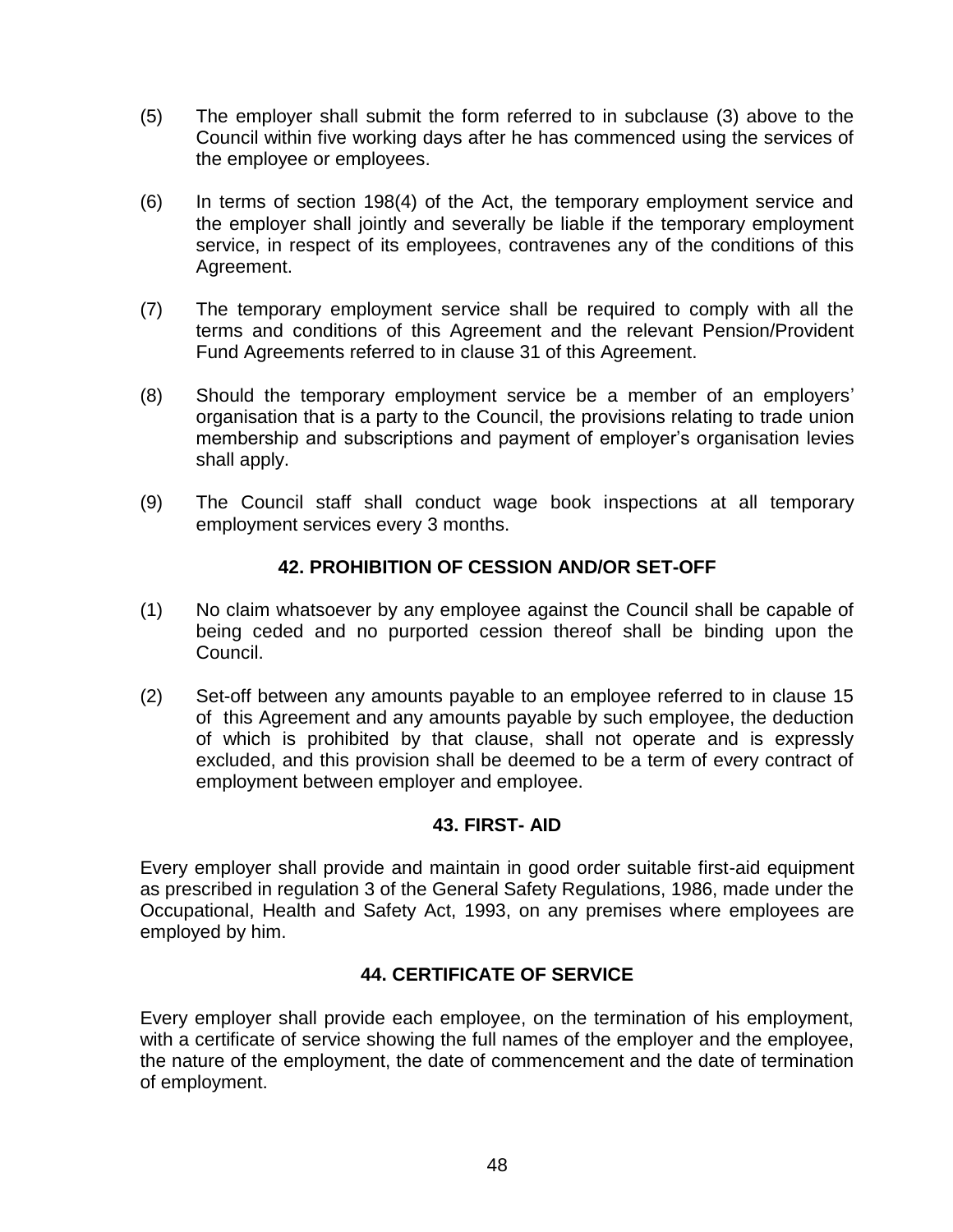- (5) The employer shall submit the form referred to in subclause (3) above to the Council within five working days after he has commenced using the services of the employee or employees.
- (6) In terms of section 198(4) of the Act, the temporary employment service and the employer shall jointly and severally be liable if the temporary employment service, in respect of its employees, contravenes any of the conditions of this Agreement.
- (7) The temporary employment service shall be required to comply with all the terms and conditions of this Agreement and the relevant Pension/Provident Fund Agreements referred to in clause 31 of this Agreement.
- (8) Should the temporary employment service be a member of an employers" organisation that is a party to the Council, the provisions relating to trade union membership and subscriptions and payment of employer"s organisation levies shall apply.
- (9) The Council staff shall conduct wage book inspections at all temporary employment services every 3 months.

## **42. PROHIBITION OF CESSION AND/OR SET-OFF**

- (1) No claim whatsoever by any employee against the Council shall be capable of being ceded and no purported cession thereof shall be binding upon the Council.
- (2) Set-off between any amounts payable to an employee referred to in clause 15 of this Agreement and any amounts payable by such employee, the deduction of which is prohibited by that clause, shall not operate and is expressly excluded, and this provision shall be deemed to be a term of every contract of employment between employer and employee.

#### **43. FIRST- AID**

Every employer shall provide and maintain in good order suitable first-aid equipment as prescribed in regulation 3 of the General Safety Regulations, 1986, made under the Occupational, Health and Safety Act, 1993, on any premises where employees are employed by him.

## **44. CERTIFICATE OF SERVICE**

Every employer shall provide each employee, on the termination of his employment, with a certificate of service showing the full names of the employer and the employee, the nature of the employment, the date of commencement and the date of termination of employment.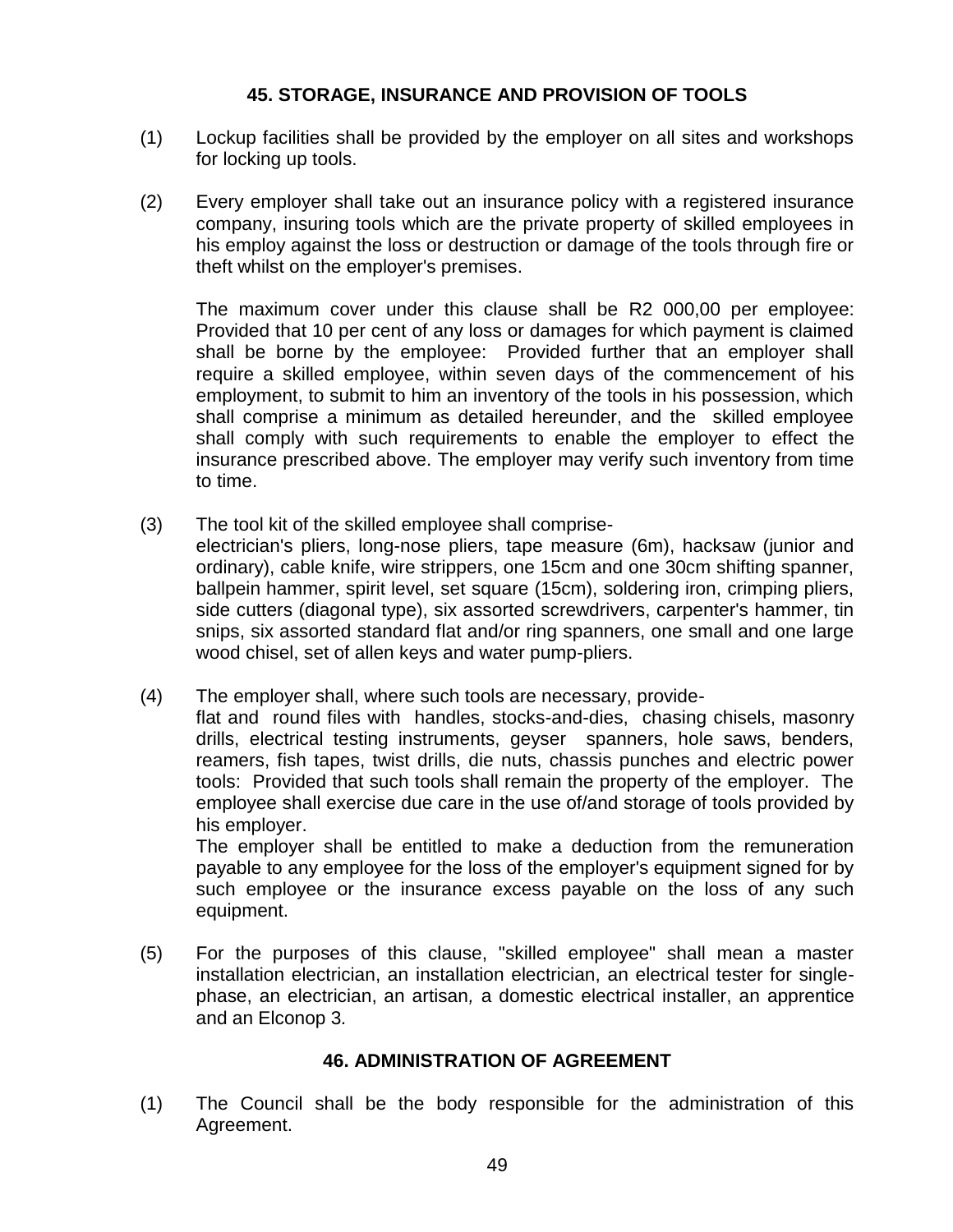### **45. STORAGE, INSURANCE AND PROVISION OF TOOLS**

- (1) Lockup facilities shall be provided by the employer on all sites and workshops for locking up tools.
- (2) Every employer shall take out an insurance policy with a registered insurance company, insuring tools which are the private property of skilled employees in his employ against the loss or destruction or damage of the tools through fire or theft whilst on the employer's premises.

The maximum cover under this clause shall be R2 000,00 per employee: Provided that 10 per cent of any loss or damages for which payment is claimed shall be borne by the employee: Provided further that an employer shall require a skilled employee, within seven days of the commencement of his employment, to submit to him an inventory of the tools in his possession, which shall comprise a minimum as detailed hereunder, and the skilled employee shall comply with such requirements to enable the employer to effect the insurance prescribed above. The employer may verify such inventory from time to time.

- (3) The tool kit of the skilled employee shall compriseelectrician's pliers, long-nose pliers, tape measure (6m), hacksaw (junior and ordinary), cable knife, wire strippers, one 15cm and one 30cm shifting spanner, ballpein hammer, spirit level, set square (15cm), soldering iron, crimping pliers, side cutters (diagonal type), six assorted screwdrivers, carpenter's hammer, tin snips, six assorted standard flat and/or ring spanners, one small and one large wood chisel, set of allen keys and water pump-pliers.
- (4) The employer shall, where such tools are necessary, provide-

flat and round files with handles, stocks-and-dies, chasing chisels, masonry drills, electrical testing instruments, geyser spanners, hole saws, benders, reamers, fish tapes, twist drills, die nuts, chassis punches and electric power tools: Provided that such tools shall remain the property of the employer. The employee shall exercise due care in the use of/and storage of tools provided by his employer.

The employer shall be entitled to make a deduction from the remuneration payable to any employee for the loss of the employer's equipment signed for by such employee or the insurance excess payable on the loss of any such equipment.

(5) For the purposes of this clause, "skilled employee" shall mean a master installation electrician, an installation electrician, an electrical tester for singlephase, an electrician, an artisan*,* a domestic electrical installer, an apprentice and an Elconop 3*.*

#### **46. ADMINISTRATION OF AGREEMENT**

(1) The Council shall be the body responsible for the administration of this Agreement.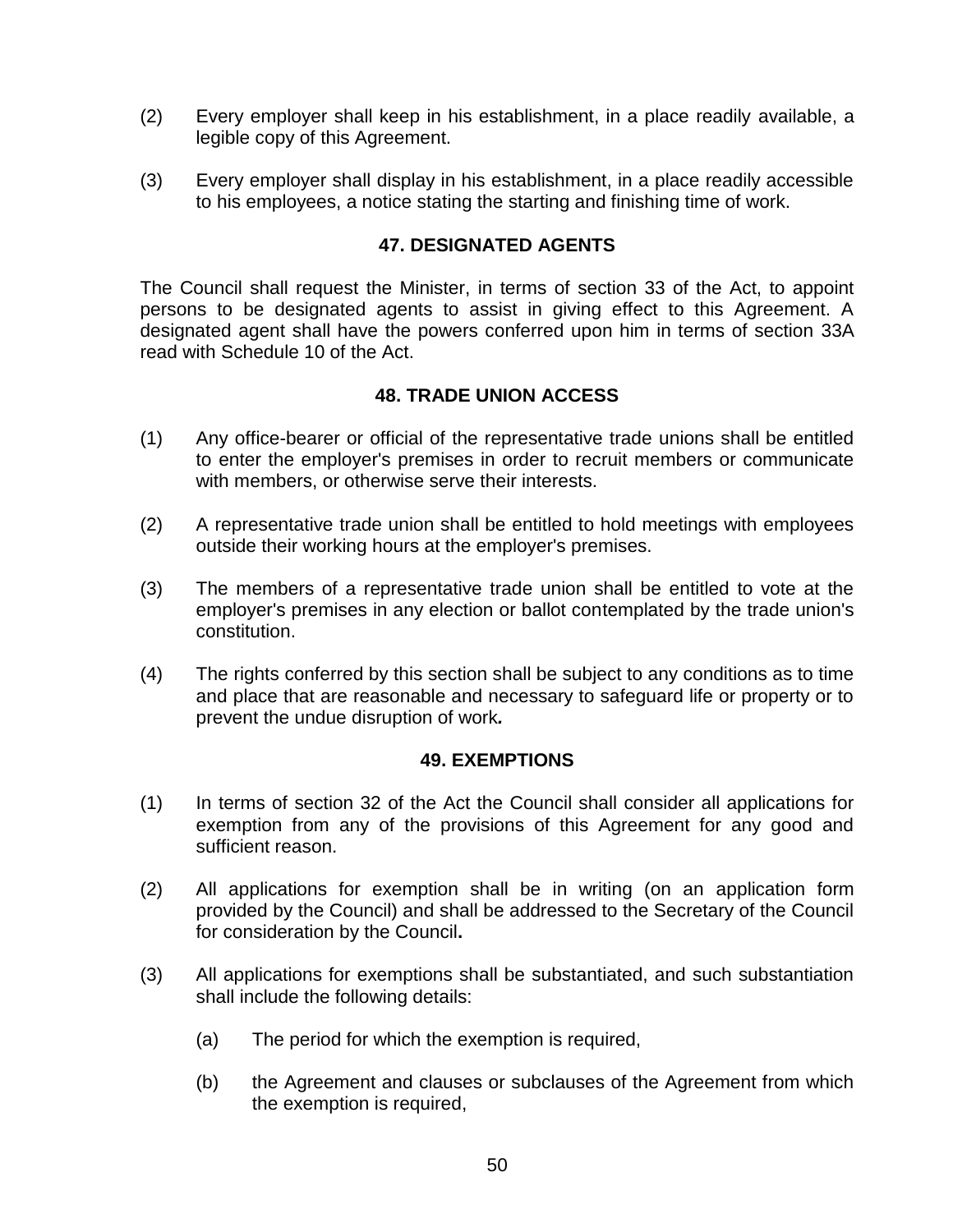- (2) Every employer shall keep in his establishment, in a place readily available, a legible copy of this Agreement.
- (3) Every employer shall display in his establishment, in a place readily accessible to his employees, a notice stating the starting and finishing time of work.

### **47. DESIGNATED AGENTS**

The Council shall request the Minister, in terms of section 33 of the Act, to appoint persons to be designated agents to assist in giving effect to this Agreement. A designated agent shall have the powers conferred upon him in terms of section 33A read with Schedule 10 of the Act.

### **48. TRADE UNION ACCESS**

- (1) Any office-bearer or official of the representative trade unions shall be entitled to enter the employer's premises in order to recruit members or communicate with members, or otherwise serve their interests.
- (2) A representative trade union shall be entitled to hold meetings with employees outside their working hours at the employer's premises.
- (3) The members of a representative trade union shall be entitled to vote at the employer's premises in any election or ballot contemplated by the trade union's constitution.
- (4) The rights conferred by this section shall be subject to any conditions as to time and place that are reasonable and necessary to safeguard life or property or to prevent the undue disruption of work*.*

#### **49. EXEMPTIONS**

- (1) In terms of section 32 of the Act the Council shall consider all applications for exemption from any of the provisions of this Agreement for any good and sufficient reason.
- (2) All applications for exemption shall be in writing (on an application form provided by the Council) and shall be addressed to the Secretary of the Council for consideration by the Council**.**
- (3) All applications for exemptions shall be substantiated, and such substantiation shall include the following details:
	- (a) The period for which the exemption is required,
	- (b) the Agreement and clauses or subclauses of the Agreement from which the exemption is required,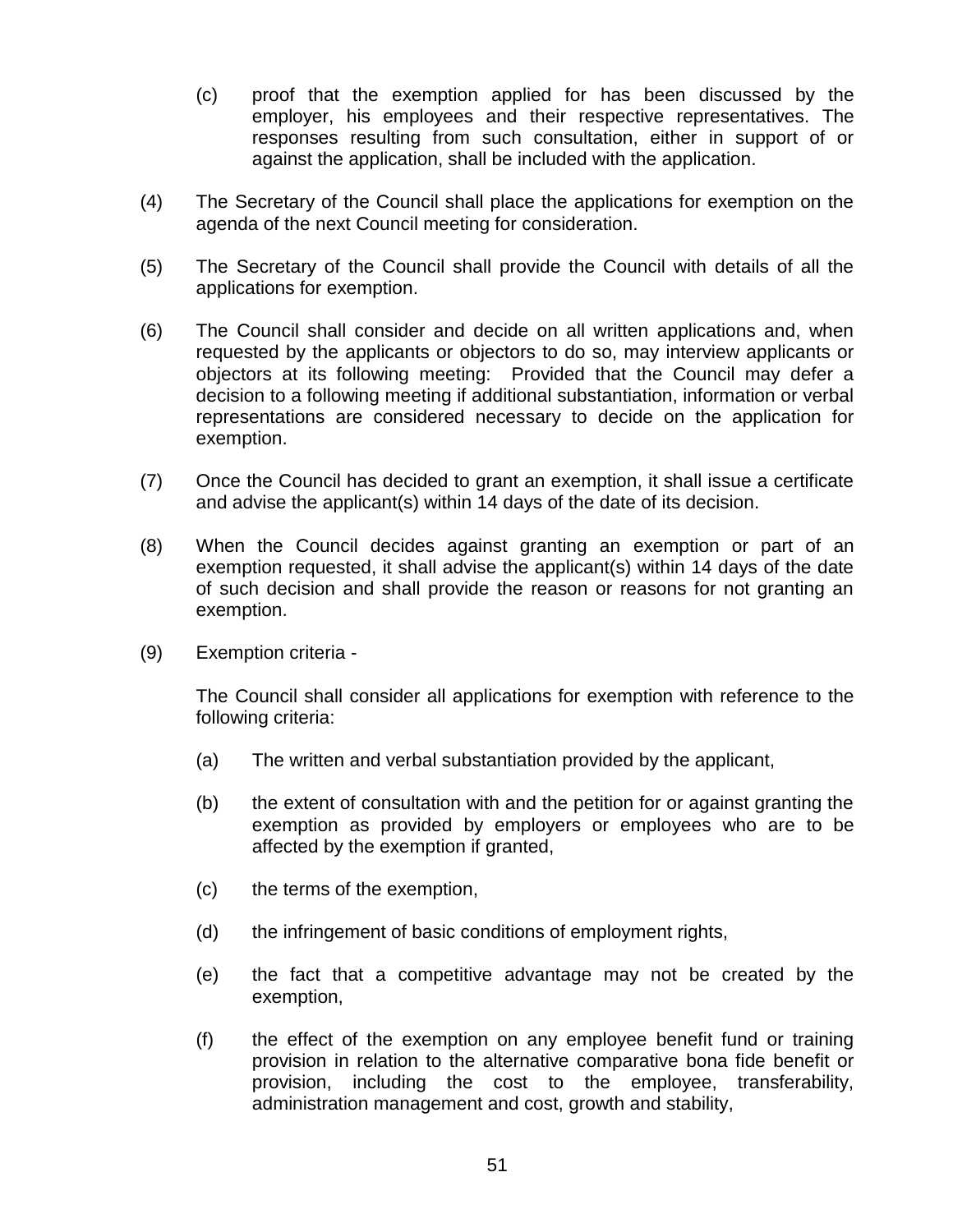- (c) proof that the exemption applied for has been discussed by the employer, his employees and their respective representatives. The responses resulting from such consultation, either in support of or against the application, shall be included with the application.
- (4) The Secretary of the Council shall place the applications for exemption on the agenda of the next Council meeting for consideration.
- (5) The Secretary of the Council shall provide the Council with details of all the applications for exemption.
- (6) The Council shall consider and decide on all written applications and, when requested by the applicants or objectors to do so, may interview applicants or objectors at its following meeting: Provided that the Council may defer a decision to a following meeting if additional substantiation, information or verbal representations are considered necessary to decide on the application for exemption.
- (7) Once the Council has decided to grant an exemption, it shall issue a certificate and advise the applicant(s) within 14 days of the date of its decision.
- (8) When the Council decides against granting an exemption or part of an exemption requested, it shall advise the applicant(s) within 14 days of the date of such decision and shall provide the reason or reasons for not granting an exemption.
- (9) Exemption criteria -

The Council shall consider all applications for exemption with reference to the following criteria:

- (a) The written and verbal substantiation provided by the applicant,
- (b) the extent of consultation with and the petition for or against granting the exemption as provided by employers or employees who are to be affected by the exemption if granted,
- (c) the terms of the exemption,
- (d) the infringement of basic conditions of employment rights,
- (e) the fact that a competitive advantage may not be created by the exemption,
- (f) the effect of the exemption on any employee benefit fund or training provision in relation to the alternative comparative bona fide benefit or provision, including the cost to the employee, transferability, administration management and cost, growth and stability,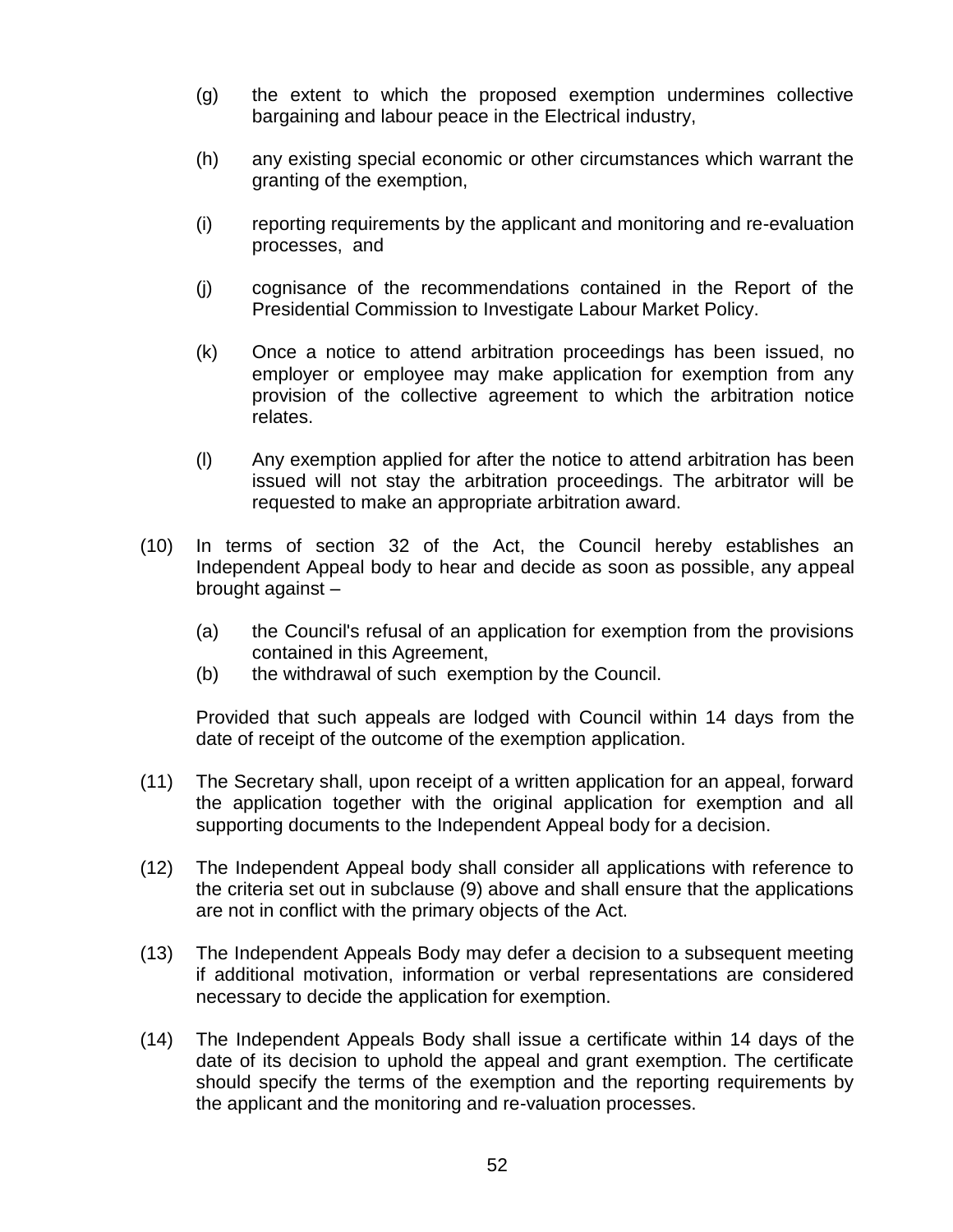- (g) the extent to which the proposed exemption undermines collective bargaining and labour peace in the Electrical industry,
- (h) any existing special economic or other circumstances which warrant the granting of the exemption,
- (i) reporting requirements by the applicant and monitoring and re-evaluation processes, and
- (j) cognisance of the recommendations contained in the Report of the Presidential Commission to Investigate Labour Market Policy.
- (k) Once a notice to attend arbitration proceedings has been issued, no employer or employee may make application for exemption from any provision of the collective agreement to which the arbitration notice relates.
- (l) Any exemption applied for after the notice to attend arbitration has been issued will not stay the arbitration proceedings. The arbitrator will be requested to make an appropriate arbitration award.
- (10) In terms of section 32 of the Act, the Council hereby establishes an Independent Appeal body to hear and decide as soon as possible, any appeal brought against –
	- (a) the Council's refusal of an application for exemption from the provisions contained in this Agreement,
	- (b) the withdrawal of such exemption by the Council.

Provided that such appeals are lodged with Council within 14 days from the date of receipt of the outcome of the exemption application.

- (11) The Secretary shall, upon receipt of a written application for an appeal, forward the application together with the original application for exemption and all supporting documents to the Independent Appeal body for a decision.
- (12) The Independent Appeal body shall consider all applications with reference to the criteria set out in subclause (9) above and shall ensure that the applications are not in conflict with the primary objects of the Act.
- (13) The Independent Appeals Body may defer a decision to a subsequent meeting if additional motivation, information or verbal representations are considered necessary to decide the application for exemption.
- (14) The Independent Appeals Body shall issue a certificate within 14 days of the date of its decision to uphold the appeal and grant exemption. The certificate should specify the terms of the exemption and the reporting requirements by the applicant and the monitoring and re-valuation processes.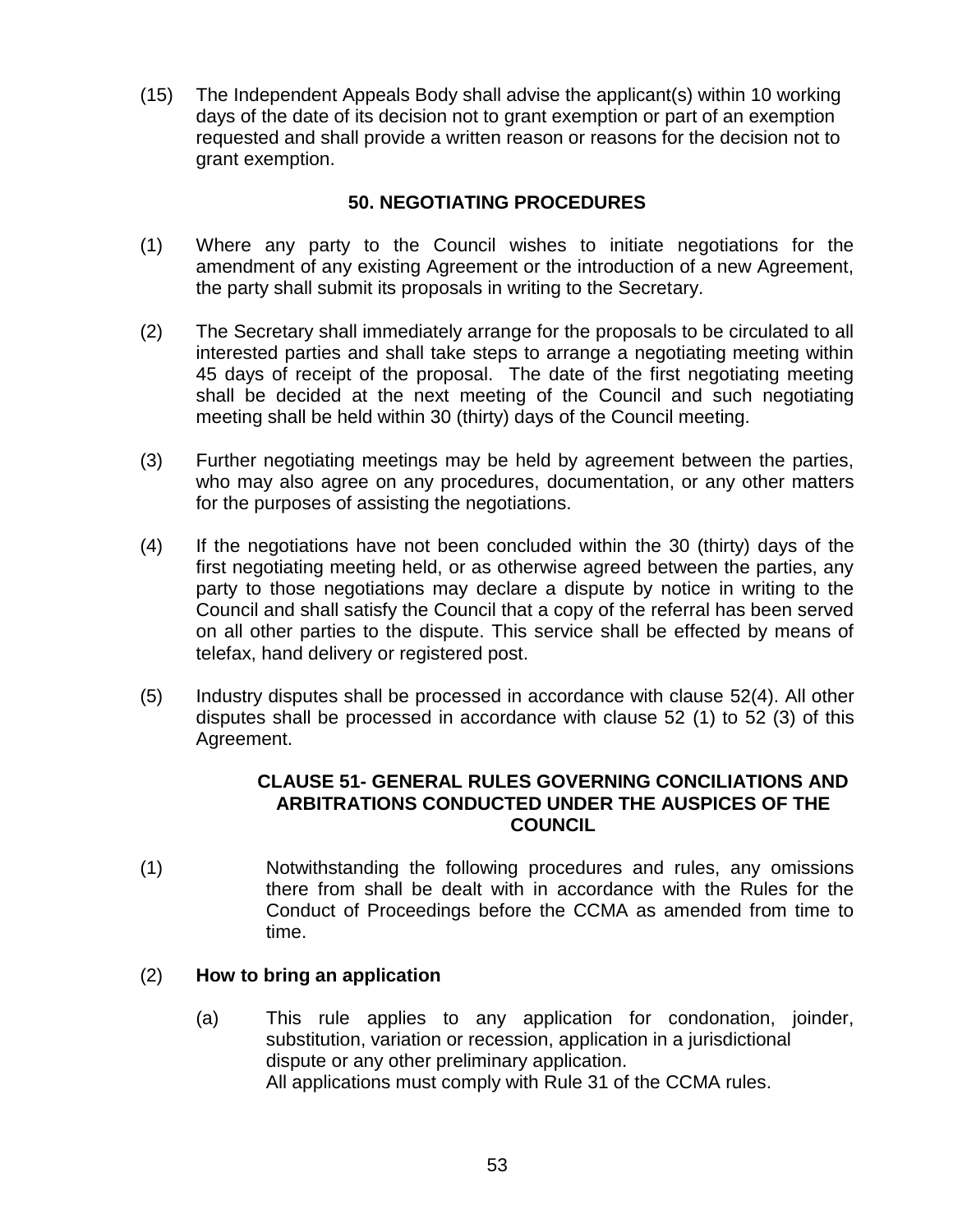(15) The Independent Appeals Body shall advise the applicant(s) within 10 working days of the date of its decision not to grant exemption or part of an exemption requested and shall provide a written reason or reasons for the decision not to grant exemption.

## **50. NEGOTIATING PROCEDURES**

- (1) Where any party to the Council wishes to initiate negotiations for the amendment of any existing Agreement or the introduction of a new Agreement, the party shall submit its proposals in writing to the Secretary.
- (2) The Secretary shall immediately arrange for the proposals to be circulated to all interested parties and shall take steps to arrange a negotiating meeting within 45 days of receipt of the proposal. The date of the first negotiating meeting shall be decided at the next meeting of the Council and such negotiating meeting shall be held within 30 (thirty) days of the Council meeting.
- (3) Further negotiating meetings may be held by agreement between the parties, who may also agree on any procedures, documentation, or any other matters for the purposes of assisting the negotiations.
- (4) If the negotiations have not been concluded within the 30 (thirty) days of the first negotiating meeting held, or as otherwise agreed between the parties, any party to those negotiations may declare a dispute by notice in writing to the Council and shall satisfy the Council that a copy of the referral has been served on all other parties to the dispute. This service shall be effected by means of telefax, hand delivery or registered post.
- (5) Industry disputes shall be processed in accordance with clause 52(4). All other disputes shall be processed in accordance with clause 52 (1) to 52 (3) of this Agreement.

#### **CLAUSE 51- GENERAL RULES GOVERNING CONCILIATIONS AND ARBITRATIONS CONDUCTED UNDER THE AUSPICES OF THE COUNCIL**

(1) Notwithstanding the following procedures and rules, any omissions there from shall be dealt with in accordance with the Rules for the Conduct of Proceedings before the CCMA as amended from time to time.

#### (2) **How to bring an application**

(a) This rule applies to any application for condonation, joinder, substitution, variation or recession, application in a jurisdictional dispute or any other preliminary application. All applications must comply with Rule 31 of the CCMA rules.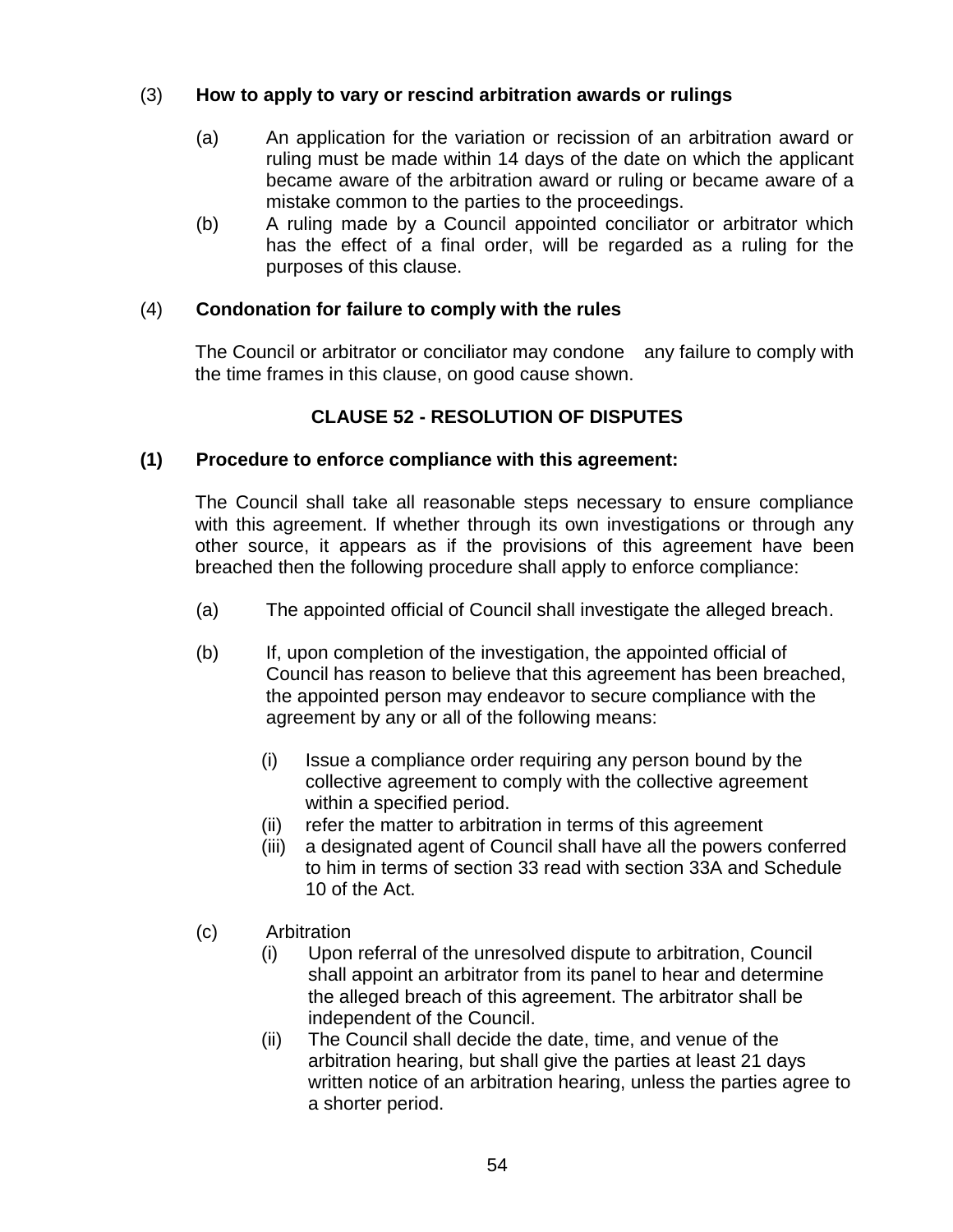### (3) **How to apply to vary or rescind arbitration awards or rulings**

- (a) An application for the variation or recission of an arbitration award or ruling must be made within 14 days of the date on which the applicant became aware of the arbitration award or ruling or became aware of a mistake common to the parties to the proceedings.
- (b) A ruling made by a Council appointed conciliator or arbitrator which has the effect of a final order, will be regarded as a ruling for the purposes of this clause.

#### (4) **Condonation for failure to comply with the rules**

The Council or arbitrator or conciliator may condone any failure to comply with the time frames in this clause, on good cause shown.

## **CLAUSE 52 - RESOLUTION OF DISPUTES**

### **(1) Procedure to enforce compliance with this agreement:**

The Council shall take all reasonable steps necessary to ensure compliance with this agreement. If whether through its own investigations or through any other source, it appears as if the provisions of this agreement have been breached then the following procedure shall apply to enforce compliance:

- (a) The appointed official of Council shall investigate the alleged breach.
- (b) If, upon completion of the investigation, the appointed official of Council has reason to believe that this agreement has been breached, the appointed person may endeavor to secure compliance with the agreement by any or all of the following means:
	- (i) Issue a compliance order requiring any person bound by the collective agreement to comply with the collective agreement within a specified period.
	- (ii) refer the matter to arbitration in terms of this agreement
	- (iii) a designated agent of Council shall have all the powers conferred to him in terms of section 33 read with section 33A and Schedule 10 of the Act.
- (c) Arbitration
	- (i) Upon referral of the unresolved dispute to arbitration, Council shall appoint an arbitrator from its panel to hear and determine the alleged breach of this agreement. The arbitrator shall be independent of the Council.
	- (ii) The Council shall decide the date, time, and venue of the arbitration hearing, but shall give the parties at least 21 days written notice of an arbitration hearing, unless the parties agree to a shorter period.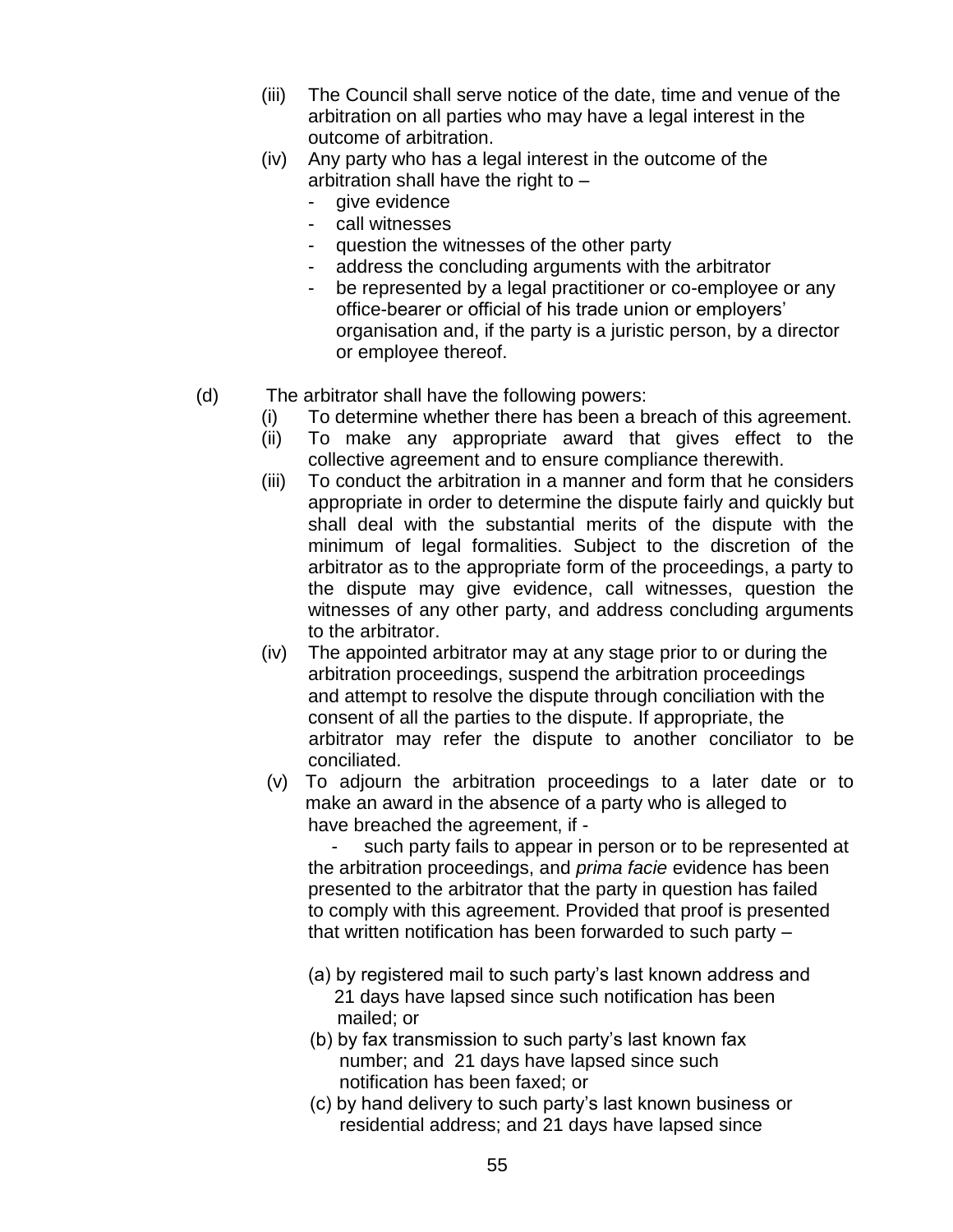- (iii) The Council shall serve notice of the date, time and venue of the arbitration on all parties who may have a legal interest in the outcome of arbitration.
- (iv) Any party who has a legal interest in the outcome of the arbitration shall have the right to –
	- give evidence
	- call witnesses
	- question the witnesses of the other party
	- address the concluding arguments with the arbitrator
	- be represented by a legal practitioner or co-employee or any office-bearer or official of his trade union or employers" organisation and, if the party is a juristic person, by a director or employee thereof.
- (d) The arbitrator shall have the following powers:
	- (i) To determine whether there has been a breach of this agreement.
	- (ii) To make any appropriate award that gives effect to the collective agreement and to ensure compliance therewith.
	- (iii) To conduct the arbitration in a manner and form that he considers appropriate in order to determine the dispute fairly and quickly but shall deal with the substantial merits of the dispute with the minimum of legal formalities. Subject to the discretion of the arbitrator as to the appropriate form of the proceedings, a party to the dispute may give evidence, call witnesses, question the witnesses of any other party, and address concluding arguments to the arbitrator.
	- (iv) The appointed arbitrator may at any stage prior to or during the arbitration proceedings, suspend the arbitration proceedings and attempt to resolve the dispute through conciliation with the consent of all the parties to the dispute. If appropriate, the arbitrator may refer the dispute to another conciliator to be conciliated.
	- (v) To adjourn the arbitration proceedings to a later date or to make an award in the absence of a party who is alleged to have breached the agreement, if -

such party fails to appear in person or to be represented at the arbitration proceedings, and *prima facie* evidence has been presented to the arbitrator that the party in question has failed to comply with this agreement. Provided that proof is presented that written notification has been forwarded to such party –

- (a) by registered mail to such party"s last known address and 21 days have lapsed since such notification has been mailed; or
- (b) by fax transmission to such party"s last known fax number; and 21 days have lapsed since such notification has been faxed; or
- (c) by hand delivery to such party"s last known business or residential address; and 21 days have lapsed since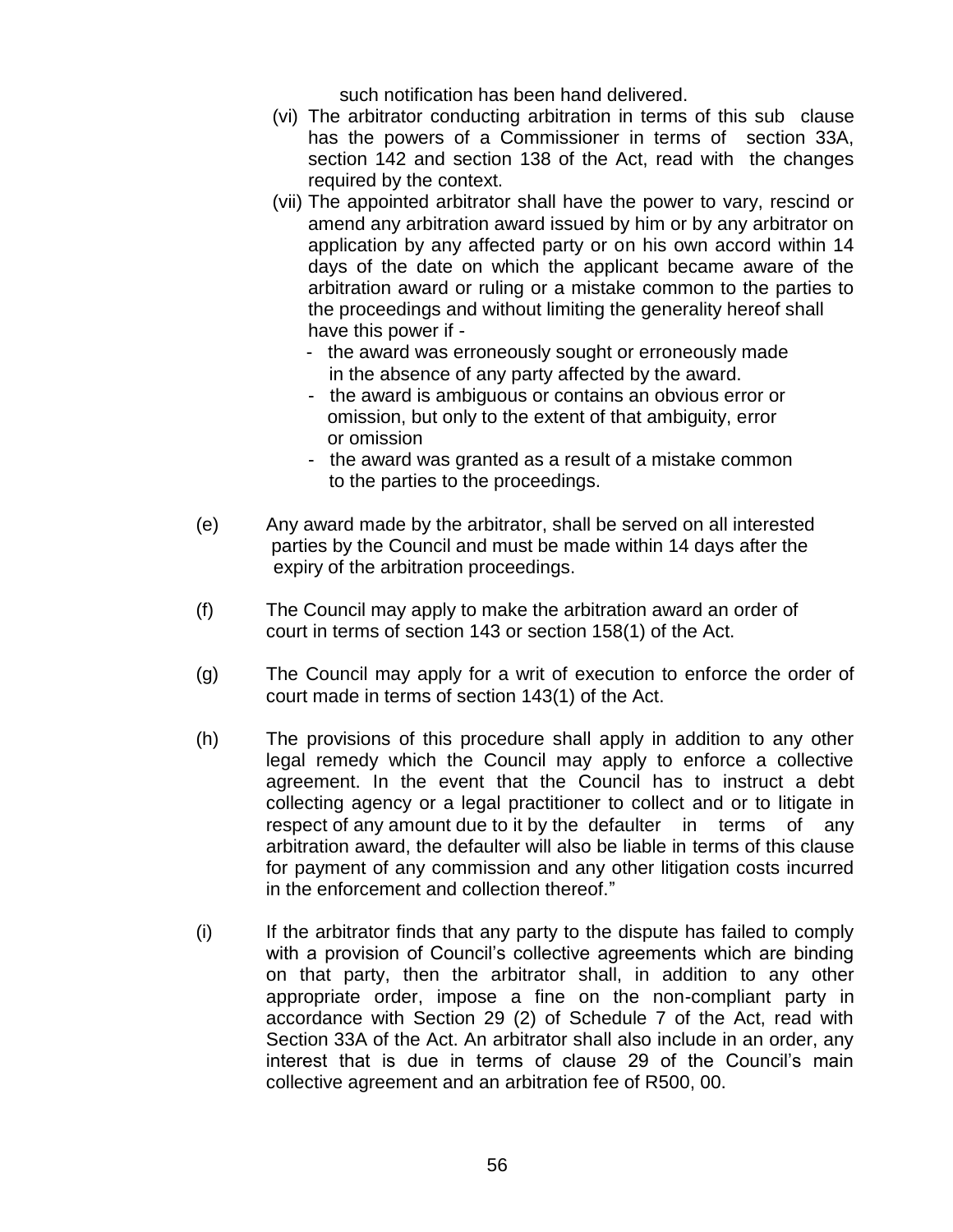such notification has been hand delivered.

- (vi) The arbitrator conducting arbitration in terms of this sub clause has the powers of a Commissioner in terms of section 33A, section 142 and section 138 of the Act, read with the changes required by the context.
- (vii) The appointed arbitrator shall have the power to vary, rescind or amend any arbitration award issued by him or by any arbitrator on application by any affected party or on his own accord within 14 days of the date on which the applicant became aware of the arbitration award or ruling or a mistake common to the parties to the proceedings and without limiting the generality hereof shall have this power if -
	- the award was erroneously sought or erroneously made in the absence of any party affected by the award.
	- the award is ambiguous or contains an obvious error or omission, but only to the extent of that ambiguity, error or omission
	- the award was granted as a result of a mistake common to the parties to the proceedings.
- (e) Any award made by the arbitrator, shall be served on all interested parties by the Council and must be made within 14 days after the expiry of the arbitration proceedings.
- (f) The Council may apply to make the arbitration award an order of court in terms of section 143 or section 158(1) of the Act.
- (g) The Council may apply for a writ of execution to enforce the order of court made in terms of section 143(1) of the Act.
- (h) The provisions of this procedure shall apply in addition to any other legal remedy which the Council may apply to enforce a collective agreement. In the event that the Council has to instruct a debt collecting agency or a legal practitioner to collect and or to litigate in respect of any amount due to it by the defaulter in terms of any arbitration award, the defaulter will also be liable in terms of this clause for payment of any commission and any other litigation costs incurred in the enforcement and collection thereof."
- (i) If the arbitrator finds that any party to the dispute has failed to comply with a provision of Council"s collective agreements which are binding on that party, then the arbitrator shall, in addition to any other appropriate order, impose a fine on the non-compliant party in accordance with Section 29 (2) of Schedule 7 of the Act, read with Section 33A of the Act. An arbitrator shall also include in an order, any interest that is due in terms of clause 29 of the Council"s main collective agreement and an arbitration fee of R500, 00.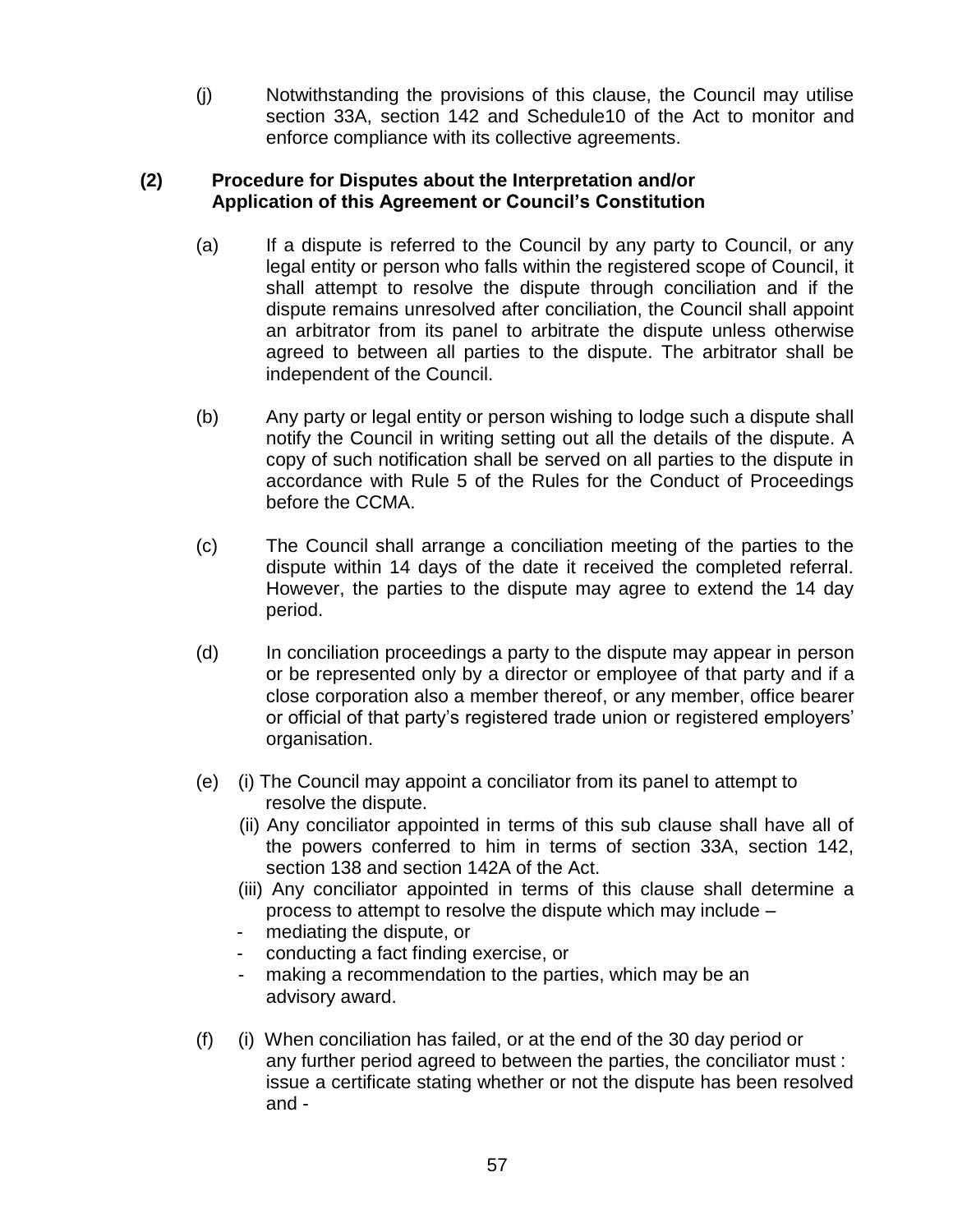(j) Notwithstanding the provisions of this clause, the Council may utilise section 33A, section 142 and Schedule10 of the Act to monitor and enforce compliance with its collective agreements.

### **(2) Procedure for Disputes about the Interpretation and/or Application of this Agreement or Council"s Constitution**

- (a) If a dispute is referred to the Council by any party to Council, or any legal entity or person who falls within the registered scope of Council, it shall attempt to resolve the dispute through conciliation and if the dispute remains unresolved after conciliation, the Council shall appoint an arbitrator from its panel to arbitrate the dispute unless otherwise agreed to between all parties to the dispute. The arbitrator shall be independent of the Council.
- (b) Any party or legal entity or person wishing to lodge such a dispute shall notify the Council in writing setting out all the details of the dispute. A copy of such notification shall be served on all parties to the dispute in accordance with Rule 5 of the Rules for the Conduct of Proceedings before the CCMA.
- (c) The Council shall arrange a conciliation meeting of the parties to the dispute within 14 days of the date it received the completed referral. However, the parties to the dispute may agree to extend the 14 day period.
- (d) In conciliation proceedings a party to the dispute may appear in person or be represented only by a director or employee of that party and if a close corporation also a member thereof, or any member, office bearer or official of that party"s registered trade union or registered employers" organisation.
- (e) (i) The Council may appoint a conciliator from its panel to attempt to resolve the dispute.
	- (ii) Any conciliator appointed in terms of this sub clause shall have all of the powers conferred to him in terms of section 33A, section 142, section 138 and section 142A of the Act.
	- (iii) Any conciliator appointed in terms of this clause shall determine a process to attempt to resolve the dispute which may include –
	- mediating the dispute, or
	- conducting a fact finding exercise, or
	- making a recommendation to the parties, which may be an advisory award.
- (f) (i) When conciliation has failed, or at the end of the 30 day period or any further period agreed to between the parties, the conciliator must : issue a certificate stating whether or not the dispute has been resolved and -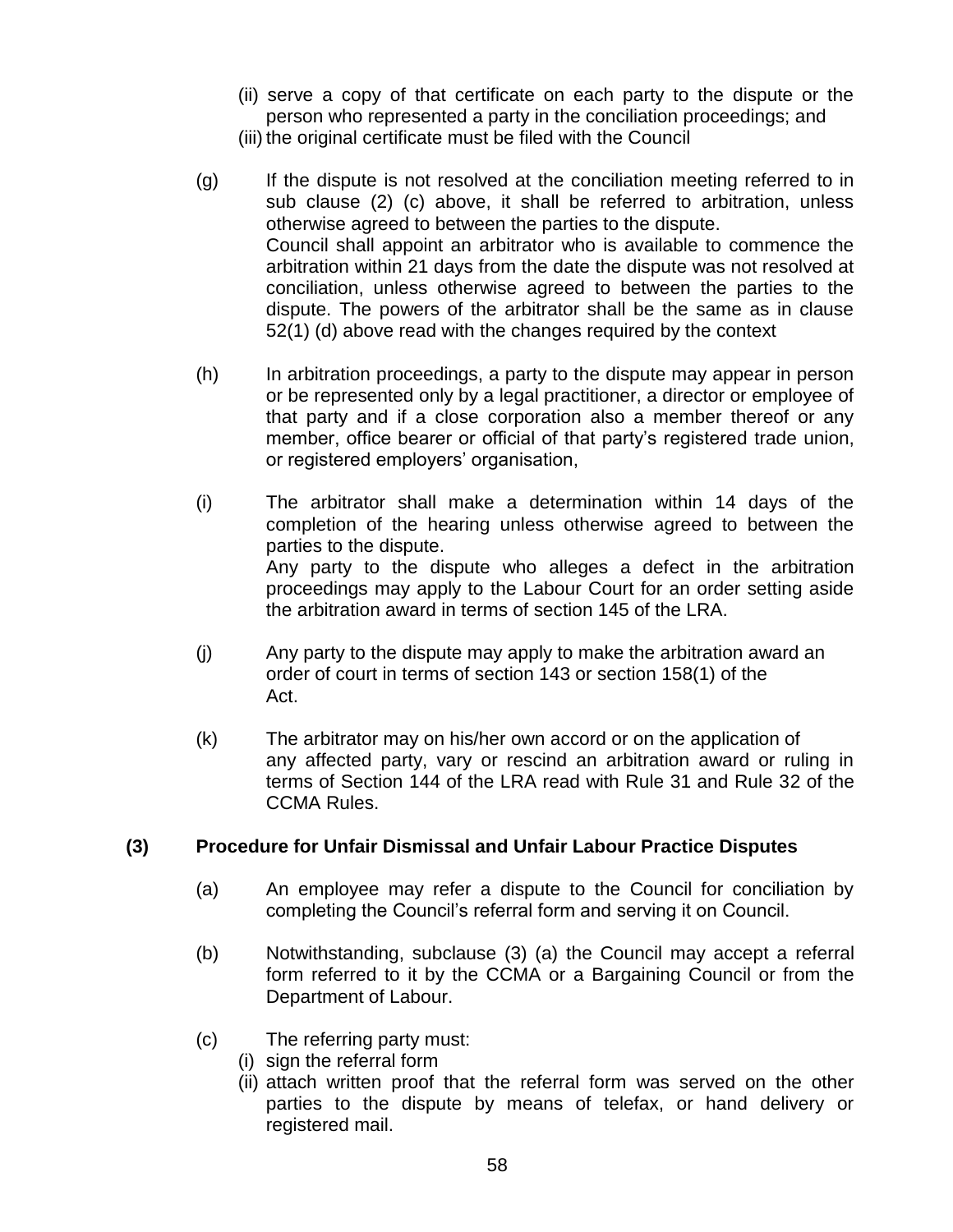- (ii) serve a copy of that certificate on each party to the dispute or the person who represented a party in the conciliation proceedings; and
- (iii) the original certificate must be filed with the Council
- (g) If the dispute is not resolved at the conciliation meeting referred to in sub clause (2) (c) above, it shall be referred to arbitration, unless otherwise agreed to between the parties to the dispute. Council shall appoint an arbitrator who is available to commence the arbitration within 21 days from the date the dispute was not resolved at conciliation, unless otherwise agreed to between the parties to the dispute. The powers of the arbitrator shall be the same as in clause 52(1) (d) above read with the changes required by the context
- (h) In arbitration proceedings, a party to the dispute may appear in person or be represented only by a legal practitioner, a director or employee of that party and if a close corporation also a member thereof or any member, office bearer or official of that party's registered trade union, or registered employers" organisation,
- (i) The arbitrator shall make a determination within 14 days of the completion of the hearing unless otherwise agreed to between the parties to the dispute. Any party to the dispute who alleges a defect in the arbitration proceedings may apply to the Labour Court for an order setting aside the arbitration award in terms of section 145 of the LRA.
- (j) Any party to the dispute may apply to make the arbitration award an order of court in terms of section 143 or section 158(1) of the Act.
- (k) The arbitrator may on his/her own accord or on the application of any affected party, vary or rescind an arbitration award or ruling in terms of Section 144 of the LRA read with Rule 31 and Rule 32 of the CCMA Rules.

#### **(3) Procedure for Unfair Dismissal and Unfair Labour Practice Disputes**

- (a) An employee may refer a dispute to the Council for conciliation by completing the Council"s referral form and serving it on Council.
- (b) Notwithstanding, subclause (3) (a) the Council may accept a referral form referred to it by the CCMA or a Bargaining Council or from the Department of Labour.
- (c) The referring party must:
	- (i) sign the referral form
		- (ii) attach written proof that the referral form was served on the other parties to the dispute by means of telefax, or hand delivery or registered mail.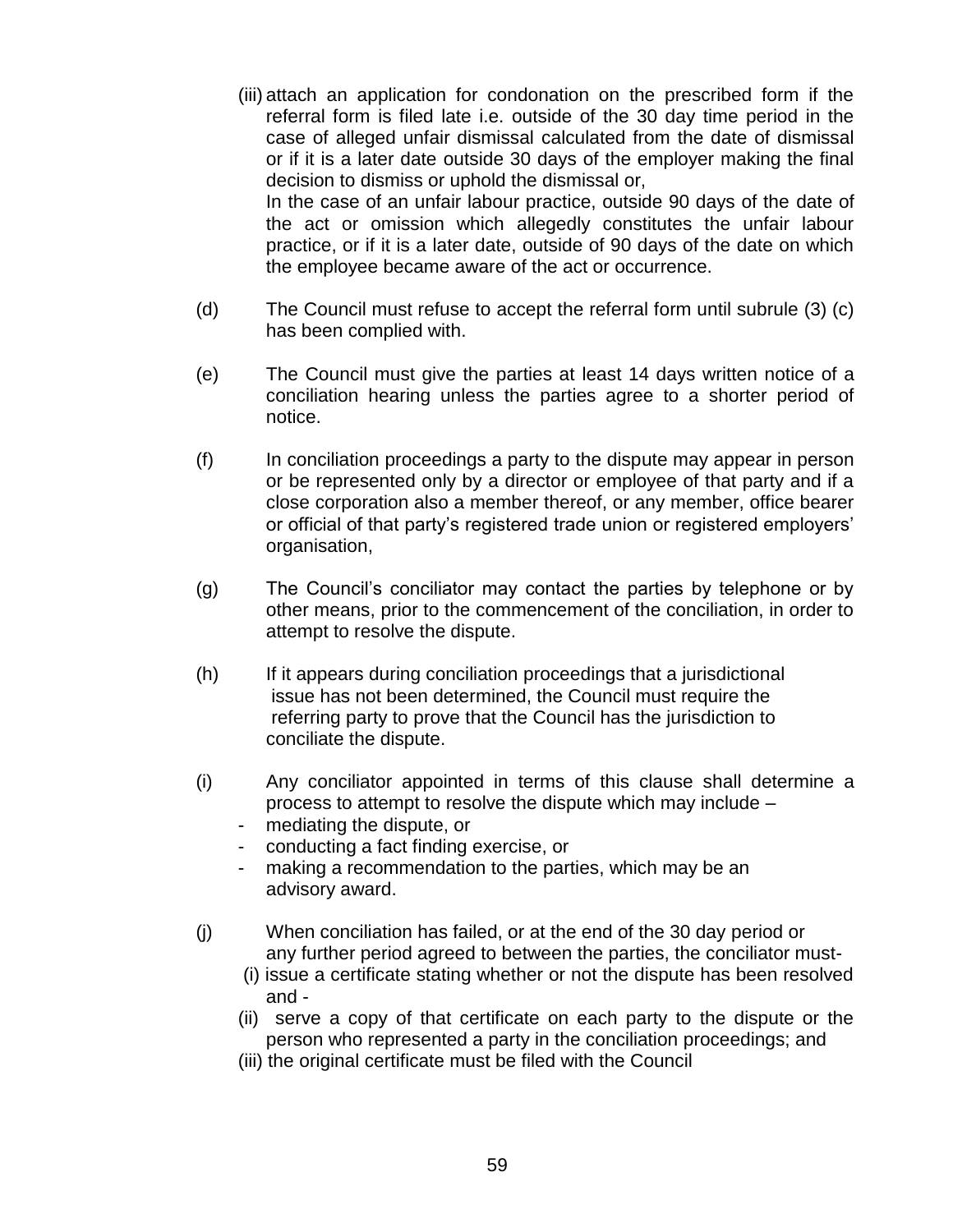- (iii) attach an application for condonation on the prescribed form if the referral form is filed late i.e. outside of the 30 day time period in the case of alleged unfair dismissal calculated from the date of dismissal or if it is a later date outside 30 days of the employer making the final decision to dismiss or uphold the dismissal or, In the case of an unfair labour practice, outside 90 days of the date of the act or omission which allegedly constitutes the unfair labour practice, or if it is a later date, outside of 90 days of the date on which the employee became aware of the act or occurrence.
- (d) The Council must refuse to accept the referral form until subrule (3) (c) has been complied with.
- (e) The Council must give the parties at least 14 days written notice of a conciliation hearing unless the parties agree to a shorter period of notice.
- (f) In conciliation proceedings a party to the dispute may appear in person or be represented only by a director or employee of that party and if a close corporation also a member thereof, or any member, office bearer or official of that party"s registered trade union or registered employers" organisation,
- (g) The Council"s conciliator may contact the parties by telephone or by other means, prior to the commencement of the conciliation, in order to attempt to resolve the dispute.
- (h) If it appears during conciliation proceedings that a jurisdictional issue has not been determined, the Council must require the referring party to prove that the Council has the jurisdiction to conciliate the dispute.
- (i) Any conciliator appointed in terms of this clause shall determine a process to attempt to resolve the dispute which may include –
	- mediating the dispute, or
	- conducting a fact finding exercise, or
	- making a recommendation to the parties, which may be an advisory award.
- (j) When conciliation has failed, or at the end of the 30 day period or any further period agreed to between the parties, the conciliator must-
	- (i) issue a certificate stating whether or not the dispute has been resolved and -
	- (ii) serve a copy of that certificate on each party to the dispute or the person who represented a party in the conciliation proceedings; and
	- (iii) the original certificate must be filed with the Council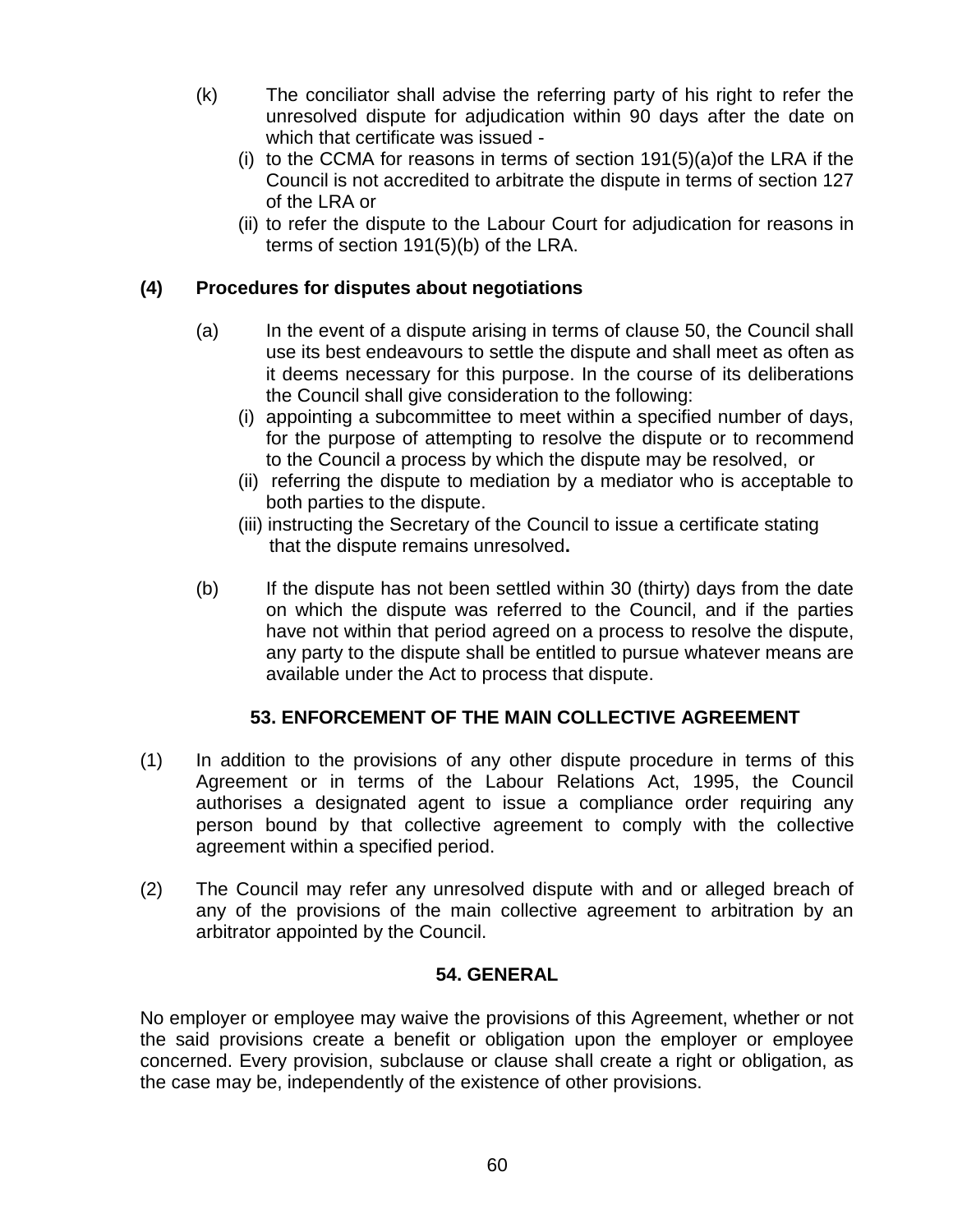- (k) The conciliator shall advise the referring party of his right to refer the unresolved dispute for adjudication within 90 days after the date on which that certificate was issued -
	- (i) to the CCMA for reasons in terms of section 191(5)(a)of the LRA if the Council is not accredited to arbitrate the dispute in terms of section 127 of the LRA or
	- (ii) to refer the dispute to the Labour Court for adjudication for reasons in terms of section 191(5)(b) of the LRA.

## **(4) Procedures for disputes about negotiations**

- (a) In the event of a dispute arising in terms of clause 50, the Council shall use its best endeavours to settle the dispute and shall meet as often as it deems necessary for this purpose. In the course of its deliberations the Council shall give consideration to the following:
	- (i) appointing a subcommittee to meet within a specified number of days, for the purpose of attempting to resolve the dispute or to recommend to the Council a process by which the dispute may be resolved, or
	- (ii) referring the dispute to mediation by a mediator who is acceptable to both parties to the dispute.
	- (iii) instructing the Secretary of the Council to issue a certificate stating that the dispute remains unresolved**.**
- (b) If the dispute has not been settled within 30 (thirty) days from the date on which the dispute was referred to the Council, and if the parties have not within that period agreed on a process to resolve the dispute, any party to the dispute shall be entitled to pursue whatever means are available under the Act to process that dispute.

## **53. ENFORCEMENT OF THE MAIN COLLECTIVE AGREEMENT**

- (1) In addition to the provisions of any other dispute procedure in terms of this Agreement or in terms of the Labour Relations Act, 1995, the Council authorises a designated agent to issue a compliance order requiring any person bound by that collective agreement to comply with the collective agreement within a specified period.
- (2) The Council may refer any unresolved dispute with and or alleged breach of any of the provisions of the main collective agreement to arbitration by an arbitrator appointed by the Council.

## **54. GENERAL**

No employer or employee may waive the provisions of this Agreement, whether or not the said provisions create a benefit or obligation upon the employer or employee concerned. Every provision, subclause or clause shall create a right or obligation, as the case may be, independently of the existence of other provisions.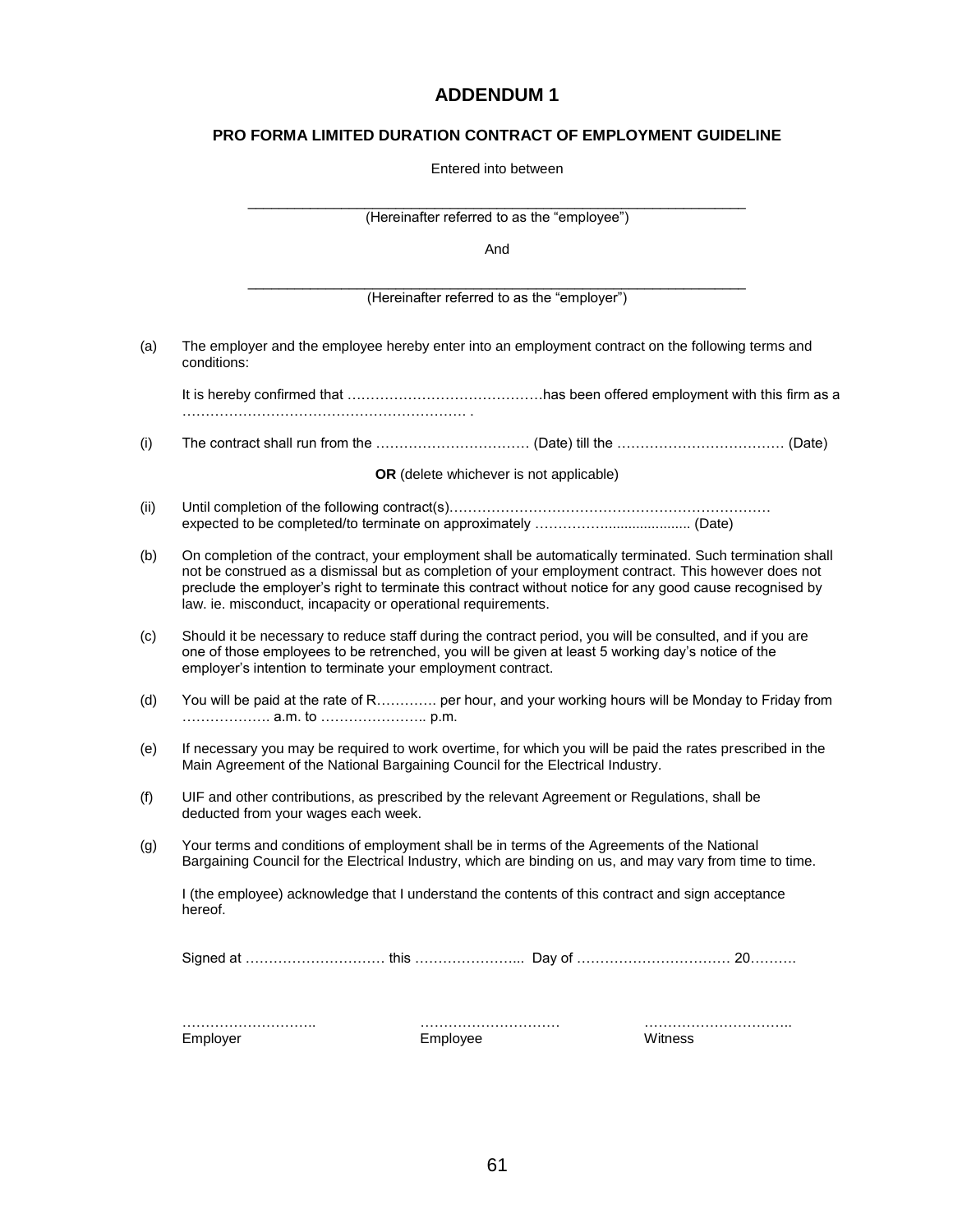## **ADDENDUM 1**

#### **PRO FORMA LIMITED DURATION CONTRACT OF EMPLOYMENT GUIDELINE**

| Entered into between |  |
|----------------------|--|
|----------------------|--|

|      |                                                                                                                                                                  | (Hereinafter referred to as the "employee") |                                                                                                                                                                                                                                                                                                                              |  |  |
|------|------------------------------------------------------------------------------------------------------------------------------------------------------------------|---------------------------------------------|------------------------------------------------------------------------------------------------------------------------------------------------------------------------------------------------------------------------------------------------------------------------------------------------------------------------------|--|--|
|      | And                                                                                                                                                              |                                             |                                                                                                                                                                                                                                                                                                                              |  |  |
|      |                                                                                                                                                                  | (Hereinafter referred to as the "employer") |                                                                                                                                                                                                                                                                                                                              |  |  |
| (a)  | conditions:                                                                                                                                                      |                                             | The employer and the employee hereby enter into an employment contract on the following terms and                                                                                                                                                                                                                            |  |  |
|      |                                                                                                                                                                  |                                             |                                                                                                                                                                                                                                                                                                                              |  |  |
| (i)  |                                                                                                                                                                  |                                             |                                                                                                                                                                                                                                                                                                                              |  |  |
|      |                                                                                                                                                                  | OR (delete whichever is not applicable)     |                                                                                                                                                                                                                                                                                                                              |  |  |
| (ii) |                                                                                                                                                                  |                                             |                                                                                                                                                                                                                                                                                                                              |  |  |
| (b)  | law. ie. misconduct, incapacity or operational requirements.                                                                                                     |                                             | On completion of the contract, your employment shall be automatically terminated. Such termination shall<br>not be construed as a dismissal but as completion of your employment contract. This however does not<br>preclude the employer's right to terminate this contract without notice for any good cause recognised by |  |  |
| (c)  | one of those employees to be retrenched, you will be given at least 5 working day's notice of the<br>employer's intention to terminate your employment contract. |                                             | Should it be necessary to reduce staff during the contract period, you will be consulted, and if you are                                                                                                                                                                                                                     |  |  |
| (d)  |                                                                                                                                                                  |                                             | You will be paid at the rate of R per hour, and your working hours will be Monday to Friday from                                                                                                                                                                                                                             |  |  |
| (e)  | Main Agreement of the National Bargaining Council for the Electrical Industry.                                                                                   |                                             | If necessary you may be required to work overtime, for which you will be paid the rates prescribed in the                                                                                                                                                                                                                    |  |  |
| (f)  | UIF and other contributions, as prescribed by the relevant Agreement or Regulations, shall be<br>deducted from your wages each week.                             |                                             |                                                                                                                                                                                                                                                                                                                              |  |  |
| (g)  | Your terms and conditions of employment shall be in terms of the Agreements of the National                                                                      |                                             | Bargaining Council for the Electrical Industry, which are binding on us, and may vary from time to time.                                                                                                                                                                                                                     |  |  |
|      | I (the employee) acknowledge that I understand the contents of this contract and sign acceptance<br>hereof.                                                      |                                             |                                                                                                                                                                                                                                                                                                                              |  |  |
|      |                                                                                                                                                                  |                                             |                                                                                                                                                                                                                                                                                                                              |  |  |
|      | Employer                                                                                                                                                         | Employee                                    | Witness                                                                                                                                                                                                                                                                                                                      |  |  |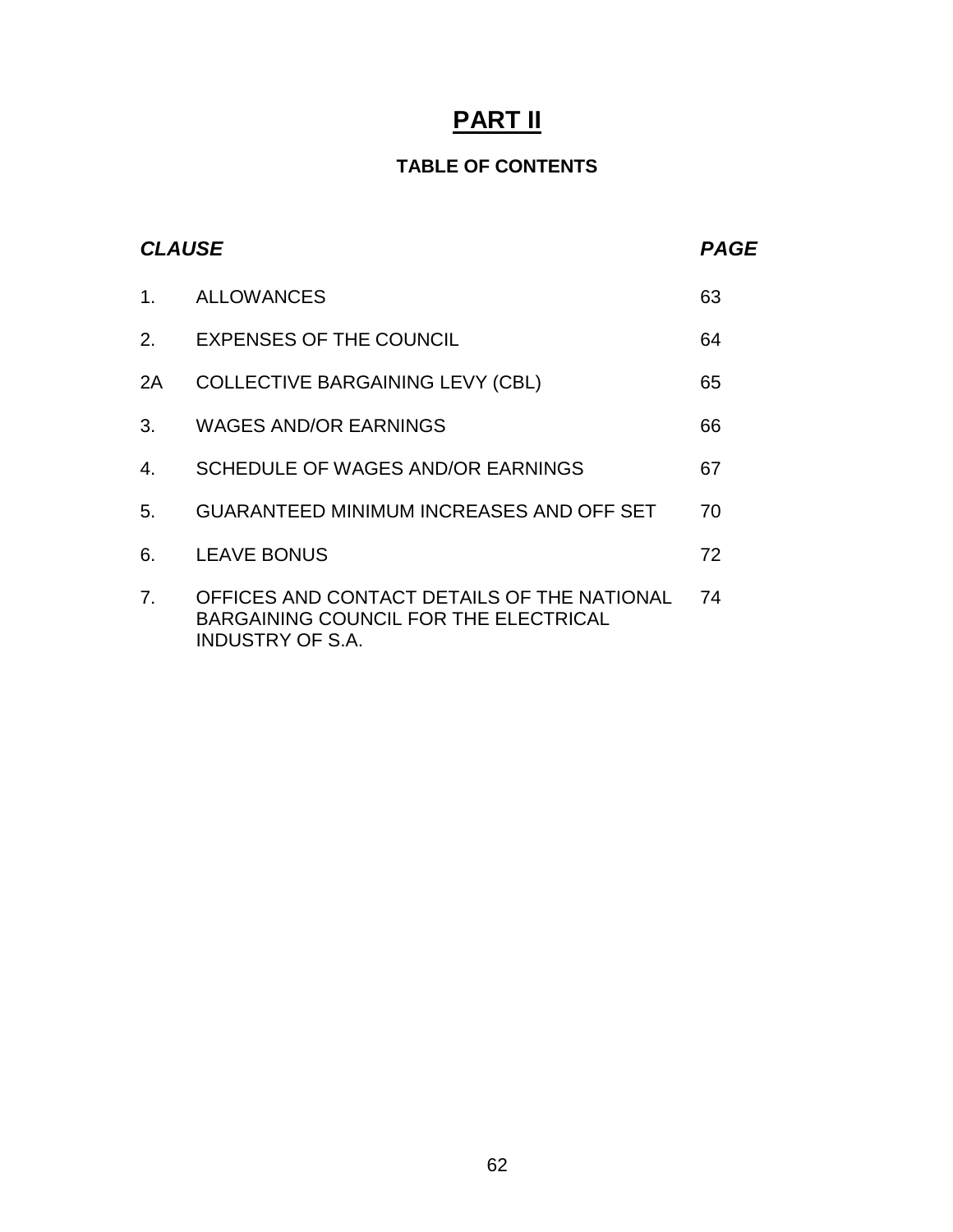# **PART II**

## **TABLE OF CONTENTS**

| <b>CLAUSE</b>  |                                                                                                                 | <b>PAGE</b> |
|----------------|-----------------------------------------------------------------------------------------------------------------|-------------|
| $\mathbf{1}$ . | <b>ALLOWANCES</b>                                                                                               | 63          |
| 2.             | <b>EXPENSES OF THE COUNCIL</b>                                                                                  | 64          |
| 2A             | <b>COLLECTIVE BARGAINING LEVY (CBL)</b>                                                                         | 65          |
| 3.             | <b>WAGES AND/OR EARNINGS</b>                                                                                    | 66          |
| 4.             | SCHEDULE OF WAGES AND/OR EARNINGS                                                                               | 67          |
| 5.             | <b>GUARANTEED MINIMUM INCREASES AND OFF SET</b>                                                                 | 70          |
| 6.             | <b>LEAVE BONUS</b>                                                                                              | 72          |
| 7.             | OFFICES AND CONTACT DETAILS OF THE NATIONAL<br>BARGAINING COUNCIL FOR THE ELECTRICAL<br><b>INDUSTRY OF S.A.</b> | 74          |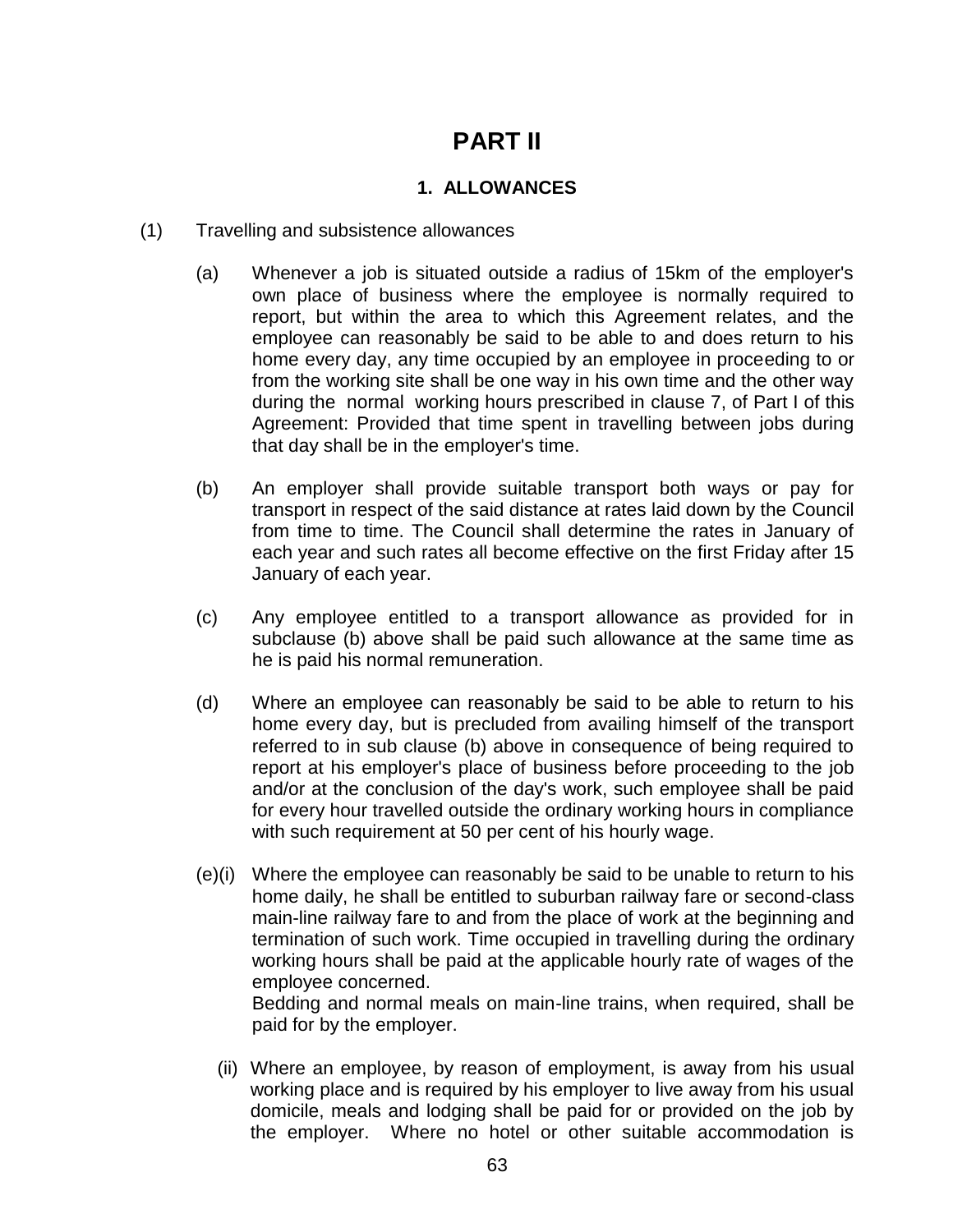# **PART II**

## **1. ALLOWANCES**

- (1) Travelling and subsistence allowances
	- (a) Whenever a job is situated outside a radius of 15km of the employer's own place of business where the employee is normally required to report, but within the area to which this Agreement relates, and the employee can reasonably be said to be able to and does return to his home every day, any time occupied by an employee in proceeding to or from the working site shall be one way in his own time and the other way during the normal working hours prescribed in clause 7, of Part I of this Agreement: Provided that time spent in travelling between jobs during that day shall be in the employer's time.
	- (b) An employer shall provide suitable transport both ways or pay for transport in respect of the said distance at rates laid down by the Council from time to time. The Council shall determine the rates in January of each year and such rates all become effective on the first Friday after 15 January of each year.
	- (c) Any employee entitled to a transport allowance as provided for in subclause (b) above shall be paid such allowance at the same time as he is paid his normal remuneration.
	- (d) Where an employee can reasonably be said to be able to return to his home every day, but is precluded from availing himself of the transport referred to in sub clause (b) above in consequence of being required to report at his employer's place of business before proceeding to the job and/or at the conclusion of the day's work, such employee shall be paid for every hour travelled outside the ordinary working hours in compliance with such requirement at 50 per cent of his hourly wage.
	- (e)(i) Where the employee can reasonably be said to be unable to return to his home daily, he shall be entitled to suburban railway fare or second-class main-line railway fare to and from the place of work at the beginning and termination of such work. Time occupied in travelling during the ordinary working hours shall be paid at the applicable hourly rate of wages of the employee concerned.

Bedding and normal meals on main-line trains, when required, shall be paid for by the employer.

(ii) Where an employee, by reason of employment, is away from his usual working place and is required by his employer to live away from his usual domicile, meals and lodging shall be paid for or provided on the job by the employer. Where no hotel or other suitable accommodation is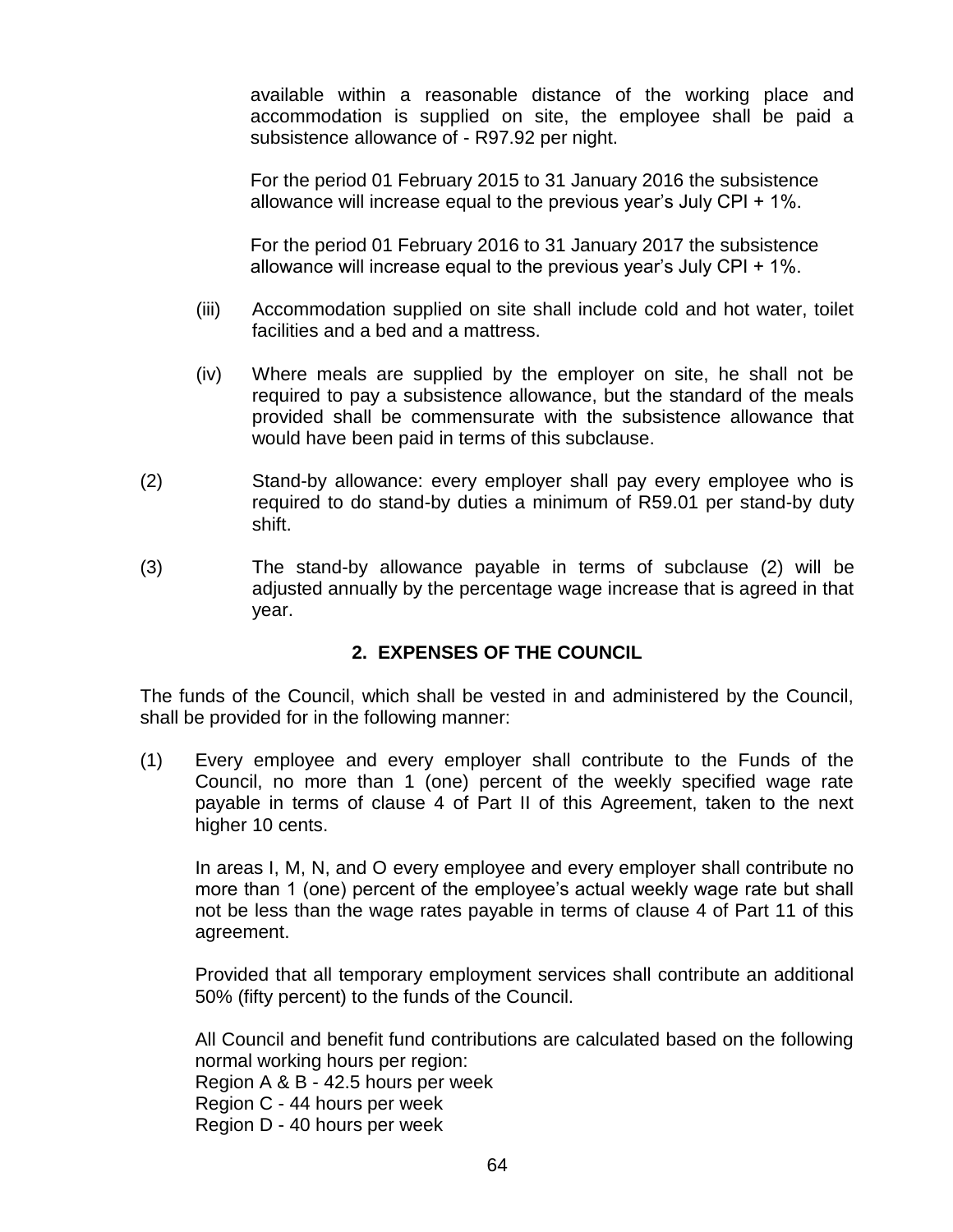available within a reasonable distance of the working place and accommodation is supplied on site, the employee shall be paid a subsistence allowance of - R97.92 per night.

For the period 01 February 2015 to 31 January 2016 the subsistence allowance will increase equal to the previous year"s July CPI + 1%.

For the period 01 February 2016 to 31 January 2017 the subsistence allowance will increase equal to the previous year"s July CPI + 1%.

- (iii) Accommodation supplied on site shall include cold and hot water, toilet facilities and a bed and a mattress.
- (iv) Where meals are supplied by the employer on site, he shall not be required to pay a subsistence allowance, but the standard of the meals provided shall be commensurate with the subsistence allowance that would have been paid in terms of this subclause.
- (2) Stand-by allowance: every employer shall pay every employee who is required to do stand-by duties a minimum of R59.01 per stand-by duty shift.
- (3) The stand-by allowance payable in terms of subclause (2) will be adjusted annually by the percentage wage increase that is agreed in that year.

## **2. EXPENSES OF THE COUNCIL**

The funds of the Council, which shall be vested in and administered by the Council, shall be provided for in the following manner:

(1) Every employee and every employer shall contribute to the Funds of the Council, no more than 1 (one) percent of the weekly specified wage rate payable in terms of clause 4 of Part II of this Agreement, taken to the next higher 10 cents.

In areas I, M, N, and O every employee and every employer shall contribute no more than 1 (one) percent of the employee's actual weekly wage rate but shall not be less than the wage rates payable in terms of clause 4 of Part 11 of this agreement.

Provided that all temporary employment services shall contribute an additional 50% (fifty percent) to the funds of the Council.

All Council and benefit fund contributions are calculated based on the following normal working hours per region: Region A & B - 42.5 hours per week Region C - 44 hours per week Region D - 40 hours per week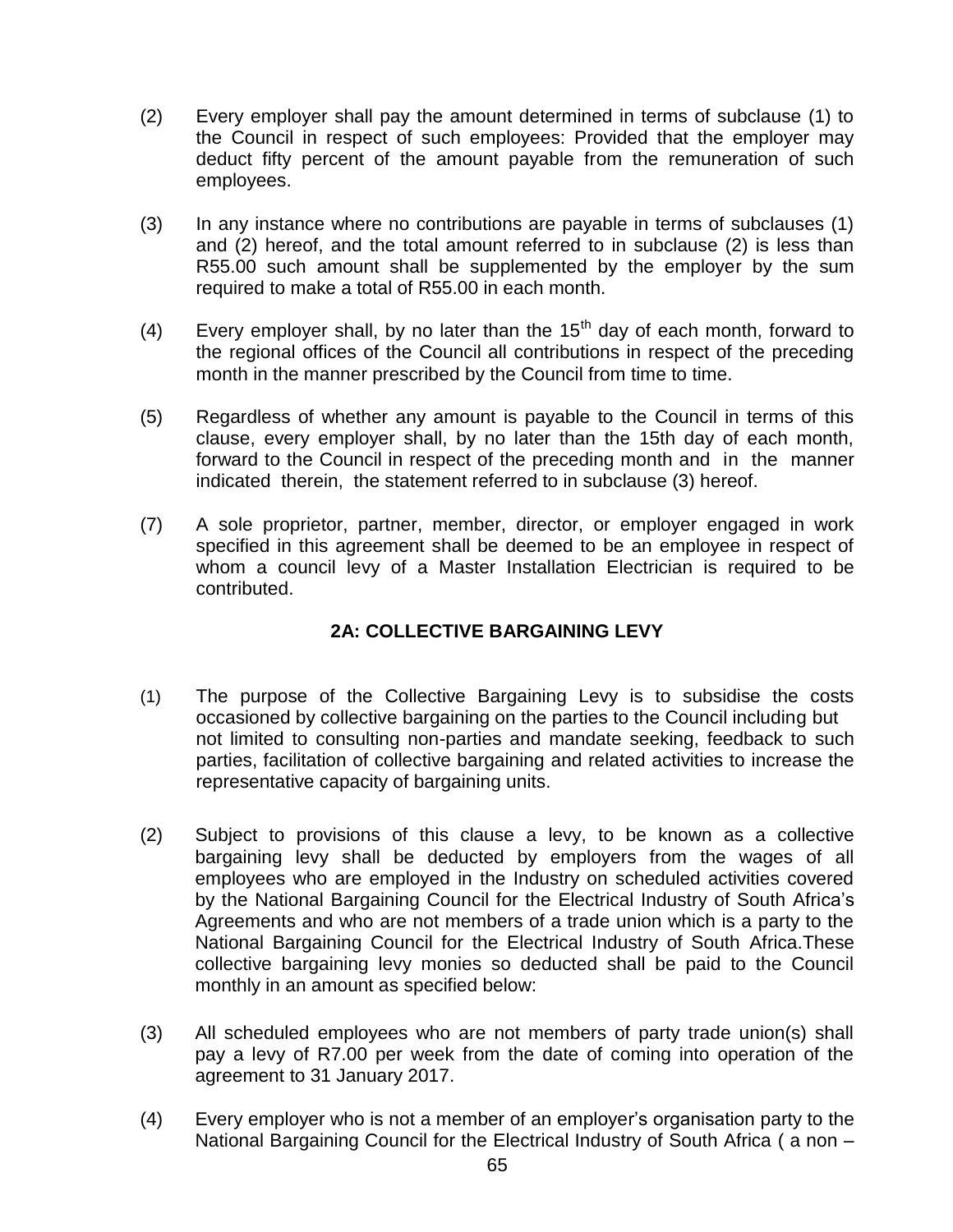- (2) Every employer shall pay the amount determined in terms of subclause (1) to the Council in respect of such employees: Provided that the employer may deduct fifty percent of the amount payable from the remuneration of such employees.
- (3) In any instance where no contributions are payable in terms of subclauses (1) and (2) hereof, and the total amount referred to in subclause (2) is less than R55.00 such amount shall be supplemented by the employer by the sum required to make a total of R55.00 in each month.
- (4) Every employer shall, by no later than the  $15<sup>th</sup>$  day of each month, forward to the regional offices of the Council all contributions in respect of the preceding month in the manner prescribed by the Council from time to time.
- (5) Regardless of whether any amount is payable to the Council in terms of this clause, every employer shall, by no later than the 15th day of each month, forward to the Council in respect of the preceding month and in the manner indicated therein, the statement referred to in subclause (3) hereof.
- (7) A sole proprietor, partner, member, director, or employer engaged in work specified in this agreement shall be deemed to be an employee in respect of whom a council levy of a Master Installation Electrician is required to be contributed.

## **2A: COLLECTIVE BARGAINING LEVY**

- (1) The purpose of the Collective Bargaining Levy is to subsidise the costs occasioned by collective bargaining on the parties to the Council including but not limited to consulting non-parties and mandate seeking, feedback to such parties, facilitation of collective bargaining and related activities to increase the representative capacity of bargaining units.
- (2) Subject to provisions of this clause a levy, to be known as a collective bargaining levy shall be deducted by employers from the wages of all employees who are employed in the Industry on scheduled activities covered by the National Bargaining Council for the Electrical Industry of South Africa"s Agreements and who are not members of a trade union which is a party to the National Bargaining Council for the Electrical Industry of South Africa.These collective bargaining levy monies so deducted shall be paid to the Council monthly in an amount as specified below:
- (3) All scheduled employees who are not members of party trade union(s) shall pay a levy of R7.00 per week from the date of coming into operation of the agreement to 31 January 2017.
- (4) Every employer who is not a member of an employer"s organisation party to the National Bargaining Council for the Electrical Industry of South Africa ( a non –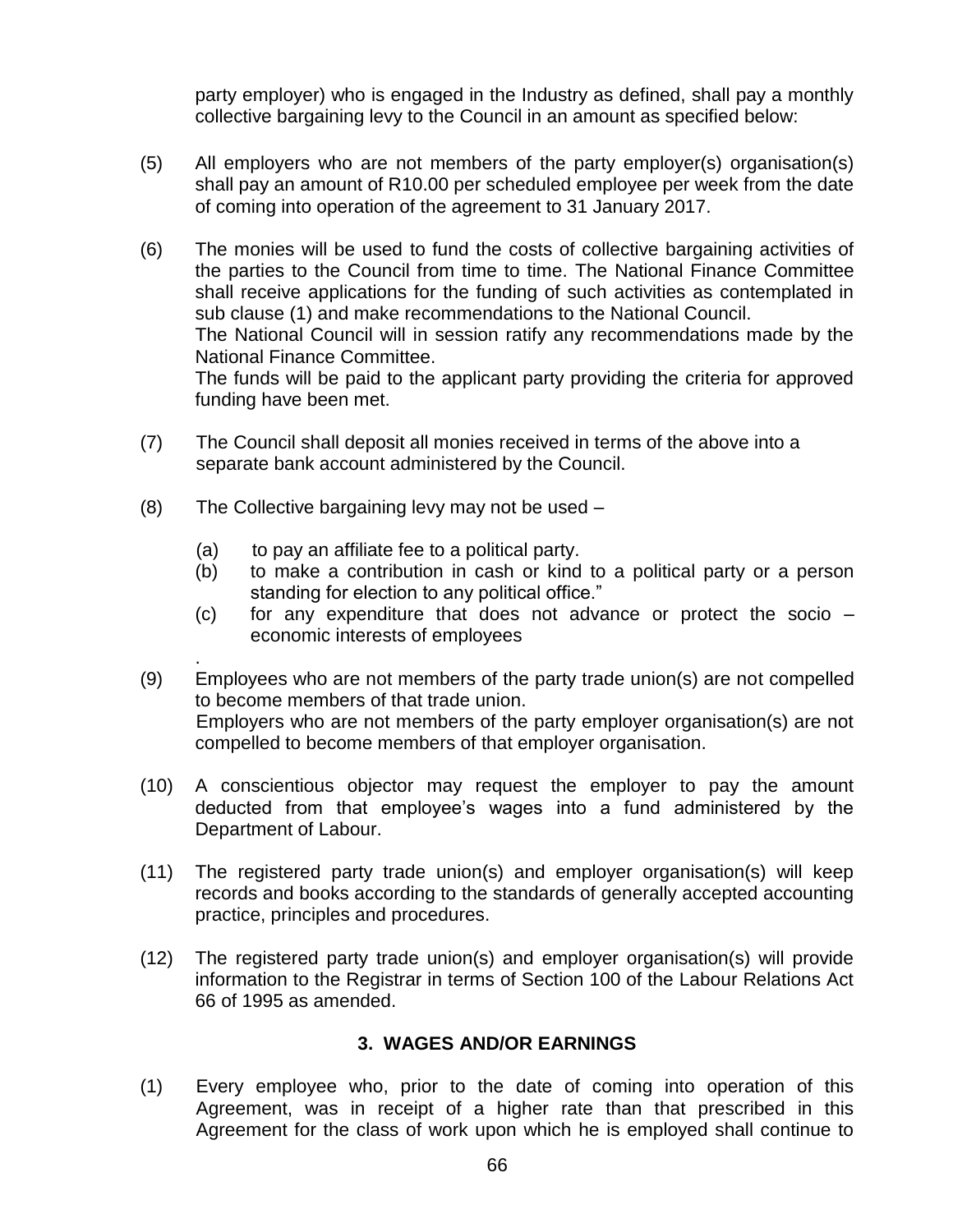party employer) who is engaged in the Industry as defined, shall pay a monthly collective bargaining levy to the Council in an amount as specified below:

- (5) All employers who are not members of the party employer(s) organisation(s) shall pay an amount of R10.00 per scheduled employee per week from the date of coming into operation of the agreement to 31 January 2017.
- (6) The monies will be used to fund the costs of collective bargaining activities of the parties to the Council from time to time. The National Finance Committee shall receive applications for the funding of such activities as contemplated in sub clause (1) and make recommendations to the National Council. The National Council will in session ratify any recommendations made by the National Finance Committee. The funds will be paid to the applicant party providing the criteria for approved funding have been met.
- (7) The Council shall deposit all monies received in terms of the above into a separate bank account administered by the Council.
- (8) The Collective bargaining levy may not be used
	- (a) to pay an affiliate fee to a political party.
	- (b) to make a contribution in cash or kind to a political party or a person standing for election to any political office."
	- (c) for any expenditure that does not advance or protect the socio economic interests of employees
- . (9) Employees who are not members of the party trade union(s) are not compelled to become members of that trade union. Employers who are not members of the party employer organisation(s) are not compelled to become members of that employer organisation.
- (10) A conscientious objector may request the employer to pay the amount deducted from that employee"s wages into a fund administered by the Department of Labour.
- (11) The registered party trade union(s) and employer organisation(s) will keep records and books according to the standards of generally accepted accounting practice, principles and procedures.
- (12) The registered party trade union(s) and employer organisation(s) will provide information to the Registrar in terms of Section 100 of the Labour Relations Act 66 of 1995 as amended.

## **3. WAGES AND/OR EARNINGS**

(1) Every employee who, prior to the date of coming into operation of this Agreement, was in receipt of a higher rate than that prescribed in this Agreement for the class of work upon which he is employed shall continue to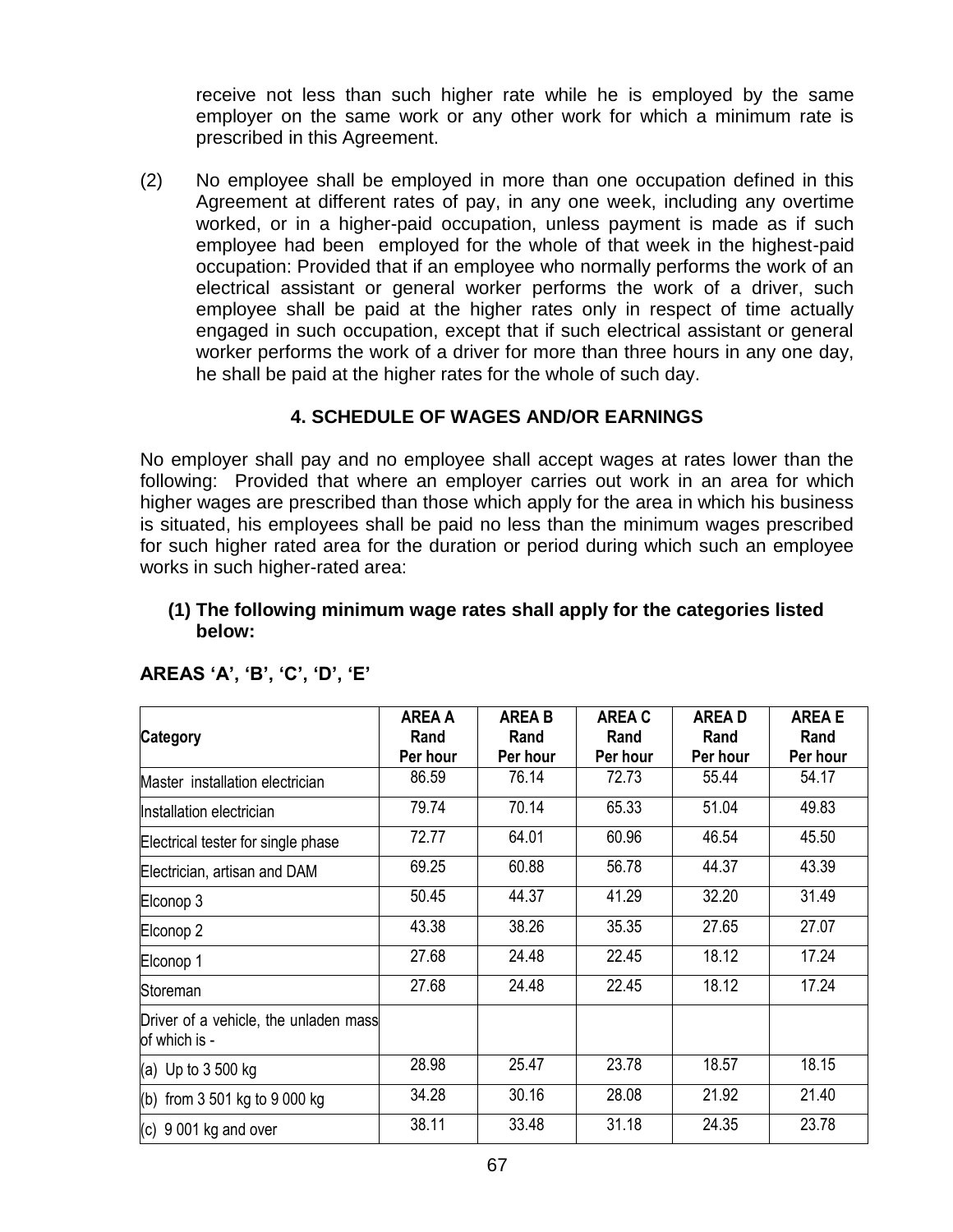receive not less than such higher rate while he is employed by the same employer on the same work or any other work for which a minimum rate is prescribed in this Agreement.

(2) No employee shall be employed in more than one occupation defined in this Agreement at different rates of pay, in any one week, including any overtime worked, or in a higher-paid occupation, unless payment is made as if such employee had been employed for the whole of that week in the highest-paid occupation: Provided that if an employee who normally performs the work of an electrical assistant or general worker performs the work of a driver, such employee shall be paid at the higher rates only in respect of time actually engaged in such occupation, except that if such electrical assistant or general worker performs the work of a driver for more than three hours in any one day, he shall be paid at the higher rates for the whole of such day.

### **4. SCHEDULE OF WAGES AND/OR EARNINGS**

No employer shall pay and no employee shall accept wages at rates lower than the following: Provided that where an employer carries out work in an area for which higher wages are prescribed than those which apply for the area in which his business is situated, his employees shall be paid no less than the minimum wages prescribed for such higher rated area for the duration or period during which such an employee works in such higher-rated area:

#### **(1) The following minimum wage rates shall apply for the categories listed below:**

|                                                        | <b>AREA A</b>    | <b>AREA B</b>    | <b>AREA C</b>    | <b>AREAD</b>     | <b>AREA E</b>    |
|--------------------------------------------------------|------------------|------------------|------------------|------------------|------------------|
| <b>Category</b>                                        | Rand<br>Per hour | Rand<br>Per hour | Rand<br>Per hour | Rand<br>Per hour | Rand<br>Per hour |
| Master installation electrician                        | 86.59            | 76.14            | 72.73            | 55.44            | 54.17            |
| Installation electrician                               | 79.74            | 70.14            | 65.33            | 51.04            | 49.83            |
| Electrical tester for single phase                     | 72.77            | 64.01            | 60.96            | 46.54            | 45.50            |
| Electrician, artisan and DAM                           | 69.25            | 60.88            | 56.78            | 44.37            | 43.39            |
| Elconop 3                                              | 50.45            | 44.37            | 41.29            | 32.20            | 31.49            |
| Elconop <sub>2</sub>                                   | 43.38            | 38.26            | 35.35            | 27.65            | 27.07            |
| Elconop 1                                              | 27.68            | 24.48            | 22.45            | 18.12            | 17.24            |
| Storeman                                               | 27.68            | 24.48            | 22.45            | 18.12            | 17.24            |
| Driver of a vehicle, the unladen mass<br>of which is - |                  |                  |                  |                  |                  |
| (a) Up to 3 500 kg                                     | 28.98            | 25.47            | 23.78            | 18.57            | 18.15            |
| (b) from $3501$ kg to $9000$ kg                        | 34.28            | 30.16            | 28.08            | 21.92            | 21.40            |
| $(c)$ 9 001 kg and over                                | 38.11            | 33.48            | 31.18            | 24.35            | 23.78            |

#### **AREAS "A", "B", "C", "D", "E"**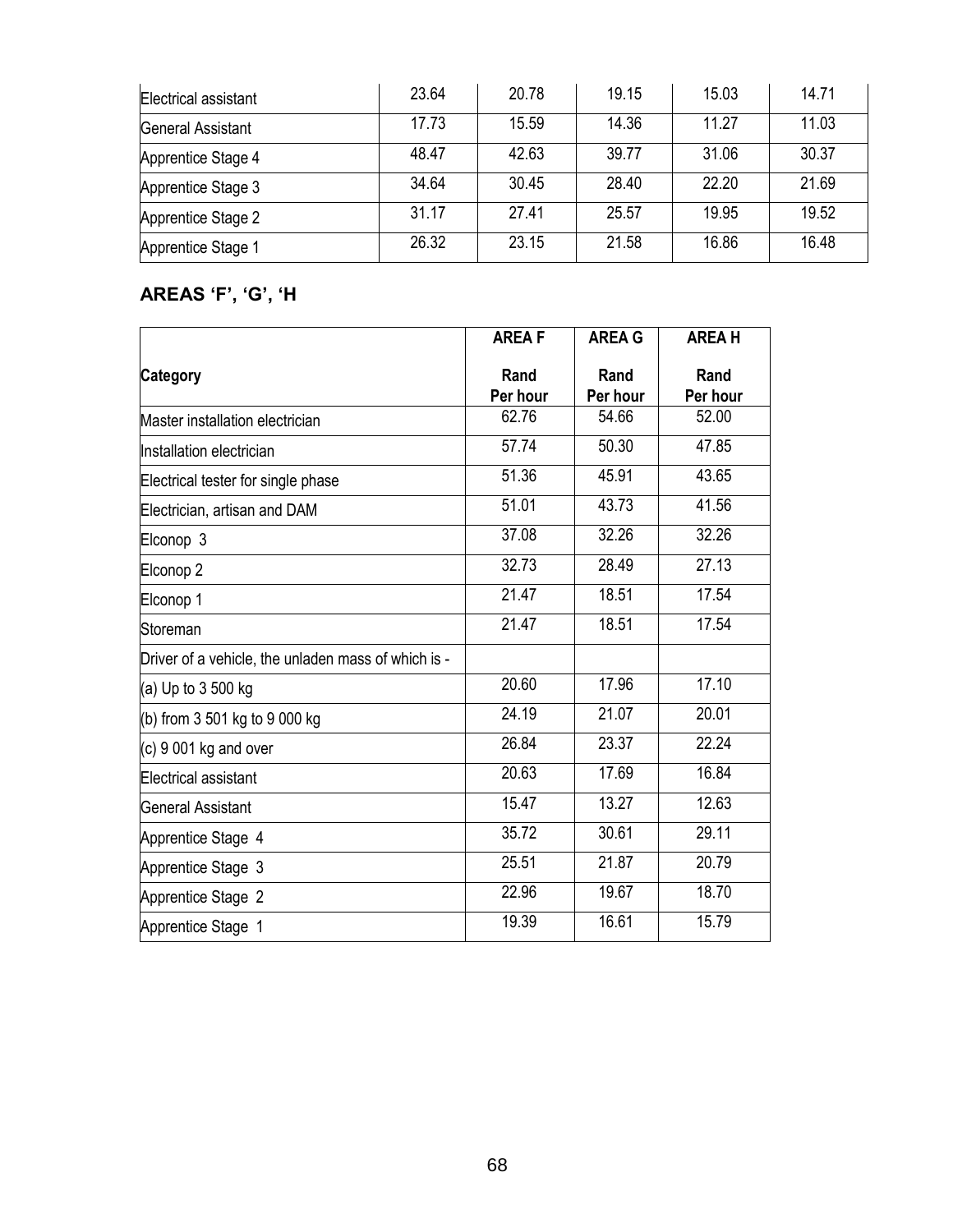| Electrical assistant | 23.64 | 20.78 | 19.15 | 15.03 | 14.71 |
|----------------------|-------|-------|-------|-------|-------|
| General Assistant    | 17.73 | 15.59 | 14.36 | 11.27 | 11.03 |
| Apprentice Stage 4   | 48.47 | 42.63 | 39.77 | 31.06 | 30.37 |
| Apprentice Stage 3   | 34.64 | 30.45 | 28.40 | 22.20 | 21.69 |
| Apprentice Stage 2   | 31.17 | 27.41 | 25.57 | 19.95 | 19.52 |
| Apprentice Stage 1   | 26.32 | 23.15 | 21.58 | 16.86 | 16.48 |

## **AREAS "F", "G", "H**

|                                                     | <b>AREAF</b>     | <b>AREA G</b>    | <b>AREA H</b>    |
|-----------------------------------------------------|------------------|------------------|------------------|
| <b>Category</b>                                     | Rand<br>Per hour | Rand<br>Per hour | Rand<br>Per hour |
| Master installation electrician                     | 62.76            | 54.66            | 52.00            |
| Installation electrician                            | 57.74            | 50.30            | 47.85            |
| Electrical tester for single phase                  | 51.36            | 45.91            | 43.65            |
| Electrician, artisan and DAM                        | 51.01            | 43.73            | 41.56            |
| Elconop 3                                           | 37.08            | 32.26            | 32.26            |
| Elconop <sub>2</sub>                                | 32.73            | 28.49            | 27.13            |
| Elconop 1                                           | 21.47            | 18.51            | 17.54            |
| Storeman                                            | 21.47            | 18.51            | 17.54            |
| Driver of a vehicle, the unladen mass of which is - |                  |                  |                  |
| (a) Up to $3500$ kg                                 | 20.60            | 17.96            | 17.10            |
| (b) from 3 501 kg to 9 000 kg                       | 24.19            | 21.07            | 20.01            |
| $(c)$ 9 001 kg and over                             | 26.84            | 23.37            | 22.24            |
| Electrical assistant                                | 20.63            | 17.69            | 16.84            |
| <b>General Assistant</b>                            | 15.47            | 13.27            | 12.63            |
| Apprentice Stage 4                                  | 35.72            | 30.61            | 29.11            |
| Apprentice Stage 3                                  | 25.51            | 21.87            | 20.79            |
| Apprentice Stage 2                                  | 22.96            | 19.67            | 18.70            |
| Apprentice Stage 1                                  | 19.39            | 16.61            | 15.79            |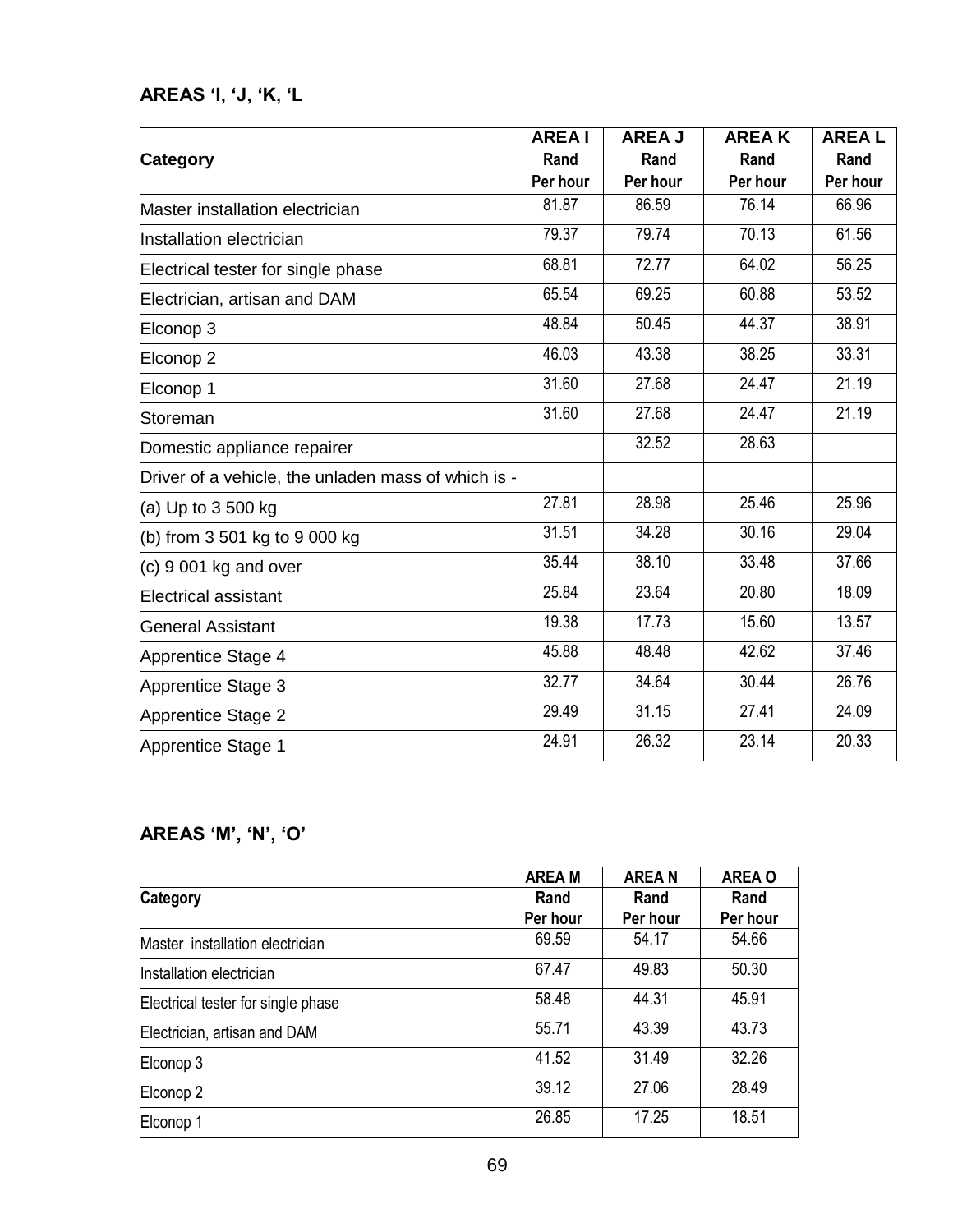## **AREAS "I, "J, "K, "L**

|                                                     | <b>AREAI</b> | <b>AREA J</b> | <b>AREAK</b> | <b>AREAL</b> |
|-----------------------------------------------------|--------------|---------------|--------------|--------------|
| <b>Category</b>                                     | Rand         | Rand          | Rand         | Rand         |
|                                                     | Per hour     | Per hour      | Per hour     | Per hour     |
| Master installation electrician                     | 81.87        | 86.59         | 76.14        | 66.96        |
| Installation electrician                            | 79.37        | 79.74         | 70.13        | 61.56        |
| Electrical tester for single phase                  | 68.81        | 72.77         | 64.02        | 56.25        |
| Electrician, artisan and DAM                        | 65.54        | 69.25         | 60.88        | 53.52        |
| Elconop 3                                           | 48.84        | 50.45         | 44.37        | 38.91        |
| Elconop 2                                           | 46.03        | 43.38         | 38.25        | 33.31        |
| Elconop 1                                           | 31.60        | 27.68         | 24.47        | 21.19        |
| Storeman                                            | 31.60        | 27.68         | 24.47        | 21.19        |
| Domestic appliance repairer                         |              | 32.52         | 28.63        |              |
| Driver of a vehicle, the unladen mass of which is - |              |               |              |              |
| (a) Up to 3 500 kg                                  | 27.81        | 28.98         | 25.46        | 25.96        |
| (b) from $3501$ kg to $9000$ kg                     | 31.51        | 34.28         | 30.16        | 29.04        |
| $(c)$ 9 001 kg and over                             | 35.44        | 38.10         | 33.48        | 37.66        |
| Electrical assistant                                | 25.84        | 23.64         | 20.80        | 18.09        |
| General Assistant                                   | 19.38        | 17.73         | 15.60        | 13.57        |
| Apprentice Stage 4                                  | 45.88        | 48.48         | 42.62        | 37.46        |
| Apprentice Stage 3                                  | 32.77        | 34.64         | 30.44        | 26.76        |
| Apprentice Stage 2                                  | 29.49        | 31.15         | 27.41        | 24.09        |
| Apprentice Stage 1                                  | 24.91        | 26.32         | 23.14        | 20.33        |

## **AREAS "M", "N", "O"**

|                                    | <b>AREA M</b> | <b>AREAN</b> | <b>AREA O</b> |
|------------------------------------|---------------|--------------|---------------|
| <b>Category</b>                    | Rand          | Rand         | Rand          |
|                                    | Per hour      | Per hour     | Per hour      |
| Master installation electrician    | 69.59         | 54.17        | 54.66         |
| Installation electrician           | 67.47         | 49.83        | 50.30         |
| Electrical tester for single phase | 58.48         | 44.31        | 45.91         |
| Electrician, artisan and DAM       | 55.71         | 43.39        | 43.73         |
| Elconop 3                          | 41.52         | 31.49        | 32.26         |
| Elconop <sub>2</sub>               | 39.12         | 27.06        | 28.49         |
| Elconop 1                          | 26.85         | 17.25        | 18.51         |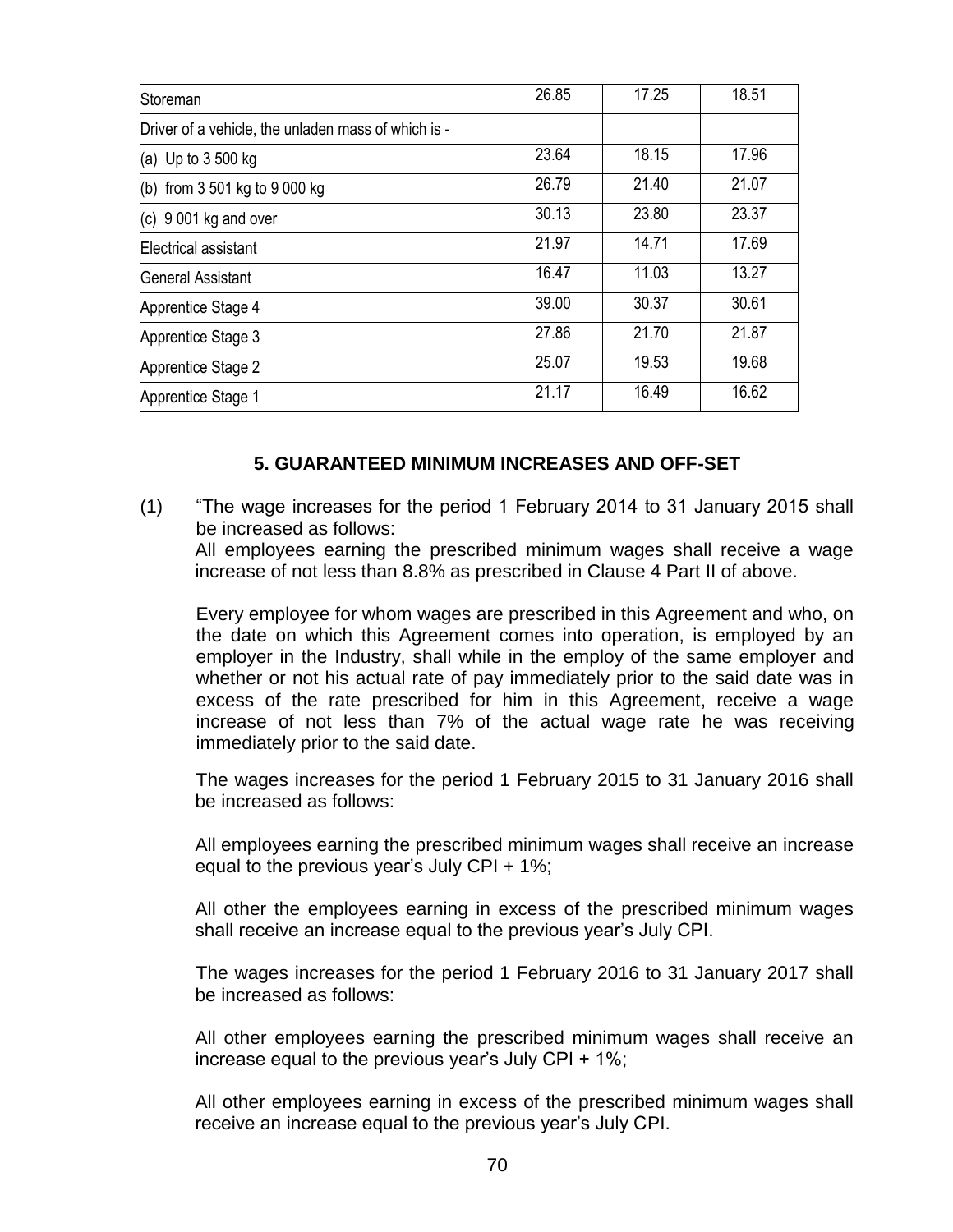| Storeman                                            | 26.85 | 17.25 | 18.51 |
|-----------------------------------------------------|-------|-------|-------|
| Driver of a vehicle, the unladen mass of which is - |       |       |       |
| (a) Up to $3500$ kg                                 | 23.64 | 18.15 | 17.96 |
| (b) from $3\,501$ kg to $9\,000$ kg                 | 26.79 | 21.40 | 21.07 |
| (c) 9 001 kg and over                               | 30.13 | 23.80 | 23.37 |
| Electrical assistant                                | 21.97 | 14.71 | 17.69 |
| <b>General Assistant</b>                            | 16.47 | 11.03 | 13.27 |
| Apprentice Stage 4                                  | 39.00 | 30.37 | 30.61 |
| Apprentice Stage 3                                  | 27.86 | 21.70 | 21.87 |
| Apprentice Stage 2                                  | 25.07 | 19.53 | 19.68 |
| Apprentice Stage 1                                  | 21.17 | 16.49 | 16.62 |

#### **5. GUARANTEED MINIMUM INCREASES AND OFF-SET**

(1) "The wage increases for the period 1 February 2014 to 31 January 2015 shall be increased as follows:

All employees earning the prescribed minimum wages shall receive a wage increase of not less than 8.8% as prescribed in Clause 4 Part II of above.

Every employee for whom wages are prescribed in this Agreement and who, on the date on which this Agreement comes into operation, is employed by an employer in the Industry, shall while in the employ of the same employer and whether or not his actual rate of pay immediately prior to the said date was in excess of the rate prescribed for him in this Agreement, receive a wage increase of not less than 7% of the actual wage rate he was receiving immediately prior to the said date.

The wages increases for the period 1 February 2015 to 31 January 2016 shall be increased as follows:

All employees earning the prescribed minimum wages shall receive an increase equal to the previous year's July CPI +  $1\%$ ;

All other the employees earning in excess of the prescribed minimum wages shall receive an increase equal to the previous year"s July CPI.

The wages increases for the period 1 February 2016 to 31 January 2017 shall be increased as follows:

All other employees earning the prescribed minimum wages shall receive an increase equal to the previous year's July CPI  $+$  1%;

All other employees earning in excess of the prescribed minimum wages shall receive an increase equal to the previous year"s July CPI.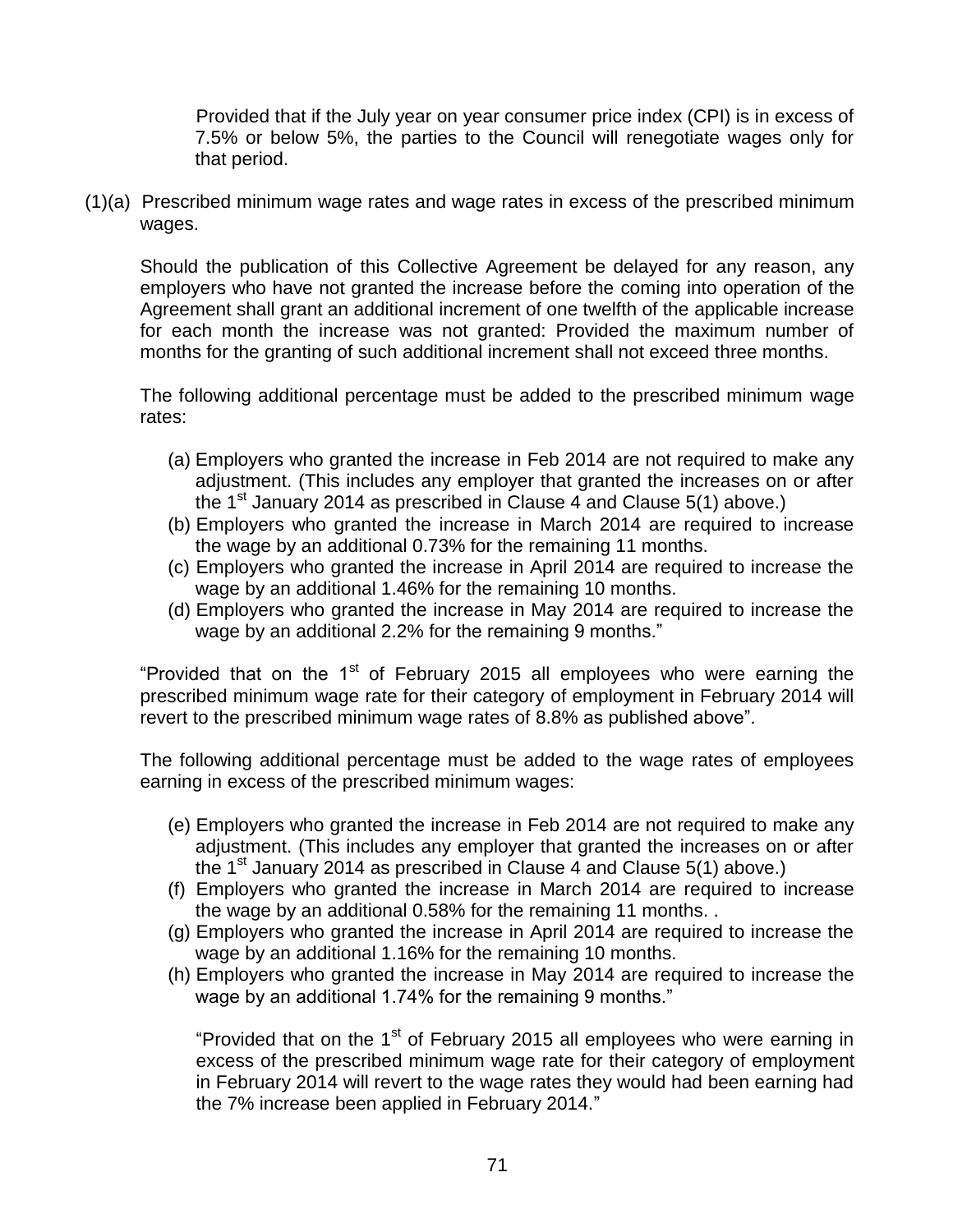Provided that if the July year on year consumer price index (CPI) is in excess of 7.5% or below 5%, the parties to the Council will renegotiate wages only for that period.

(1)(a) Prescribed minimum wage rates and wage rates in excess of the prescribed minimum wages.

Should the publication of this Collective Agreement be delayed for any reason, any employers who have not granted the increase before the coming into operation of the Agreement shall grant an additional increment of one twelfth of the applicable increase for each month the increase was not granted: Provided the maximum number of months for the granting of such additional increment shall not exceed three months.

The following additional percentage must be added to the prescribed minimum wage rates:

- (a) Employers who granted the increase in Feb 2014 are not required to make any adjustment. (This includes any employer that granted the increases on or after the 1<sup>st</sup> January 2014 as prescribed in Clause 4 and Clause  $5(1)$  above.)
- (b) Employers who granted the increase in March 2014 are required to increase the wage by an additional 0.73% for the remaining 11 months.
- (c) Employers who granted the increase in April 2014 are required to increase the wage by an additional 1.46% for the remaining 10 months.
- (d) Employers who granted the increase in May 2014 are required to increase the wage by an additional 2.2% for the remaining 9 months."

"Provided that on the  $1<sup>st</sup>$  of February 2015 all employees who were earning the prescribed minimum wage rate for their category of employment in February 2014 will revert to the prescribed minimum wage rates of 8.8% as published above".

The following additional percentage must be added to the wage rates of employees earning in excess of the prescribed minimum wages:

- (e) Employers who granted the increase in Feb 2014 are not required to make any adjustment. (This includes any employer that granted the increases on or after the 1<sup>st</sup> January 2014 as prescribed in Clause 4 and Clause  $5(1)$  above.)
- (f) Employers who granted the increase in March 2014 are required to increase the wage by an additional 0.58% for the remaining 11 months. .
- (g) Employers who granted the increase in April 2014 are required to increase the wage by an additional 1.16% for the remaining 10 months.
- (h) Employers who granted the increase in May 2014 are required to increase the wage by an additional 1.74% for the remaining 9 months."

"Provided that on the  $1<sup>st</sup>$  of February 2015 all employees who were earning in excess of the prescribed minimum wage rate for their category of employment in February 2014 will revert to the wage rates they would had been earning had the 7% increase been applied in February 2014."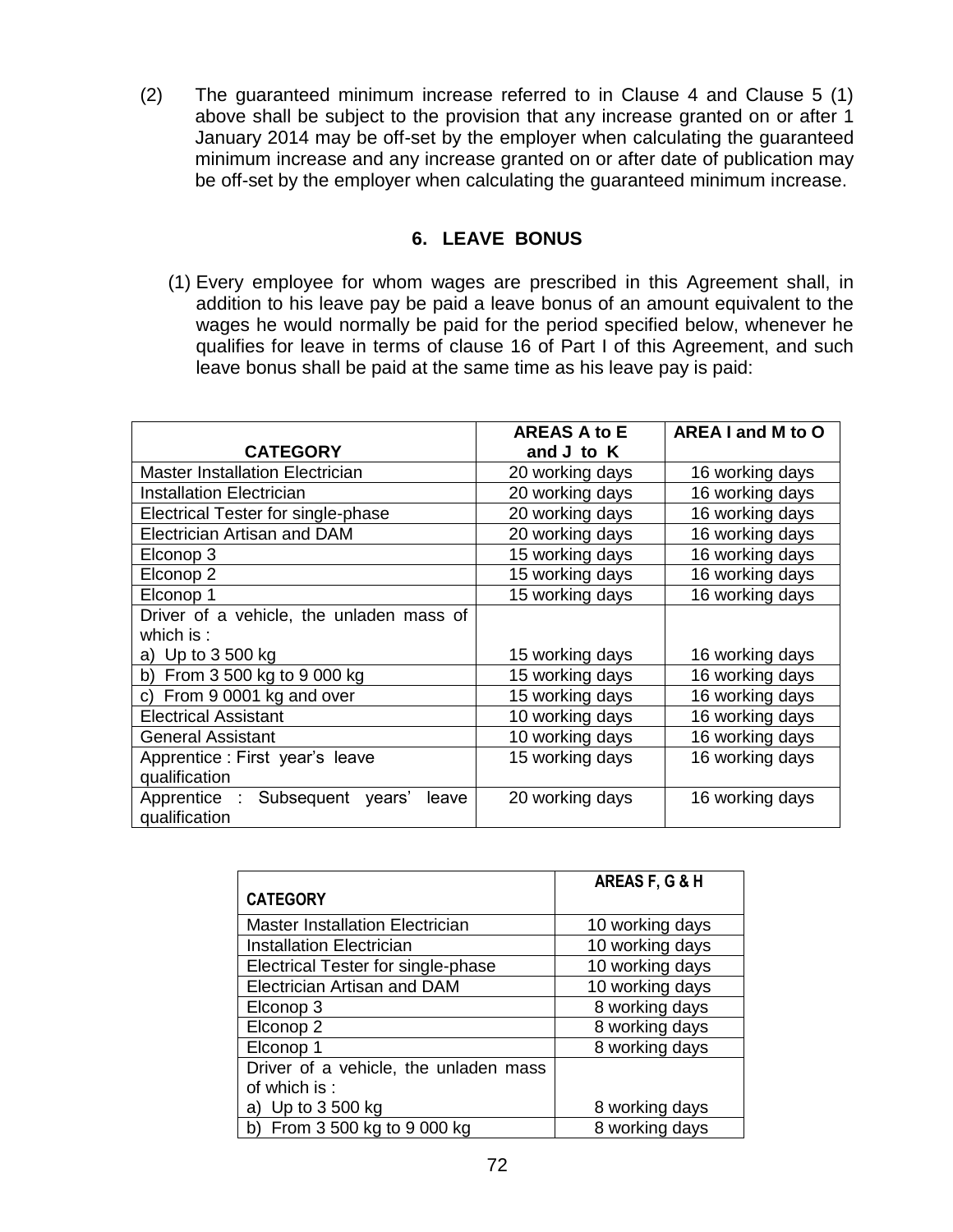(2) The guaranteed minimum increase referred to in Clause 4 and Clause 5 (1) above shall be subject to the provision that any increase granted on or after 1 January 2014 may be off-set by the employer when calculating the guaranteed minimum increase and any increase granted on or after date of publication may be off-set by the employer when calculating the guaranteed minimum increase.

#### **6. LEAVE BONUS**

(1) Every employee for whom wages are prescribed in this Agreement shall, in addition to his leave pay be paid a leave bonus of an amount equivalent to the wages he would normally be paid for the period specified below, whenever he qualifies for leave in terms of clause 16 of Part I of this Agreement, and such leave bonus shall be paid at the same time as his leave pay is paid:

|                                                          | <b>AREAS A to E</b> | AREA I and M to O |
|----------------------------------------------------------|---------------------|-------------------|
| <b>CATEGORY</b>                                          | and J to K          |                   |
| <b>Master Installation Electrician</b>                   | 20 working days     | 16 working days   |
| <b>Installation Electrician</b>                          | 20 working days     | 16 working days   |
| Electrical Tester for single-phase                       | 20 working days     | 16 working days   |
| <b>Electrician Artisan and DAM</b>                       | 20 working days     | 16 working days   |
| Elconop 3                                                | 15 working days     | 16 working days   |
| Elconop <sub>2</sub>                                     | 15 working days     | 16 working days   |
| Elconop 1                                                | 15 working days     | 16 working days   |
| Driver of a vehicle, the unladen mass of                 |                     |                   |
| which is $:$                                             |                     |                   |
| a) Up to $3500$ kg                                       | 15 working days     | 16 working days   |
| b) From 3 500 kg to 9 000 kg                             | 15 working days     | 16 working days   |
| c) From 9 0001 kg and over                               | 15 working days     | 16 working days   |
| <b>Electrical Assistant</b>                              | 10 working days     | 16 working days   |
| <b>General Assistant</b>                                 | 10 working days     | 16 working days   |
| Apprentice : First year's leave                          | 15 working days     | 16 working days   |
| qualification                                            |                     |                   |
| Apprentice : Subsequent years'<br>leave<br>qualification | 20 working days     | 16 working days   |

|                                        | AREAS F, G & H  |
|----------------------------------------|-----------------|
| <b>CATEGORY</b>                        |                 |
| <b>Master Installation Electrician</b> | 10 working days |
| <b>Installation Electrician</b>        | 10 working days |
| Electrical Tester for single-phase     | 10 working days |
| Electrician Artisan and DAM            | 10 working days |
| Elconop 3                              | 8 working days  |
| Elconop <sub>2</sub>                   | 8 working days  |
| Elconop 1                              | 8 working days  |
| Driver of a vehicle, the unladen mass  |                 |
| of which is:                           |                 |
| a) Up to 3 500 kg                      | 8 working days  |
| b) From 3 500 kg to 9 000 kg           | 8 working days  |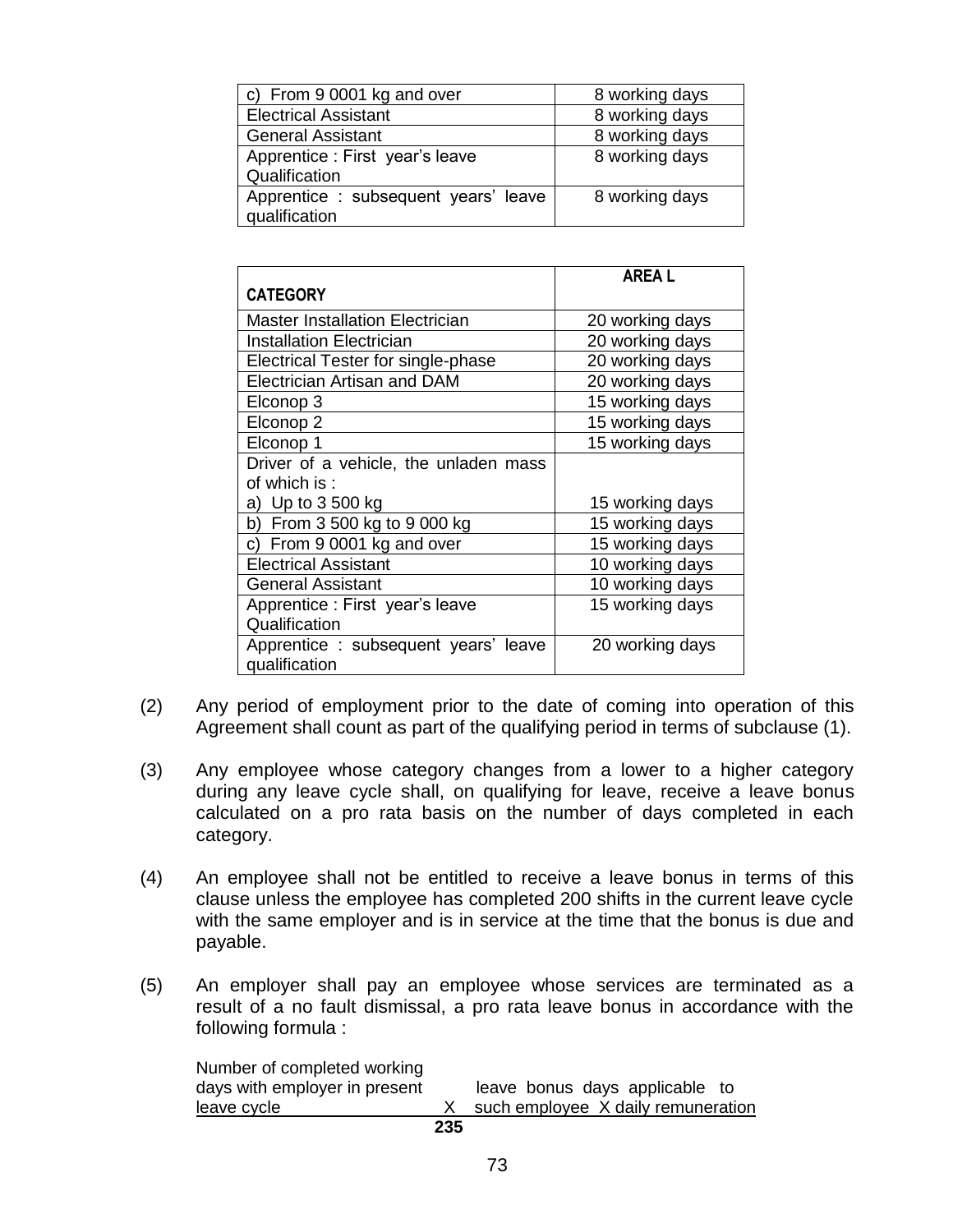| c) From 9 0001 kg and over                            | 8 working days |
|-------------------------------------------------------|----------------|
| <b>Electrical Assistant</b>                           | 8 working days |
| <b>General Assistant</b>                              | 8 working days |
| Apprentice : First year's leave<br>Qualification      | 8 working days |
| Apprentice : subsequent years' leave<br>qualification | 8 working days |

|                                        | <b>AREAL</b>    |
|----------------------------------------|-----------------|
| <b>CATEGORY</b>                        |                 |
| <b>Master Installation Electrician</b> | 20 working days |
| Installation Electrician               | 20 working days |
| Electrical Tester for single-phase     | 20 working days |
| <b>Electrician Artisan and DAM</b>     | 20 working days |
| Elconop 3                              | 15 working days |
| Elconop 2                              | 15 working days |
| Elconop 1                              | 15 working days |
| Driver of a vehicle, the unladen mass  |                 |
| of which is:                           |                 |
| a) Up to 3 500 kg                      | 15 working days |
| b) From 3 500 kg to 9 000 kg           | 15 working days |
| c) From 9 0001 kg and over             | 15 working days |
| <b>Electrical Assistant</b>            | 10 working days |
| <b>General Assistant</b>               | 10 working days |
| Apprentice: First year's leave         | 15 working days |
| Qualification                          |                 |
| Apprentice: subsequent years' leave    | 20 working days |
| qualification                          |                 |

- (2) Any period of employment prior to the date of coming into operation of this Agreement shall count as part of the qualifying period in terms of subclause (1).
- (3) Any employee whose category changes from a lower to a higher category during any leave cycle shall, on qualifying for leave, receive a leave bonus calculated on a pro rata basis on the number of days completed in each category.
- (4) An employee shall not be entitled to receive a leave bonus in terms of this clause unless the employee has completed 200 shifts in the current leave cycle with the same employer and is in service at the time that the bonus is due and payable.
- (5) An employer shall pay an employee whose services are terminated as a result of a no fault dismissal, a pro rata leave bonus in accordance with the following formula :

| Number of completed working   |     |                                    |
|-------------------------------|-----|------------------------------------|
| days with employer in present |     | leave bonus days applicable to     |
| leave cycle                   |     | such employee X daily remuneration |
|                               | 235 |                                    |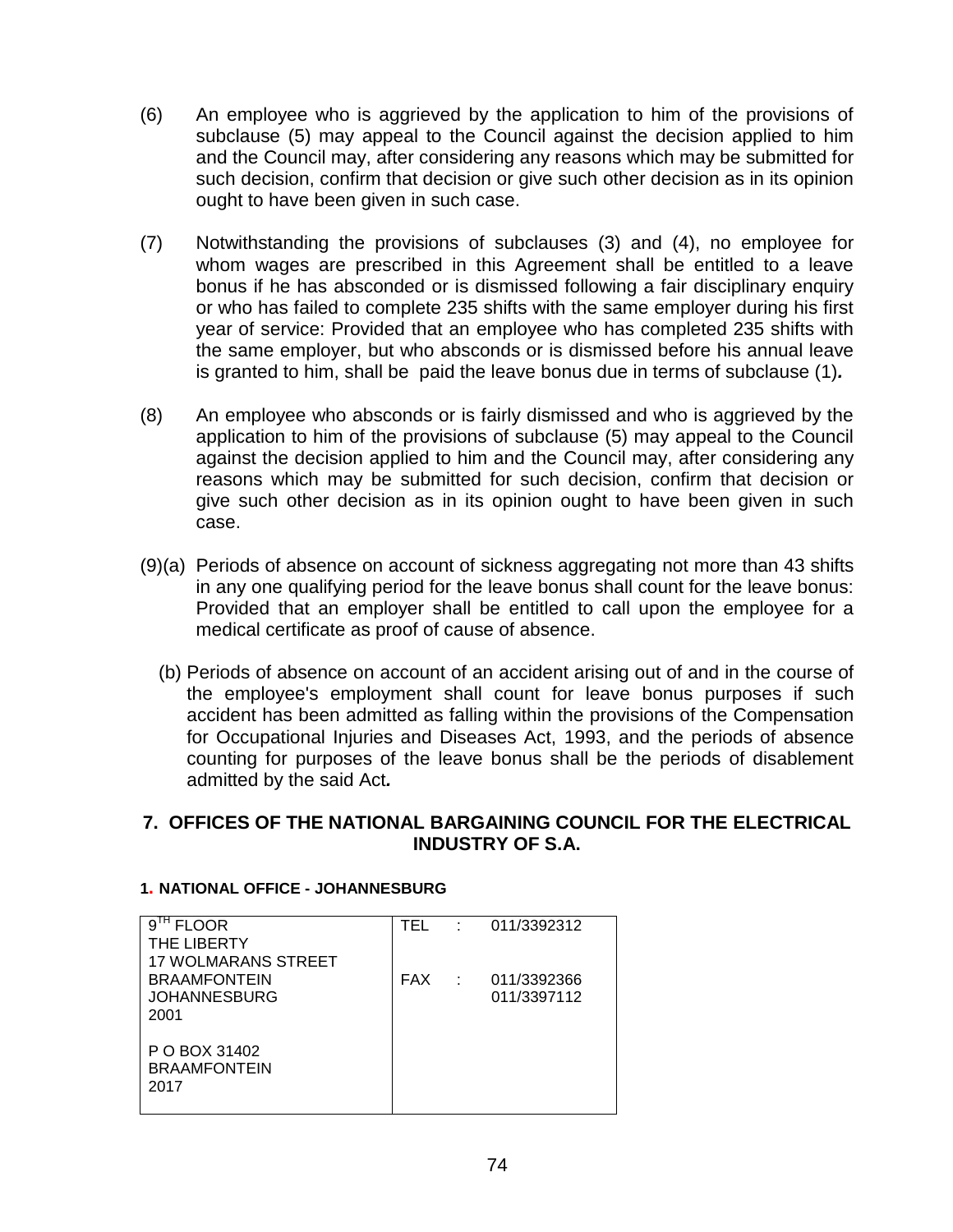- (6) An employee who is aggrieved by the application to him of the provisions of subclause (5) may appeal to the Council against the decision applied to him and the Council may, after considering any reasons which may be submitted for such decision, confirm that decision or give such other decision as in its opinion ought to have been given in such case.
- (7) Notwithstanding the provisions of subclauses (3) and (4), no employee for whom wages are prescribed in this Agreement shall be entitled to a leave bonus if he has absconded or is dismissed following a fair disciplinary enquiry or who has failed to complete 235 shifts with the same employer during his first year of service: Provided that an employee who has completed 235 shifts with the same employer, but who absconds or is dismissed before his annual leave is granted to him, shall be paid the leave bonus due in terms of subclause (1)*.*
- (8) An employee who absconds or is fairly dismissed and who is aggrieved by the application to him of the provisions of subclause (5) may appeal to the Council against the decision applied to him and the Council may, after considering any reasons which may be submitted for such decision, confirm that decision or give such other decision as in its opinion ought to have been given in such case.
- (9)(a) Periods of absence on account of sickness aggregating not more than 43 shifts in any one qualifying period for the leave bonus shall count for the leave bonus: Provided that an employer shall be entitled to call upon the employee for a medical certificate as proof of cause of absence.
	- (b) Periods of absence on account of an accident arising out of and in the course of the employee's employment shall count for leave bonus purposes if such accident has been admitted as falling within the provisions of the Compensation for Occupational Injuries and Diseases Act, 1993, and the periods of absence counting for purposes of the leave bonus shall be the periods of disablement admitted by the said Act*.*

# **7. OFFICES OF THE NATIONAL BARGAINING COUNCIL FOR THE ELECTRICAL INDUSTRY OF S.A.**

| $91H$ FLOOR                | TEL        | ٠ | 011/3392312 |
|----------------------------|------------|---|-------------|
| THE LIBERTY                |            |   |             |
| <b>17 WOLMARANS STREET</b> |            |   |             |
| <b>BRAAMFONTEIN</b>        | <b>FAX</b> |   | 011/3392366 |
| <b>JOHANNESBURG</b>        |            |   | 011/3397112 |
| 2001                       |            |   |             |
|                            |            |   |             |
| P O BOX 31402              |            |   |             |
| <b>BRAAMFONTEIN</b>        |            |   |             |
| 2017                       |            |   |             |
|                            |            |   |             |

#### **1. NATIONAL OFFICE - JOHANNESBURG**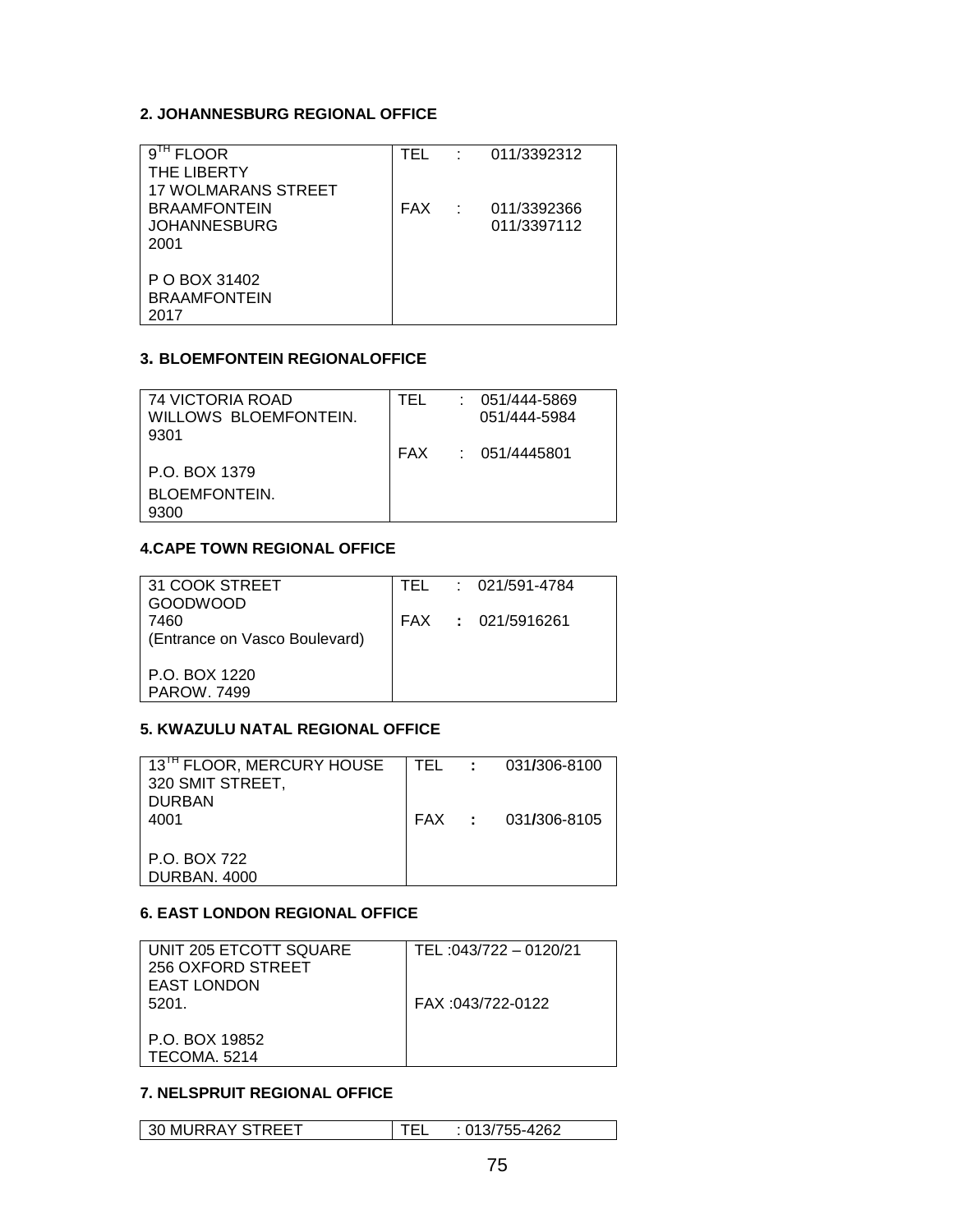## **2. JOHANNESBURG REGIONAL OFFICE**

| <b>FLOOR</b>               | TFI |                   | : 011/3392312 |
|----------------------------|-----|-------------------|---------------|
| THE LIBERTY                |     |                   |               |
| <b>17 WOLMARANS STREET</b> |     |                   |               |
| <b>BRAAMFONTEIN</b>        | FAX | <b>Contractor</b> | 011/3392366   |
| <b>JOHANNESBURG</b>        |     |                   | 011/3397112   |
| 2001                       |     |                   |               |
|                            |     |                   |               |
| P O BOX 31402              |     |                   |               |
| <b>BRAAMFONTEIN</b>        |     |                   |               |
| 2017                       |     |                   |               |

#### **3. BLOEMFONTEIN REGIONALOFFICE**

| 74 VICTORIA ROAD<br>WILLOWS BLOEMFONTEIN.<br>9301 | TFI | $: 051/444 - 5869$<br>051/444-5984 |
|---------------------------------------------------|-----|------------------------------------|
|                                                   |     | FAX : 051/4445801                  |
| P.O. BOX 1379                                     |     |                                    |
| <b>BLOEMFONTEIN.</b>                              |     |                                    |
| 9300                                              |     |                                    |

# **4.CAPE TOWN REGIONAL OFFICE**

|  | TEL : 021/591-4784 |
|--|--------------------|
|  | FAX : 021/5916261  |
|  |                    |
|  |                    |
|  |                    |
|  |                    |

## **5. KWAZULU NATAL REGIONAL OFFICE**

| 13 <sup>TH</sup> FLOOR, MERCURY HOUSE<br>320 SMIT STREET, |  | TEL : 031/306-8100 |
|-----------------------------------------------------------|--|--------------------|
| <b>DURBAN</b><br>4001                                     |  | FAX : 031/306-8105 |
| P.O. BOX 722<br><b>DURBAN, 4000</b>                       |  |                    |

# **6. EAST LONDON REGIONAL OFFICE**

| UNIT 205 ETCOTT SQUARE<br>256 OXFORD STREET<br><b>EAST LONDON</b> | TEL:043/722 - 0120/21 |
|-------------------------------------------------------------------|-----------------------|
| 5201.<br>P.O. BOX 19852<br>TECOMA. 5214                           | FAX: 043/722-0122     |

#### **7. NELSPRUIT REGIONAL OFFICE**

| 30 MURRAY STREET | : 013/755-4262 |
|------------------|----------------|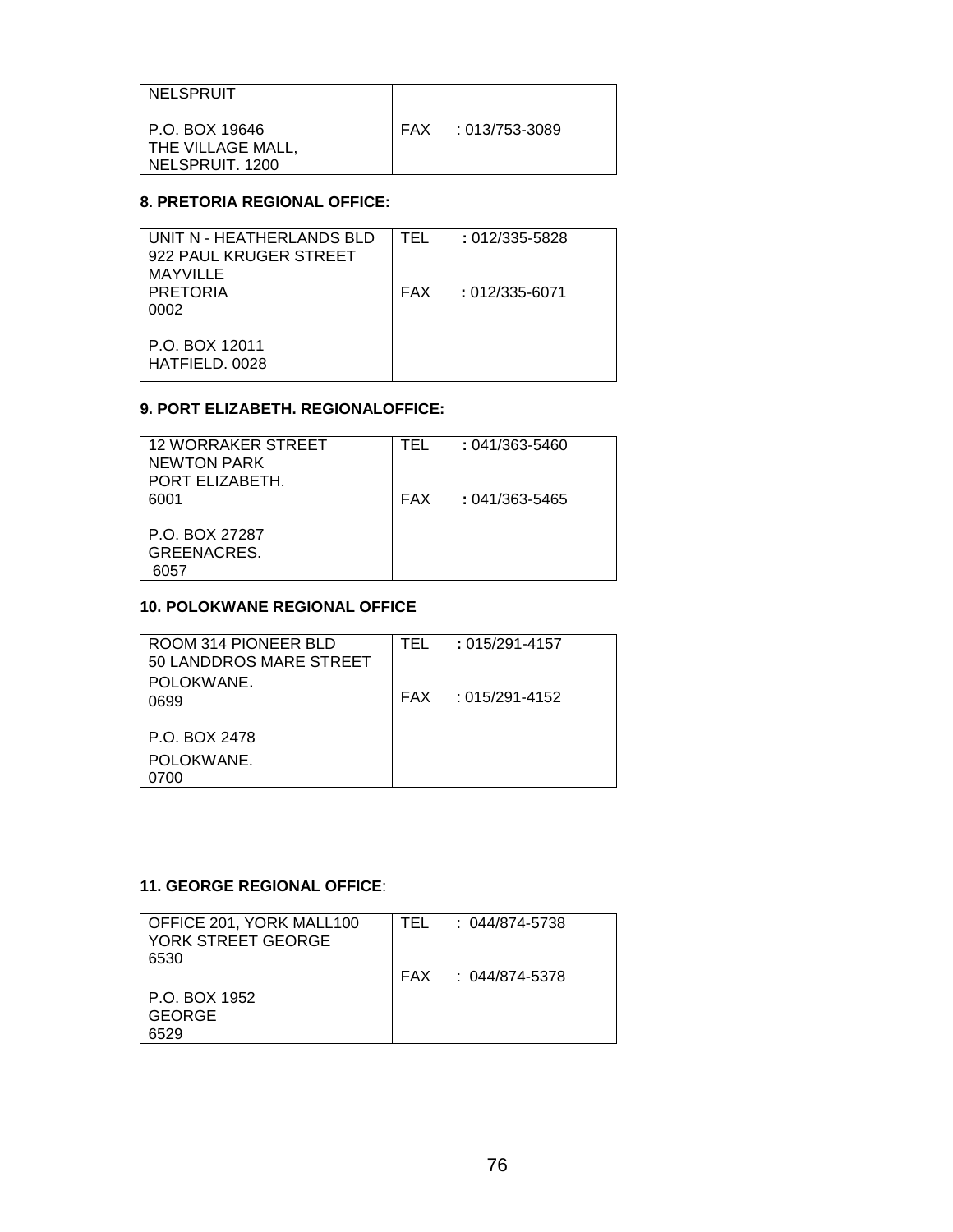| I NELSPRUIT                                                  |                    |
|--------------------------------------------------------------|--------------------|
| I P.O. BOX 19646<br>  THE VILLAGE MALL,<br>l NELSPRUIT. 1200 | FAX : 013/753-3089 |

## **8. PRETORIA REGIONAL OFFICE:**

## **9. PORT ELIZABETH. REGIONALOFFICE:**

| <b>12 WORRAKER STREET</b><br>$: 041/363 - 5460$<br>TFI. |
|---------------------------------------------------------|
|                                                         |
| NEWTON PARK                                             |
| PORT ELIZABETH.                                         |
| <b>FAX</b><br>$: 041/363 - 5465$<br>6001                |
|                                                         |
| P.O. BOX 27287                                          |
| GREENACRES.                                             |
| 6057                                                    |

### **10. POLOKWANE REGIONAL OFFICE**

| ROOM 314 PIONEER BLD<br>50 LANDDROS MARE STREET | TFI | $: 015/291 - 4157$   |
|-------------------------------------------------|-----|----------------------|
| POLOKWANE.                                      |     |                      |
| 0699                                            |     | $FAX : 015/291-4152$ |
| P.O. BOX 2478                                   |     |                      |
| POLOKWANE.                                      |     |                      |
| 0700                                            |     |                      |

## **11. GEORGE REGIONAL OFFICE**:

| OFFICE 201, YORK MALL100<br>YORK STREET GEORGE<br>6530 | TEL | : 044/874-5738     |
|--------------------------------------------------------|-----|--------------------|
|                                                        |     | FAX : 044/874-5378 |
| P.O. BOX 1952                                          |     |                    |
| GEORGE<br>6529                                         |     |                    |